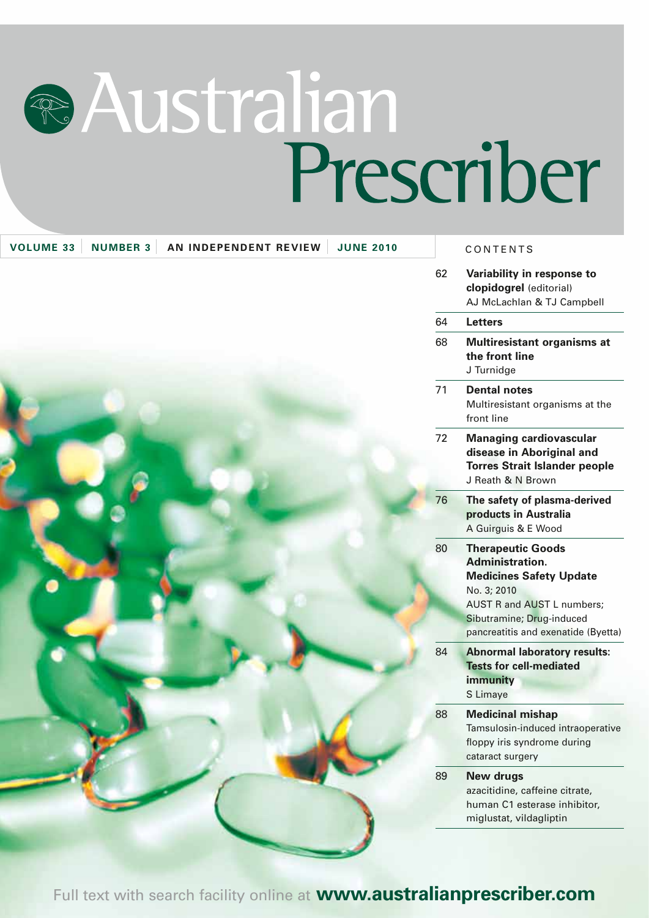# **RAustralian** Prescriber

| <b>VOLUME 33</b><br><b>NUMBER 3</b><br>AN INDEPENDENT REVIEW<br><b>JUNE 2010</b> |    | CONTENTS                                                                                                                                                                                                     |
|----------------------------------------------------------------------------------|----|--------------------------------------------------------------------------------------------------------------------------------------------------------------------------------------------------------------|
|                                                                                  | 62 | Variability in response to<br>clopidogrel (editorial)<br>AJ McLachlan & TJ Campbell                                                                                                                          |
|                                                                                  | 64 | <b>Letters</b>                                                                                                                                                                                               |
|                                                                                  | 68 | Multiresistant organisms at<br>the front line<br>J Turnidge                                                                                                                                                  |
|                                                                                  | 71 | <b>Dental notes</b><br>Multiresistant organisms at the<br>front line                                                                                                                                         |
|                                                                                  | 72 | <b>Managing cardiovascular</b><br>disease in Aboriginal and<br><b>Torres Strait Islander people</b><br>J Reath & N Brown                                                                                     |
|                                                                                  | 76 | The safety of plasma-derived<br>products in Australia<br>A Guirguis & E Wood                                                                                                                                 |
|                                                                                  | 80 | <b>Therapeutic Goods</b><br><b>Administration.</b><br><b>Medicines Safety Update</b><br>No. 3; 2010<br><b>AUST R and AUST L numbers;</b><br>Sibutramine; Drug-induced<br>pancreatitis and exenatide (Byetta) |
|                                                                                  | 84 | <b>Abnormal laboratory results:</b><br><b>Tests for cell-mediated</b><br>immunity<br>S Limaye                                                                                                                |
|                                                                                  | 88 | <b>Medicinal mishap</b><br>Tamsulosin-induced intraoperative<br>floppy iris syndrome during<br>cataract surgery                                                                                              |
|                                                                                  | 89 | <b>New drugs</b><br>azacitidine, caffeine citrate,<br>human C1 esterase inhibitor,<br>miglustat, vildagliptin                                                                                                |

Full text with search facility online at **www.australianprescriber.com**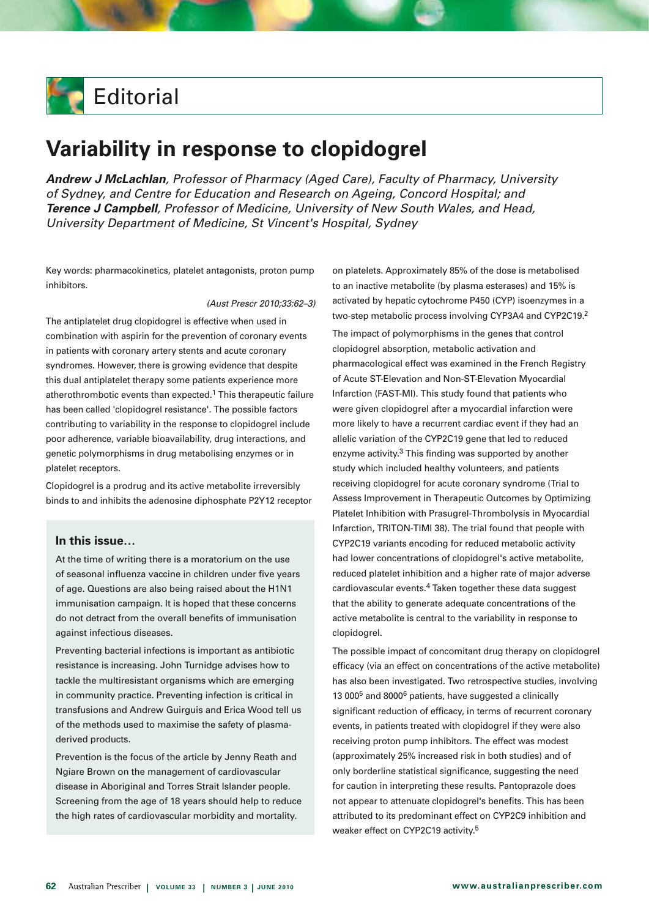

# **Variability in response to clopidogrel**

*Andrew J McLachlan, Professor of Pharmacy (Aged Care), Faculty of Pharmacy, University of Sydney, and Centre for Education and Research on Ageing, Concord Hospital; and Terence J Campbell, Professor of Medicine, University of New South Wales, and Head, University Department of Medicine, St Vincent's Hospital, Sydney* 

Key words: pharmacokinetics, platelet antagonists, proton pump inhibitors.

#### *(Aust Prescr 2010;33:62–3)*

The antiplatelet drug clopidogrel is effective when used in combination with aspirin for the prevention of coronary events in patients with coronary artery stents and acute coronary syndromes. However, there is growing evidence that despite this dual antiplatelet therapy some patients experience more atherothrombotic events than expected.<sup>1</sup> This therapeutic failure has been called 'clopidogrel resistance'. The possible factors contributing to variability in the response to clopidogrel include poor adherence, variable bioavailability, drug interactions, and genetic polymorphisms in drug metabolising enzymes or in platelet receptors.

Clopidogrel is a prodrug and its active metabolite irreversibly binds to and inhibits the adenosine diphosphate P2Y12 receptor

# **In this issue…**

At the time of writing there is a moratorium on the use of seasonal influenza vaccine in children under five years of age. Questions are also being raised about the H1N1 immunisation campaign. It is hoped that these concerns do not detract from the overall benefits of immunisation against infectious diseases.

Preventing bacterial infections is important as antibiotic resistance is increasing. John Turnidge advises how to tackle the multiresistant organisms which are emerging in community practice. Preventing infection is critical in transfusions and Andrew Guirguis and Erica Wood tell us of the methods used to maximise the safety of plasmaderived products.

Prevention is the focus of the article by Jenny Reath and Ngiare Brown on the management of cardiovascular disease in Aboriginal and Torres Strait Islander people. Screening from the age of 18 years should help to reduce the high rates of cardiovascular morbidity and mortality.

on platelets. Approximately 85% of the dose is metabolised to an inactive metabolite (by plasma esterases) and 15% is activated by hepatic cytochrome P450 (CYP) isoenzymes in a two-step metabolic process involving CYP3A4 and CYP2C19.2

The impact of polymorphisms in the genes that control clopidogrel absorption, metabolic activation and pharmacological effect was examined in the French Registry of Acute ST-Elevation and Non-ST-Elevation Myocardial Infarction (FAST-MI). This study found that patients who were given clopidogrel after a myocardial infarction were more likely to have a recurrent cardiac event if they had an allelic variation of the CYP2C19 gene that led to reduced enzyme activity.<sup>3</sup> This finding was supported by another study which included healthy volunteers, and patients receiving clopidogrel for acute coronary syndrome (Trial to Assess Improvement in Therapeutic Outcomes by Optimizing Platelet Inhibition with Prasugrel-Thrombolysis in Myocardial Infarction, TRITON-TIMI 38). The trial found that people with CYP2C19 variants encoding for reduced metabolic activity had lower concentrations of clopidogrel's active metabolite, reduced platelet inhibition and a higher rate of major adverse cardiovascular events.4 Taken together these data suggest that the ability to generate adequate concentrations of the active metabolite is central to the variability in response to clopidogrel.

The possible impact of concomitant drug therapy on clopidogrel efficacy (via an effect on concentrations of the active metabolite) has also been investigated. Two retrospective studies, involving 13 000<sup>5</sup> and 8000<sup>6</sup> patients, have suggested a clinically significant reduction of efficacy, in terms of recurrent coronary events, in patients treated with clopidogrel if they were also receiving proton pump inhibitors. The effect was modest (approximately 25% increased risk in both studies) and of only borderline statistical significance, suggesting the need for caution in interpreting these results. Pantoprazole does not appear to attenuate clopidogrel's benefits. This has been attributed to its predominant effect on CYP2C9 inhibition and weaker effect on CYP2C19 activity.<sup>5</sup>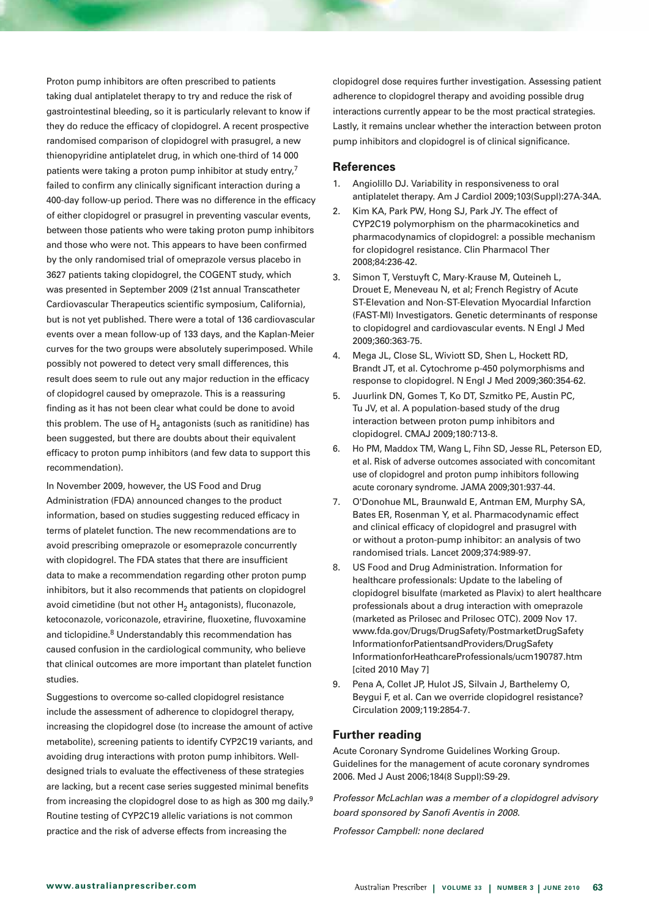Proton pump inhibitors are often prescribed to patients taking dual antiplatelet therapy to try and reduce the risk of gastrointestinal bleeding, so it is particularly relevant to know if they do reduce the efficacy of clopidogrel. A recent prospective randomised comparison of clopidogrel with prasugrel, a new thienopyridine antiplatelet drug, in which one-third of 14 000 patients were taking a proton pump inhibitor at study entry,<sup>7</sup> failed to confirm any clinically significant interaction during a 400-day follow-up period. There was no difference in the efficacy of either clopidogrel or prasugrel in preventing vascular events, between those patients who were taking proton pump inhibitors and those who were not. This appears to have been confirmed by the only randomised trial of omeprazole versus placebo in 3627 patients taking clopidogrel, the COGENT study, which was presented in September 2009 (21st annual Transcatheter Cardiovascular Therapeutics scientific symposium, California), but is not yet published. There were a total of 136 cardiovascular events over a mean follow-up of 133 days, and the Kaplan-Meier curves for the two groups were absolutely superimposed. While possibly not powered to detect very small differences, this result does seem to rule out any major reduction in the efficacy of clopidogrel caused by omeprazole. This is a reassuring finding as it has not been clear what could be done to avoid this problem. The use of  $H_2$  antagonists (such as ranitidine) has been suggested, but there are doubts about their equivalent efficacy to proton pump inhibitors (and few data to support this recommendation).

In November 2009, however, the US Food and Drug Administration (FDA) announced changes to the product information, based on studies suggesting reduced efficacy in terms of platelet function. The new recommendations are to avoid prescribing omeprazole or esomeprazole concurrently with clopidogrel. The FDA states that there are insufficient data to make a recommendation regarding other proton pump inhibitors, but it also recommends that patients on clopidogrel avoid cimetidine (but not other  $H<sub>2</sub>$  antagonists), fluconazole, ketoconazole, voriconazole, etravirine, fluoxetine, fluvoxamine and ticlopidine.<sup>8</sup> Understandably this recommendation has caused confusion in the cardiological community, who believe that clinical outcomes are more important than platelet function studies.

Suggestions to overcome so-called clopidogrel resistance include the assessment of adherence to clopidogrel therapy, increasing the clopidogrel dose (to increase the amount of active metabolite), screening patients to identify CYP2C19 variants, and avoiding drug interactions with proton pump inhibitors. Welldesigned trials to evaluate the effectiveness of these strategies are lacking, but a recent case series suggested minimal benefits from increasing the clopidogrel dose to as high as 300 mg daily.9 Routine testing of CYP2C19 allelic variations is not common practice and the risk of adverse effects from increasing the

clopidogrel dose requires further investigation. Assessing patient adherence to clopidogrel therapy and avoiding possible drug interactions currently appear to be the most practical strategies. Lastly, it remains unclear whether the interaction between proton pump inhibitors and clopidogrel is of clinical significance.

# **References**

- 1. Angiolillo DJ. Variability in responsiveness to oral antiplatelet therapy. Am J Cardiol 2009;103(Suppl):27A-34A.
- 2. Kim KA, Park PW, Hong SJ, Park JY. The effect of CYP2C19 polymorphism on the pharmacokinetics and pharmacodynamics of clopidogrel: a possible mechanism for clopidogrel resistance. Clin Pharmacol Ther 2008;84:236-42.
- 3. Simon T, Verstuyft C, Mary-Krause M, Quteineh L, Drouet E, Meneveau N, et al; French Registry of Acute ST-Elevation and Non-ST-Elevation Myocardial Infarction (FAST-MI) Investigators. Genetic determinants of response to clopidogrel and cardiovascular events. N Engl J Med 2009;360:363-75.
- 4. Mega JL, Close SL, Wiviott SD, Shen L, Hockett RD, Brandt JT, et al. Cytochrome p-450 polymorphisms and response to clopidogrel. N Engl J Med 2009;360:354-62.
- 5. Juurlink DN, Gomes T, Ko DT, Szmitko PE, Austin PC, Tu JV, et al. A population-based study of the drug interaction between proton pump inhibitors and clopidogrel. CMAJ 2009;180:713-8.
- 6. Ho PM, Maddox TM, Wang L, Fihn SD, Jesse RL, Peterson ED, et al. Risk of adverse outcomes associated with concomitant use of clopidogrel and proton pump inhibitors following acute coronary syndrome. JAMA 2009;301:937-44.
- 7. O'Donohue ML, Braunwald E, Antman EM, Murphy SA, Bates ER, Rosenman Y, et al. Pharmacodynamic effect and clinical efficacy of clopidogrel and prasugrel with or without a proton-pump inhibitor: an analysis of two randomised trials. Lancet 2009;374:989-97.
- 8. US Food and Drug Administration. Information for healthcare professionals: Update to the labeling of clopidogrel bisulfate (marketed as Plavix) to alert healthcare professionals about a drug interaction with omeprazole (marketed as Prilosec and Prilosec OTC). 2009 Nov 17. www.fda.gov/Drugs/DrugSafety/PostmarketDrugSafety InformationforPatientsandProviders/DrugSafety InformationforHeathcareProfessionals/ucm190787.htm [cited 2010 May 7]
- 9. Pena A, Collet JP, Hulot JS, Silvain J, Barthelemy O, Beygui F, et al. Can we override clopidogrel resistance? Circulation 2009;119:2854-7.

# **Further reading**

Acute Coronary Syndrome Guidelines Working Group. Guidelines for the management of acute coronary syndromes 2006. Med J Aust 2006;184(8 Suppl):S9-29.

*Professor McLachlan was a member of a clopidogrel advisory board sponsored by Sanofi Aventis in 2008.* 

*Professor Campbell: none declared*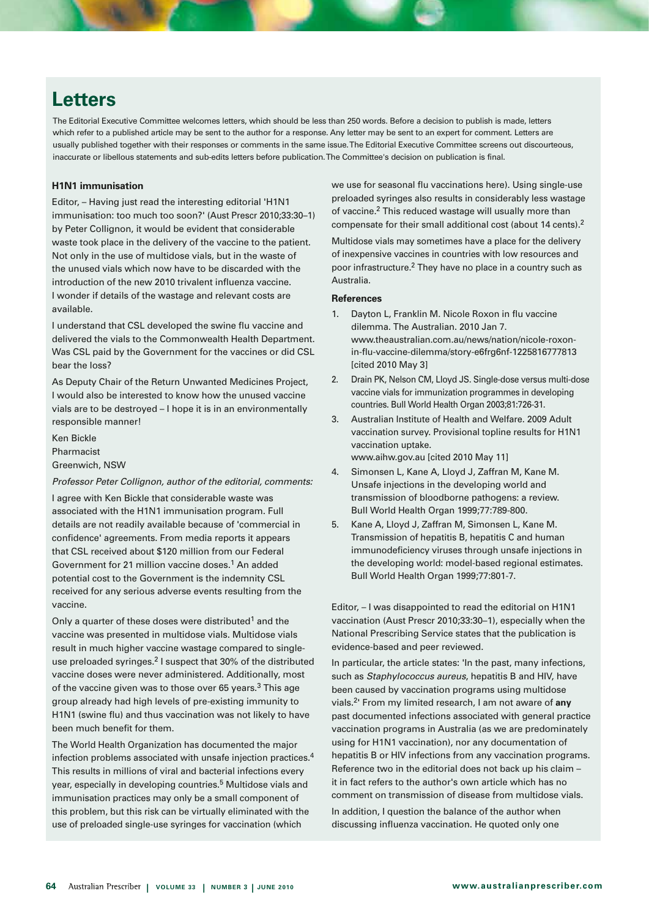# **Letters**

The Editorial Executive Committee welcomes letters, which should be less than 250 words. Before a decision to publish is made, letters which refer to a published article may be sent to the author for a response. Any letter may be sent to an expert for comment. Letters are usually published together with their responses or comments in the same issue. The Editorial Executive Committee screens out discourteous, inaccurate or libellous statements and sub-edits letters before publication. The Committee's decision on publication is final.

# **H1N1 immunisation**

Editor, – Having just read the interesting editorial 'H1N1 immunisation: too much too soon?' (Aust Prescr 2010;33:30–1) by Peter Collignon, it would be evident that considerable waste took place in the delivery of the vaccine to the patient. Not only in the use of multidose vials, but in the waste of the unused vials which now have to be discarded with the introduction of the new 2010 trivalent influenza vaccine. I wonder if details of the wastage and relevant costs are available.

I understand that CSL developed the swine flu vaccine and delivered the vials to the Commonwealth Health Department. Was CSL paid by the Government for the vaccines or did CSL bear the loss?

As Deputy Chair of the Return Unwanted Medicines Project, I would also be interested to know how the unused vaccine vials are to be destroyed – I hope it is in an environmentally responsible manner!

Ken Bickle Pharmacist Greenwich, NSW

#### *Professor Peter Collignon, author of the editorial, comments:*

I agree with Ken Bickle that considerable waste was associated with the H1N1 immunisation program. Full details are not readily available because of 'commercial in confidence' agreements. From media reports it appears that CSL received about \$120 million from our Federal Government for 21 million vaccine doses.<sup>1</sup> An added potential cost to the Government is the indemnity CSL received for any serious adverse events resulting from the vaccine.

Only a quarter of these doses were distributed<sup>1</sup> and the vaccine was presented in multidose vials. Multidose vials result in much higher vaccine wastage compared to singleuse preloaded syringes.2 I suspect that 30% of the distributed vaccine doses were never administered. Additionally, most of the vaccine given was to those over 65 years.<sup>3</sup> This age group already had high levels of pre-existing immunity to H1N1 (swine flu) and thus vaccination was not likely to have been much benefit for them.

The World Health Organization has documented the major infection problems associated with unsafe injection practices.4 This results in millions of viral and bacterial infections every year, especially in developing countries.<sup>5</sup> Multidose vials and immunisation practices may only be a small component of this problem, but this risk can be virtually eliminated with the use of preloaded single-use syringes for vaccination (which

we use for seasonal flu vaccinations here). Using single-use preloaded syringes also results in considerably less wastage of vaccine.2 This reduced wastage will usually more than compensate for their small additional cost (about 14 cents).2

Multidose vials may sometimes have a place for the delivery of inexpensive vaccines in countries with low resources and poor infrastructure.2 They have no place in a country such as Australia.

#### **References**

- 1. Dayton L, Franklin M, Nicole Roxon in flu vaccine dilemma. The Australian. 2010 Jan 7. www.theaustralian.com.au/news/nation/nicole-roxonin-flu-vaccine-dilemma/story-e6frg6nf-1225816777813 **[cited 2010 May 3]**
- 2. Drain PK, Nelson CM, Lloyd JS, Single-dose versus multi-dose vaccine vials for immunization programmes in developing countries. Bull World Health Organ 2003;81:726-31.
- 3. Australian Institute of Health and Welfare. 2009 Adult vaccination survey. Provisional topline results for H1N1 vaccination uptake. www.aihw.gov.au [cited 2010 May 11]
- 4. Simonsen L, Kane A, Lloyd J, Zaffran M, Kane M. Unsafe injections in the developing world and transmission of bloodborne pathogens: a review. Bull World Health Organ 1999;77:789-800.
- 5. Kane A, Lloyd J, Zaffran M, Simonsen L, Kane M. Transmission of hepatitis B, hepatitis C and human immunodeficiency viruses through unsafe injections in the developing world: model-based regional estimates. Bull World Health Organ 1999;77:801-7.

Editor, – I was disappointed to read the editorial on H1N1 vaccination (Aust Prescr 2010;33:30–1), especially when the National Prescribing Service states that the publication is evidence-based and peer reviewed.

In particular, the article states: 'In the past, many infections, such as *Staphylococcus aureus*, hepatitis B and HIV, have been caused by vaccination programs using multidose vials.2' From my limited research, I am not aware of **any** past documented infections associated with general practice vaccination programs in Australia (as we are predominately using for H1N1 vaccination), nor any documentation of hepatitis B or HIV infections from any vaccination programs. Reference two in the editorial does not back up his claim – it in fact refers to the author's own article which has no comment on transmission of disease from multidose vials.

In addition, I question the balance of the author when discussing influenza vaccination. He quoted only one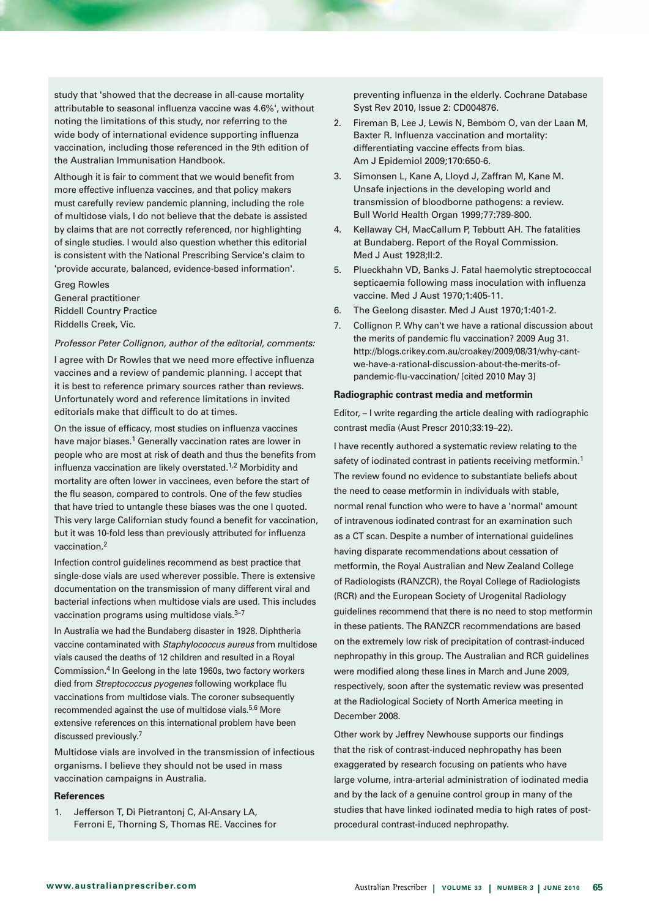study that 'showed that the decrease in all-cause mortality attributable to seasonal influenza vaccine was 4.6%', without noting the limitations of this study, nor referring to the wide body of international evidence supporting influenza vaccination, including those referenced in the 9th edition of the Australian Immunisation Handbook.

Although it is fair to comment that we would benefit from more effective influenza vaccines, and that policy makers must carefully review pandemic planning, including the role of multidose vials, I do not believe that the debate is assisted by claims that are not correctly referenced, nor highlighting of single studies. I would also question whether this editorial is consistent with the National Prescribing Service's claim to 'provide accurate, balanced, evidence-based information'.

Greg Rowles General practitioner Riddell Country Practice Riddells Creek, Vic.

#### *Professor Peter Collignon, author of the editorial, comments:*

I agree with Dr Rowles that we need more effective influenza vaccines and a review of pandemic planning. I accept that it is best to reference primary sources rather than reviews. Unfortunately word and reference limitations in invited editorials make that difficult to do at times.

On the issue of efficacy, most studies on influenza vaccines have major biases.<sup>1</sup> Generally vaccination rates are lower in people who are most at risk of death and thus the benefits from influenza vaccination are likely overstated.<sup>1,2</sup> Morbidity and mortality are often lower in vaccinees, even before the start of the flu season, compared to controls. One of the few studies that have tried to untangle these biases was the one I quoted. This very large Californian study found a benefit for vaccination, but it was 10-fold less than previously attributed for influenza vaccination.2

Infection control guidelines recommend as best practice that single-dose vials are used wherever possible. There is extensive documentation on the transmission of many different viral and bacterial infections when multidose vials are used. This includes vaccination programs using multidose vials.<sup>3-7</sup>

In Australia we had the Bundaberg disaster in 1928. Diphtheria vaccine contaminated with *Staphylococcus aureus* from multidose vials caused the deaths of 12 children and resulted in a Royal Commission.4 In Geelong in the late 1960s, two factory workers died from *Streptococcus pyogenes* following workplace flu vaccinations from multidose vials. The coroner subsequently recommended against the use of multidose vials.<sup>5,6</sup> More extensive references on this international problem have been discussed previously.7

Multidose vials are involved in the transmission of infectious organisms. I believe they should not be used in mass vaccination campaigns in Australia.

#### **References**

1. Jefferson T, Di Pietrantonj C, Al-Ansary LA, Ferroni E, Thorning S, Thomas RE. Vaccines for

preventing influenza in the elderly. Cochrane Database Syst Rev 2010, Issue 2: CD004876.

- 2. Fireman B, Lee J, Lewis N, Bembom O, van der Laan M, Baxter R. Influenza vaccination and mortality: differentiating vaccine effects from bias. Am J Epidemiol 2009;170:650-6.
- 3. Simonsen L, Kane A, Lloyd J, Zaffran M, Kane M. Unsafe injections in the developing world and transmission of bloodborne pathogens: a review. Bull World Health Organ 1999;77:789-800.
- 4. Kellaway CH, MacCallum P, Tebbutt AH. The fatalities at Bundaberg. Report of the Royal Commission. Med J Aust 1928;II:2.
- 5. Plueckhahn VD, Banks J. Fatal haemolytic streptococcal septicaemia following mass inoculation with influenza vaccine. Med J Aust 1970;1:405-11.
- 6. The Geelong disaster. Med J Aust 1970;1:401-2.
- 7. Collignon P. Why can't we have a rational discussion about the merits of pandemic flu vaccination? 2009 Aug 31. http://blogs.crikey.com.au/croakey/2009/08/31/why-cantwe-have-a-rational-discussion-about-the-merits-ofpandemic-flu-vaccination/ [cited 2010 May 3]

#### **Radiographic contrast media and metformin**

Editor, – I write regarding the article dealing with radiographic contrast media (Aust Prescr 2010;33:19–22).

I have recently authored a systematic review relating to the safety of iodinated contrast in patients receiving metformin.<sup>1</sup> The review found no evidence to substantiate beliefs about the need to cease metformin in individuals with stable, normal renal function who were to have a 'normal' amount of intravenous iodinated contrast for an examination such as a CT scan. Despite a number of international guidelines having disparate recommendations about cessation of metformin, the Royal Australian and New Zealand College of Radiologists (RANZCR), the Royal College of Radiologists (RCR) and the European Society of Urogenital Radiology guidelines recommend that there is no need to stop metformin in these patients. The RANZCR recommendations are based on the extremely low risk of precipitation of contrast-induced nephropathy in this group. The Australian and RCR guidelines were modified along these lines in March and June 2009, respectively, soon after the systematic review was presented at the Radiological Society of North America meeting in December 2008.

Other work by Jeffrey Newhouse supports our findings that the risk of contrast-induced nephropathy has been exaggerated by research focusing on patients who have large volume, intra-arterial administration of iodinated media and by the lack of a genuine control group in many of the studies that have linked iodinated media to high rates of postprocedural contrast-induced nephropathy.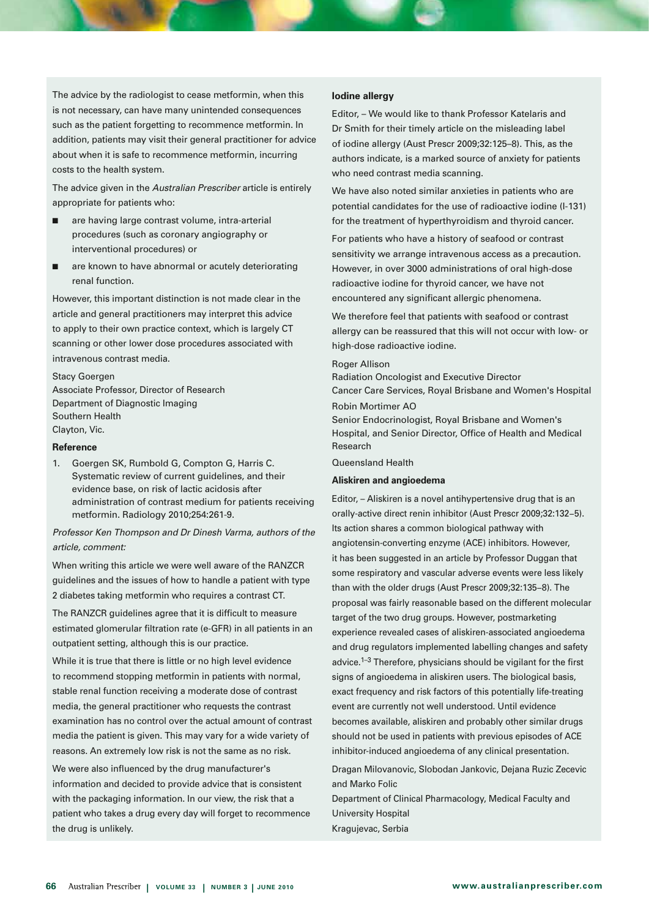The advice by the radiologist to cease metformin, when this is not necessary, can have many unintended consequences such as the patient forgetting to recommence metformin. In addition, patients may visit their general practitioner for advice about when it is safe to recommence metformin, incurring costs to the health system.

The advice given in the *Australian Prescriber* article is entirely appropriate for patients who:

- $\Box$  are having large contrast volume, intra-arterial procedures (such as coronary angiography or interventional procedures) or
- are known to have abnormal or acutely deteriorating renal function.

However, this important distinction is not made clear in the article and general practitioners may interpret this advice to apply to their own practice context, which is largely CT scanning or other lower dose procedures associated with intravenous contrast media.

Stacy Goergen Associate Professor, Director of Research Department of Diagnostic Imaging Southern Health Clayton, Vic.

## **Reference**

1. Goergen SK, Rumbold G, Compton G, Harris C. Systematic review of current guidelines, and their evidence base, on risk of lactic acidosis after administration of contrast medium for patients receiving metformin. Radiology 2010;254:261-9.

# *Professor Ken Thompson and Dr Dinesh Varma, authors of the article, comment:*

When writing this article we were well aware of the RANZCR guidelines and the issues of how to handle a patient with type 2 diabetes taking metformin who requires a contrast CT.

The RANZCR guidelines agree that it is difficult to measure estimated glomerular filtration rate (e-GFR) in all patients in an outpatient setting, although this is our practice.

While it is true that there is little or no high level evidence to recommend stopping metformin in patients with normal, stable renal function receiving a moderate dose of contrast media, the general practitioner who requests the contrast examination has no control over the actual amount of contrast media the patient is given. This may vary for a wide variety of reasons. An extremely low risk is not the same as no risk.

We were also influenced by the drug manufacturer's information and decided to provide advice that is consistent with the packaging information. In our view, the risk that a patient who takes a drug every day will forget to recommence the drug is unlikely.

#### **Iodine allergy**

Editor, – We would like to thank Professor Katelaris and Dr Smith for their timely article on the misleading label of iodine allergy (Aust Prescr 2009;32:125–8). This, as the authors indicate, is a marked source of anxiety for patients who need contrast media scanning.

We have also noted similar anxieties in patients who are potential candidates for the use of radioactive iodine (I-131) for the treatment of hyperthyroidism and thyroid cancer.

For patients who have a history of seafood or contrast sensitivity we arrange intravenous access as a precaution. However, in over 3000 administrations of oral high-dose radioactive iodine for thyroid cancer, we have not encountered any significant allergic phenomena.

We therefore feel that patients with seafood or contrast allergy can be reassured that this will not occur with low- or high-dose radioactive iodine.

#### Roger Allison

Radiation Oncologist and Executive Director Cancer Care Services, Royal Brisbane and Women's Hospital Robin Mortimer AO

Senior Endocrinologist, Royal Brisbane and Women's Hospital, and Senior Director, Office of Health and Medical Research

Queensland Health

#### **Aliskiren and angioedema**

Editor, – Aliskiren is a novel antihypertensive drug that is an orally-active direct renin inhibitor (Aust Prescr 2009;32:132−5). Its action shares a common biological pathway with angiotensin-converting enzyme (ACE) inhibitors. However, it has been suggested in an article by Professor Duggan that some respiratory and vascular adverse events were less likely than with the older drugs (Aust Prescr 2009;32:135−8). The proposal was fairly reasonable based on the different molecular target of the two drug groups. However, postmarketing experience revealed cases of aliskiren-associated angioedema and drug regulators implemented labelling changes and safety advice.<sup>1-3</sup> Therefore, physicians should be vigilant for the first signs of angioedema in aliskiren users. The biological basis, exact frequency and risk factors of this potentially life-treating event are currently not well understood. Until evidence becomes available, aliskiren and probably other similar drugs should not be used in patients with previous episodes of ACE inhibitor-induced angioedema of any clinical presentation.

Dragan Milovanovic, Slobodan Jankovic, Dejana Ruzic Zecevic and Marko Folic

Department of Clinical Pharmacology, Medical Faculty and University Hospital Kragujevac, Serbia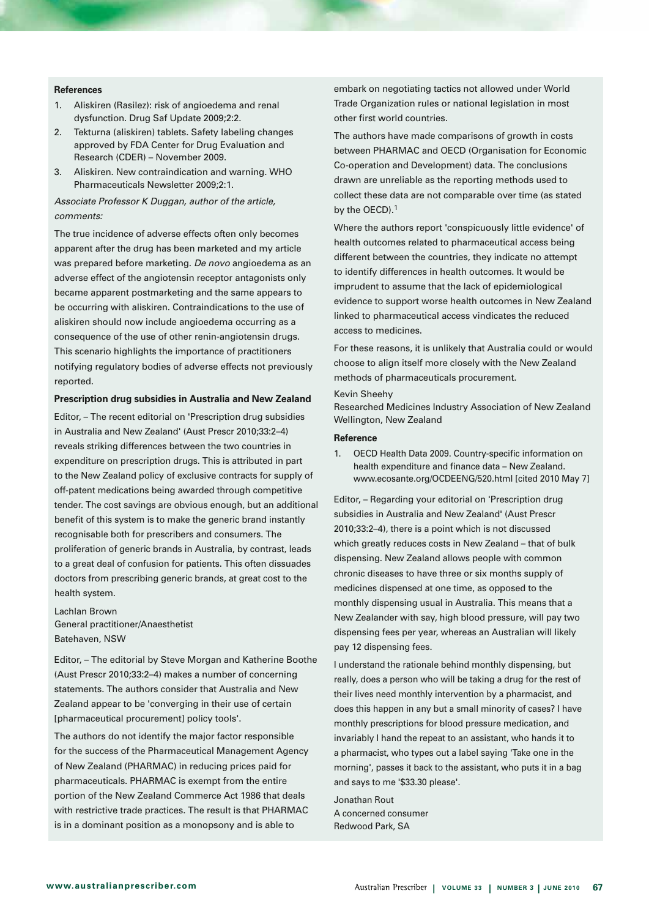#### **References**

- 1. Aliskiren (Rasilez): risk of angioedema and renal dysfunction. Drug Saf Update 2009;2:2.
- 2. Tekturna (aliskiren) tablets. Safety labeling changes approved by FDA Center for Drug Evaluation and Research (CDER) – November 2009.
- 3. Aliskiren. New contraindication and warning. WHO Pharmaceuticals Newsletter 2009;2:1.

## *Associate Professor K Duggan, author of the article, comments:*

The true incidence of adverse effects often only becomes apparent after the drug has been marketed and my article was prepared before marketing. *De novo* angioedema as an adverse effect of the angiotensin receptor antagonists only became apparent postmarketing and the same appears to be occurring with aliskiren. Contraindications to the use of aliskiren should now include angioedema occurring as a consequence of the use of other renin-angiotensin drugs. This scenario highlights the importance of practitioners notifying regulatory bodies of adverse effects not previously reported.

#### **Prescription drug subsidies in Australia and New Zealand**

Editor, – The recent editorial on 'Prescription drug subsidies in Australia and New Zealand' (Aust Prescr 2010;33:2–4) reveals striking differences between the two countries in expenditure on prescription drugs. This is attributed in part to the New Zealand policy of exclusive contracts for supply of off-patent medications being awarded through competitive tender. The cost savings are obvious enough, but an additional benefit of this system is to make the generic brand instantly recognisable both for prescribers and consumers. The proliferation of generic brands in Australia, by contrast, leads to a great deal of confusion for patients. This often dissuades doctors from prescribing generic brands, at great cost to the health system.

Lachlan Brown General practitioner/Anaesthetist Batehaven, NSW

Editor, – The editorial by Steve Morgan and Katherine Boothe (Aust Prescr 2010;33:2–4) makes a number of concerning statements. The authors consider that Australia and New Zealand appear to be 'converging in their use of certain [pharmaceutical procurement] policy tools'.

The authors do not identify the major factor responsible for the success of the Pharmaceutical Management Agency of New Zealand (PHARMAC) in reducing prices paid for pharmaceuticals. PHARMAC is exempt from the entire portion of the New Zealand Commerce Act 1986 that deals with restrictive trade practices. The result is that PHARMAC is in a dominant position as a monopsony and is able to

embark on negotiating tactics not allowed under World Trade Organization rules or national legislation in most other first world countries.

The authors have made comparisons of growth in costs between PHARMAC and OECD (Organisation for Economic Co-operation and Development) data. The conclusions drawn are unreliable as the reporting methods used to collect these data are not comparable over time (as stated by the OECD).<sup>1</sup>

Where the authors report 'conspicuously little evidence' of health outcomes related to pharmaceutical access being different between the countries, they indicate no attempt to identify differences in health outcomes. It would be imprudent to assume that the lack of epidemiological evidence to support worse health outcomes in New Zealand linked to pharmaceutical access vindicates the reduced access to medicines.

For these reasons, it is unlikely that Australia could or would choose to align itself more closely with the New Zealand methods of pharmaceuticals procurement.

#### Kevin Sheehy

Researched Medicines Industry Association of New Zealand Wellington, New Zealand

#### **Reference**

1. OECD Health Data 2009. Country-specific information on health expenditure and finance data – New Zealand. www.ecosante.org/OCDEENG/520.html [cited 2010 May 7]

Editor, – Regarding your editorial on 'Prescription drug subsidies in Australia and New Zealand' (Aust Prescr 2010;33:2–4), there is a point which is not discussed which greatly reduces costs in New Zealand – that of bulk dispensing. New Zealand allows people with common chronic diseases to have three or six months supply of medicines dispensed at one time, as opposed to the monthly dispensing usual in Australia. This means that a New Zealander with say, high blood pressure, will pay two dispensing fees per year, whereas an Australian will likely pay 12 dispensing fees.

I understand the rationale behind monthly dispensing, but really, does a person who will be taking a drug for the rest of their lives need monthly intervention by a pharmacist, and does this happen in any but a small minority of cases? I have monthly prescriptions for blood pressure medication, and invariably I hand the repeat to an assistant, who hands it to a pharmacist, who types out a label saying 'Take one in the morning', passes it back to the assistant, who puts it in a bag and says to me '\$33.30 please'.

Jonathan Rout A concerned consumer Redwood Park, SA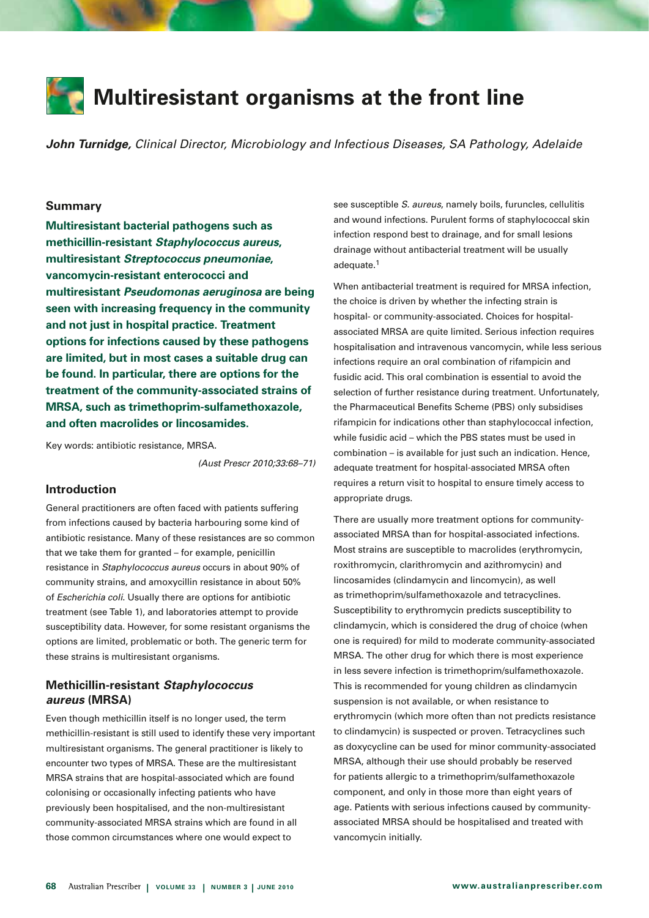

*John Turnidge, Clinical Director, Microbiology and Infectious Diseases, SA Pathology, Adelaide* 

#### **Summary**

**Multiresistant bacterial pathogens such as methicillin-resistant** *Staphylococcus aureus***, multiresistant** *Streptococcus pneumoniae***, vancomycin-resistant enterococci and multiresistant** *Pseudomonas aeruginosa* **are being seen with increasing frequency in the community and not just in hospital practice. Treatment options for infections caused by these pathogens are limited, but in most cases a suitable drug can be found. In particular, there are options for the treatment of the community-associated strains of MRSA, such as trimethoprim-sulfamethoxazole, and often macrolides or lincosamides.** 

Key words: antibiotic resistance, MRSA.

*(Aust Prescr 2010;33:68–71)*

#### **Introduction**

General practitioners are often faced with patients suffering from infections caused by bacteria harbouring some kind of antibiotic resistance. Many of these resistances are so common that we take them for granted – for example, penicillin resistance in *Staphylococcus aureus* occurs in about 90% of community strains, and amoxycillin resistance in about 50% of *Escherichia coli*. Usually there are options for antibiotic treatment (see Table 1), and laboratories attempt to provide susceptibility data. However, for some resistant organisms the options are limited, problematic or both. The generic term for these strains is multiresistant organisms.

# **Methicillin-resistant** *Staphylococcus aureus* **(MRSA)**

Even though methicillin itself is no longer used, the term methicillin-resistant is still used to identify these very important multiresistant organisms. The general practitioner is likely to encounter two types of MRSA. These are the multiresistant MRSA strains that are hospital-associated which are found colonising or occasionally infecting patients who have previously been hospitalised, and the non-multiresistant community-associated MRSA strains which are found in all those common circumstances where one would expect to

see susceptible *S. aureus*, namely boils, furuncles, cellulitis and wound infections. Purulent forms of staphylococcal skin infection respond best to drainage, and for small lesions drainage without antibacterial treatment will be usually adequate.1

When antibacterial treatment is required for MRSA infection, the choice is driven by whether the infecting strain is hospital- or community-associated. Choices for hospitalassociated MRSA are quite limited. Serious infection requires hospitalisation and intravenous vancomycin, while less serious infections require an oral combination of rifampicin and fusidic acid. This oral combination is essential to avoid the selection of further resistance during treatment. Unfortunately, the Pharmaceutical Benefits Scheme (PBS) only subsidises rifampicin for indications other than staphylococcal infection, while fusidic acid – which the PBS states must be used in combination – is available for just such an indication. Hence, adequate treatment for hospital-associated MRSA often requires a return visit to hospital to ensure timely access to appropriate drugs.

There are usually more treatment options for communityassociated MRSA than for hospital-associated infections. Most strains are susceptible to macrolides (erythromycin, roxithromycin, clarithromycin and azithromycin) and lincosamides (clindamycin and lincomycin), as well as trimethoprim/sulfamethoxazole and tetracyclines. Susceptibility to erythromycin predicts susceptibility to clindamycin, which is considered the drug of choice (when one is required) for mild to moderate community-associated MRSA. The other drug for which there is most experience in less severe infection is trimethoprim/sulfamethoxazole. This is recommended for young children as clindamycin suspension is not available, or when resistance to erythromycin (which more often than not predicts resistance to clindamycin) is suspected or proven. Tetracyclines such as doxycycline can be used for minor community-associated MRSA, although their use should probably be reserved for patients allergic to a trimethoprim/sulfamethoxazole component, and only in those more than eight years of age. Patients with serious infections caused by communityassociated MRSA should be hospitalised and treated with vancomycin initially.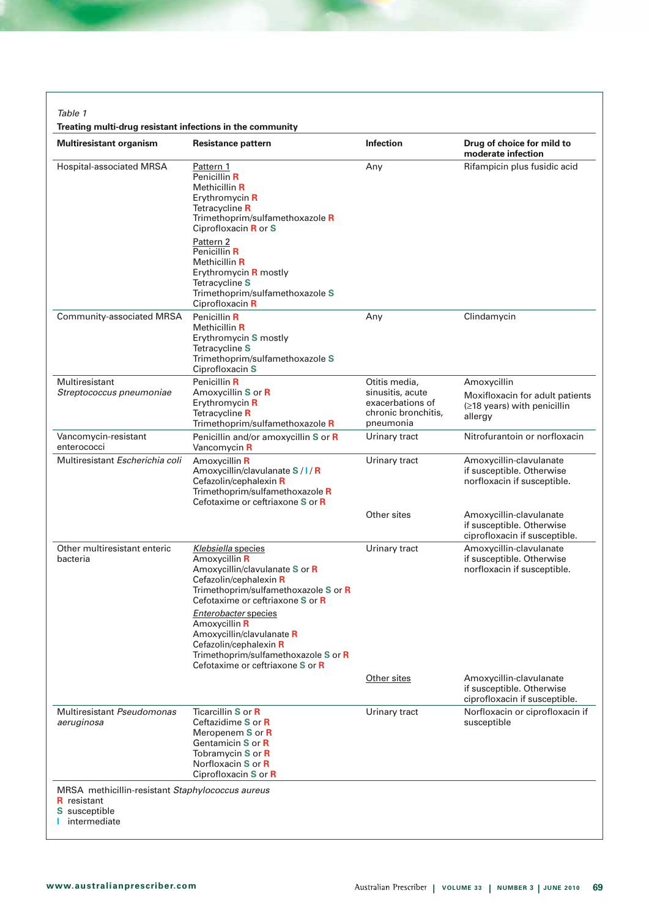*Table 1* 

**Treating multi-drug resistant infections in the community**

| <b>Multiresistant organism</b>                                                                          | Resistance pattern                                                                                                                                                                                                                                                                                                                                      | <b>Infection</b>                                                                          | Drug of choice for mild to<br>moderate infection                                         |
|---------------------------------------------------------------------------------------------------------|---------------------------------------------------------------------------------------------------------------------------------------------------------------------------------------------------------------------------------------------------------------------------------------------------------------------------------------------------------|-------------------------------------------------------------------------------------------|------------------------------------------------------------------------------------------|
| Hospital-associated MRSA                                                                                | Pattern 1<br>Penicillin R<br>Methicillin R<br>Erythromycin R<br>Tetracycline R<br>Trimethoprim/sulfamethoxazole R<br>Ciprofloxacin R or S<br>Pattern 2<br>Penicillin R                                                                                                                                                                                  | Any                                                                                       | Rifampicin plus fusidic acid                                                             |
|                                                                                                         | Methicillin R<br>Erythromycin <b>R</b> mostly<br>Tetracycline S<br>Trimethoprim/sulfamethoxazole S<br>Ciprofloxacin R                                                                                                                                                                                                                                   |                                                                                           |                                                                                          |
| Community-associated MRSA                                                                               | Penicillin R<br>Methicillin R<br>Erythromycin S mostly<br>Tetracycline S<br>Trimethoprim/sulfamethoxazole S<br>Ciprofloxacin S                                                                                                                                                                                                                          | Any                                                                                       | Clindamycin                                                                              |
| Multiresistant<br>Streptococcus pneumoniae                                                              | Penicillin R<br>Amoxycillin S or R<br>Erythromycin R<br>Tetracycline R<br>Trimethoprim/sulfamethoxazole R                                                                                                                                                                                                                                               | Otitis media,<br>sinusitis, acute<br>exacerbations of<br>chronic bronchitis,<br>pneumonia | Amoxycillin<br>Moxifloxacin for adult patients<br>(≥18 years) with penicillin<br>allergy |
| Vancomycin-resistant<br>enterococci                                                                     | Penicillin and/or amoxycillin S or R<br>Vancomycin R                                                                                                                                                                                                                                                                                                    | Urinary tract                                                                             | Nitrofurantoin or norfloxacin                                                            |
| Multiresistant Escherichia coli                                                                         | Amoxycillin R<br>Amoxycillin/clavulanate S/I/R<br>Cefazolin/cephalexin R<br>Trimethoprim/sulfamethoxazole R<br>Cefotaxime or ceftriaxone S or R                                                                                                                                                                                                         | Urinary tract                                                                             | Amoxycillin-clavulanate<br>if susceptible. Otherwise<br>norfloxacin if susceptible.      |
|                                                                                                         |                                                                                                                                                                                                                                                                                                                                                         | Other sites                                                                               | Amoxycillin-clavulanate<br>if susceptible. Otherwise<br>ciprofloxacin if susceptible.    |
| Other multiresistant enteric<br>bacteria                                                                | Klebsiella species<br>Amoxycillin R<br>Amoxycillin/clavulanate S or R<br>Cefazolin/cephalexin R<br>Trimethoprim/sulfamethoxazole S or R<br>Cefotaxime or ceftriaxone S or R<br>Enterobacter species<br>Amoxycillin R<br>Amoxycillin/clavulanate R<br>Cefazolin/cephalexin R<br>Trimethoprim/sulfamethoxazole S or R<br>Cefotaxime or ceftriaxone S or R | Urinary tract                                                                             | Amoxycillin-clavulanate<br>if susceptible. Otherwise<br>norfloxacin if susceptible.      |
|                                                                                                         |                                                                                                                                                                                                                                                                                                                                                         | Other sites                                                                               | Amoxycillin-clavulanate<br>if susceptible. Otherwise<br>ciprofloxacin if susceptible.    |
| Multiresistant Pseudomonas<br>aeruginosa                                                                | Ticarcillin S or R<br>Ceftazidime S or R<br>Meropenem S or R<br>Gentamicin S or R<br>Tobramycin S or R<br>Norfloxacin S or R<br>Ciprofloxacin S or R                                                                                                                                                                                                    | Urinary tract                                                                             | Norfloxacin or ciprofloxacin if<br>susceptible                                           |
| MRSA methicillin-resistant Staphylococcus aureus<br><b>R</b> resistant<br>S susceptible<br>intermediate |                                                                                                                                                                                                                                                                                                                                                         |                                                                                           |                                                                                          |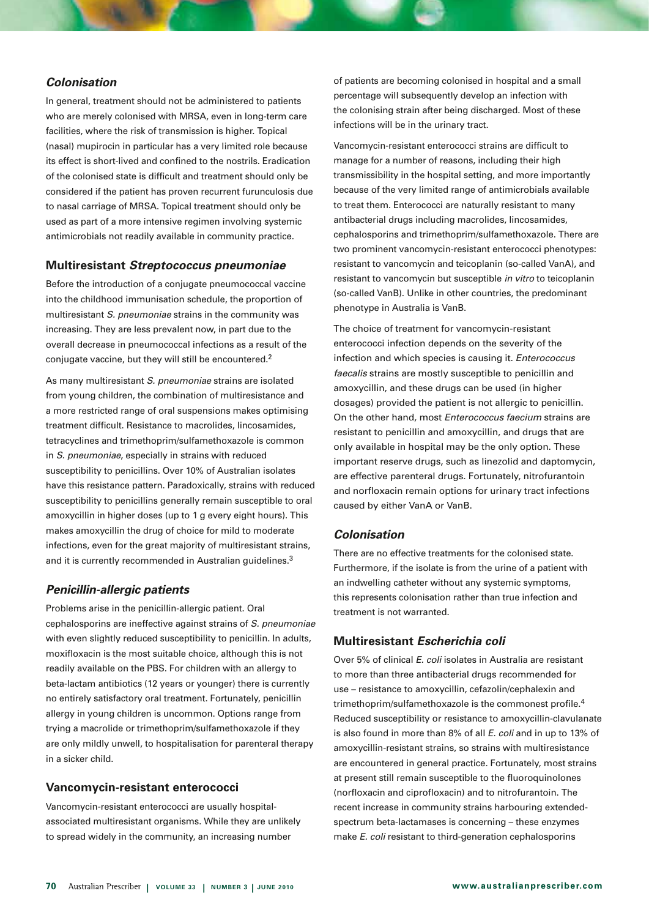# *Colonisation*

In general, treatment should not be administered to patients who are merely colonised with MRSA, even in long-term care facilities, where the risk of transmission is higher. Topical (nasal) mupirocin in particular has a very limited role because its effect is short-lived and confined to the nostrils. Eradication of the colonised state is difficult and treatment should only be considered if the patient has proven recurrent furunculosis due to nasal carriage of MRSA. Topical treatment should only be used as part of a more intensive regimen involving systemic antimicrobials not readily available in community practice.

# **Multiresistant** *Streptococcus pneumoniae*

Before the introduction of a conjugate pneumococcal vaccine into the childhood immunisation schedule, the proportion of multiresistant *S. pneumoniae* strains in the community was increasing. They are less prevalent now, in part due to the overall decrease in pneumococcal infections as a result of the conjugate vaccine, but they will still be encountered.2

As many multiresistant *S. pneumoniae* strains are isolated from young children, the combination of multiresistance and a more restricted range of oral suspensions makes optimising treatment difficult. Resistance to macrolides, lincosamides, tetracyclines and trimethoprim/sulfamethoxazole is common in *S. pneumoniae*, especially in strains with reduced susceptibility to penicillins. Over 10% of Australian isolates have this resistance pattern. Paradoxically, strains with reduced susceptibility to penicillins generally remain susceptible to oral amoxycillin in higher doses (up to 1 g every eight hours). This makes amoxycillin the drug of choice for mild to moderate infections, even for the great majority of multiresistant strains, and it is currently recommended in Australian guidelines.<sup>3</sup>

# *Penicillin-allergic patients*

Problems arise in the penicillin-allergic patient. Oral cephalosporins are ineffective against strains of *S. pneumoniae* with even slightly reduced susceptibility to penicillin. In adults, moxifloxacin is the most suitable choice, although this is not readily available on the PBS. For children with an allergy to beta-lactam antibiotics (12 years or younger) there is currently no entirely satisfactory oral treatment. Fortunately, penicillin allergy in young children is uncommon. Options range from trying a macrolide or trimethoprim/sulfamethoxazole if they are only mildly unwell, to hospitalisation for parenteral therapy in a sicker child.

# **Vancomycin-resistant enterococci**

Vancomycin-resistant enterococci are usually hospitalassociated multiresistant organisms. While they are unlikely to spread widely in the community, an increasing number

of patients are becoming colonised in hospital and a small percentage will subsequently develop an infection with the colonising strain after being discharged. Most of these infections will be in the urinary tract.

Vancomycin-resistant enterococci strains are difficult to manage for a number of reasons, including their high transmissibility in the hospital setting, and more importantly because of the very limited range of antimicrobials available to treat them. Enterococci are naturally resistant to many antibacterial drugs including macrolides, lincosamides, cephalosporins and trimethoprim/sulfamethoxazole. There are two prominent vancomycin-resistant enterococci phenotypes: resistant to vancomycin and teicoplanin (so-called VanA), and resistant to vancomycin but susceptible *in vitro* to teicoplanin (so-called VanB). Unlike in other countries, the predominant phenotype in Australia is VanB.

The choice of treatment for vancomycin-resistant enterococci infection depends on the severity of the infection and which species is causing it. *Enterococcus faecalis* strains are mostly susceptible to penicillin and amoxycillin, and these drugs can be used (in higher dosages) provided the patient is not allergic to penicillin. On the other hand, most *Enterococcus faecium* strains are resistant to penicillin and amoxycillin, and drugs that are only available in hospital may be the only option. These important reserve drugs, such as linezolid and daptomycin, are effective parenteral drugs. Fortunately, nitrofurantoin and norfloxacin remain options for urinary tract infections caused by either VanA or VanB.

# *Colonisation*

There are no effective treatments for the colonised state. Furthermore, if the isolate is from the urine of a patient with an indwelling catheter without any systemic symptoms, this represents colonisation rather than true infection and treatment is not warranted.

# **Multiresistant** *Escherichia coli*

Over 5% of clinical *E. coli* isolates in Australia are resistant to more than three antibacterial drugs recommended for use – resistance to amoxycillin, cefazolin/cephalexin and trimethoprim/sulfamethoxazole is the commonest profile.4 Reduced susceptibility or resistance to amoxycillin-clavulanate is also found in more than 8% of all *E. coli* and in up to 13% of amoxycillin-resistant strains, so strains with multiresistance are encountered in general practice. Fortunately, most strains at present still remain susceptible to the fluoroquinolones (norfloxacin and ciprofloxacin) and to nitrofurantoin. The recent increase in community strains harbouring extendedspectrum beta-lactamases is concerning – these enzymes make *E. coli* resistant to third-generation cephalosporins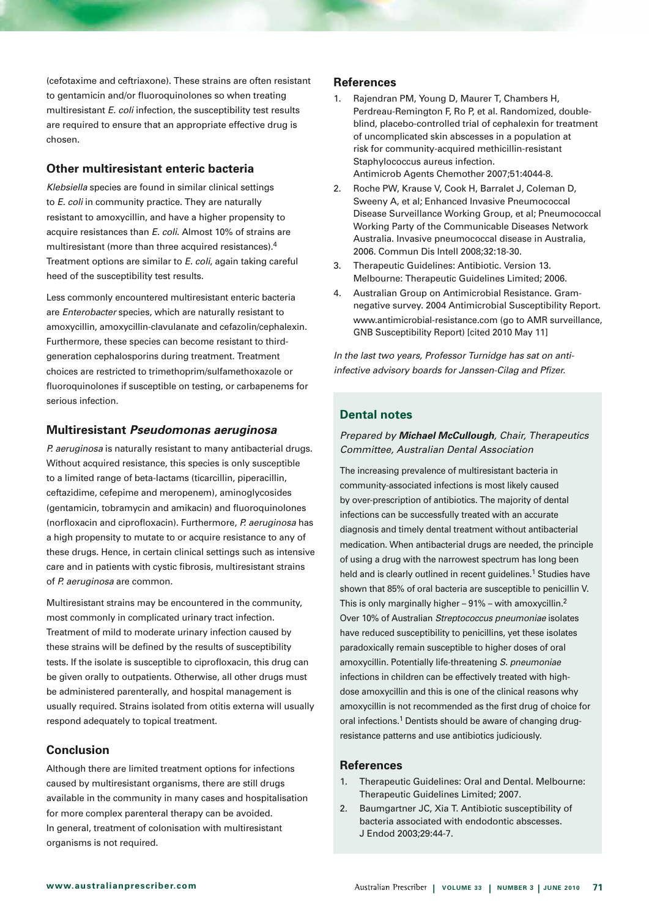(cefotaxime and ceftriaxone). These strains are often resistant to gentamicin and/or fluoroquinolones so when treating multiresistant *E. coli* infection, the susceptibility test results are required to ensure that an appropriate effective drug is chosen.

# **Other multiresistant enteric bacteria**

*Klebsiella* species are found in similar clinical settings to *E. coli* in community practice. They are naturally resistant to amoxycillin, and have a higher propensity to acquire resistances than *E. coli*. Almost 10% of strains are multiresistant (more than three acquired resistances).4 Treatment options are similar to *E. coli*, again taking careful heed of the susceptibility test results.

Less commonly encountered multiresistant enteric bacteria are *Enterobacter* species, which are naturally resistant to amoxycillin, amoxycillin-clavulanate and cefazolin/cephalexin. Furthermore, these species can become resistant to thirdgeneration cephalosporins during treatment. Treatment choices are restricted to trimethoprim/sulfamethoxazole or fluoroquinolones if susceptible on testing, or carbapenems for serious infection.

# **Multiresistant** *Pseudomonas aeruginosa*

*P. aeruginosa* is naturally resistant to many antibacterial drugs. Without acquired resistance, this species is only susceptible to a limited range of beta-lactams (ticarcillin, piperacillin, ceftazidime, cefepime and meropenem), aminoglycosides (gentamicin, tobramycin and amikacin) and fluoroquinolones (norfloxacin and ciprofloxacin). Furthermore, *P. aeruginosa* has a high propensity to mutate to or acquire resistance to any of these drugs. Hence, in certain clinical settings such as intensive care and in patients with cystic fibrosis, multiresistant strains of *P. aeruginosa* are common.

Multiresistant strains may be encountered in the community, most commonly in complicated urinary tract infection. Treatment of mild to moderate urinary infection caused by these strains will be defined by the results of susceptibility tests. If the isolate is susceptible to ciprofloxacin, this drug can be given orally to outpatients. Otherwise, all other drugs must be administered parenterally, and hospital management is usually required. Strains isolated from otitis externa will usually respond adequately to topical treatment.

# **Conclusion**

Although there are limited treatment options for infections caused by multiresistant organisms, there are still drugs available in the community in many cases and hospitalisation for more complex parenteral therapy can be avoided. In general, treatment of colonisation with multiresistant organisms is not required.

# **References**

- 1. Rajendran PM, Young D, Maurer T, Chambers H, Perdreau-Remington F, Ro P, et al. Randomized, doubleblind, placebo-controlled trial of cephalexin for treatment of uncomplicated skin abscesses in a population at risk for community-acquired methicillin-resistant Staphylococcus aureus infection. Antimicrob Agents Chemother 2007;51:4044-8.
- 2. Roche PW, Krause V, Cook H, Barralet J, Coleman D, Sweeny A, et al; Enhanced Invasive Pneumococcal Disease Surveillance Working Group, et al; Pneumococcal Working Party of the Communicable Diseases Network Australia. Invasive pneumococcal disease in Australia, 2006. Commun Dis Intell 2008;32:18-30.
- 3. Therapeutic Guidelines: Antibiotic. Version 13. Melbourne: Therapeutic Guidelines Limited; 2006.
- 4. Australian Group on Antimicrobial Resistance. Gramnegative survey. 2004 Antimicrobial Susceptibility Report. www.antimicrobial-resistance.com (go to AMR surveillance, GNB Susceptibility Report) [cited 2010 May 11]

*In the last two years, Professor Turnidge has sat on antiinfective advisory boards for Janssen-Cilag and Pfizer.* 

# **Dental notes**

# *Prepared by Michael McCullough, Chair, Therapeutics Committee, Australian Dental Association*

The increasing prevalence of multiresistant bacteria in community-associated infections is most likely caused by over-prescription of antibiotics. The majority of dental infections can be successfully treated with an accurate diagnosis and timely dental treatment without antibacterial medication. When antibacterial drugs are needed, the principle of using a drug with the narrowest spectrum has long been held and is clearly outlined in recent guidelines.<sup>1</sup> Studies have shown that 85% of oral bacteria are susceptible to penicillin V. This is only marginally higher  $-91\%$  – with amoxycillin.<sup>2</sup> Over 10% of Australian *Streptococcus pneumoniae* isolates have reduced susceptibility to penicillins, yet these isolates paradoxically remain susceptible to higher doses of oral amoxycillin. Potentially life-threatening *S. pneumoniae* infections in children can be effectively treated with highdose amoxycillin and this is one of the clinical reasons why amoxycillin is not recommended as the first drug of choice for oral infections.<sup>1</sup> Dentists should be aware of changing drugresistance patterns and use antibiotics judiciously.

- 1. Therapeutic Guidelines: Oral and Dental. Melbourne: Therapeutic Guidelines Limited; 2007.
- 2. Baumgartner JC, Xia T. Antibiotic susceptibility of bacteria associated with endodontic abscesses. J Endod 2003;29:44-7.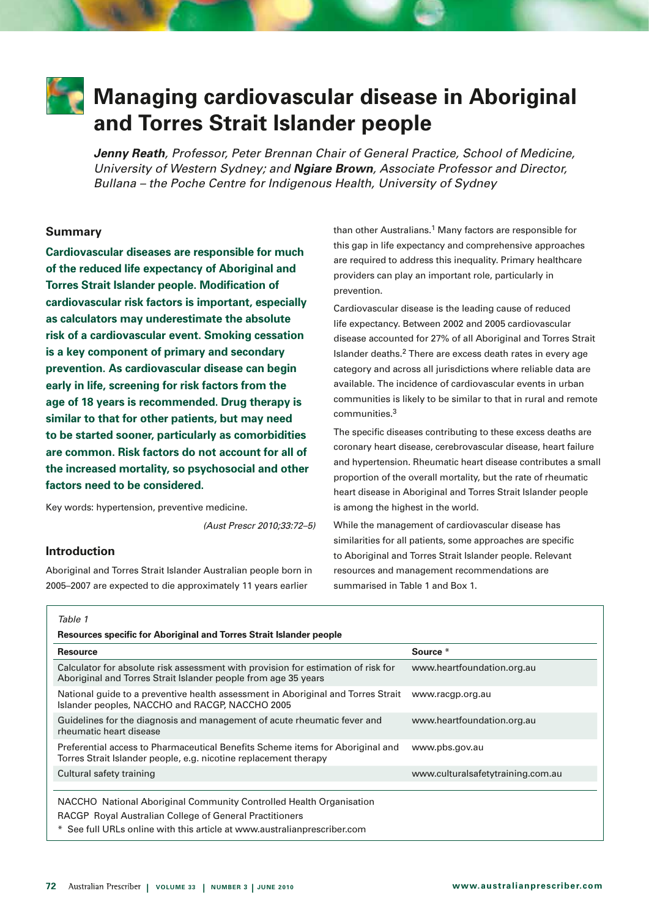

# **Managing cardiovascular disease in Aboriginal and Torres Strait Islander people**

*Jenny Reath, Professor, Peter Brennan Chair of General Practice, School of Medicine, University of Western Sydney; and Ngiare Brown, Associate Professor and Director, Bullana – the Poche Centre for Indigenous Health, University of Sydney* 

# **Summary**

**Cardiovascular diseases are responsible for much of the reduced life expectancy of Aboriginal and Torres Strait Islander people. Modification of cardiovascular risk factors is important, especially as calculators may underestimate the absolute risk of a cardiovascular event. Smoking cessation is a key component of primary and secondary prevention. As cardiovascular disease can begin early in life, screening for risk factors from the age of 18 years is recommended. Drug therapy is similar to that for other patients, but may need to be started sooner, particularly as comorbidities are common. Risk factors do not account for all of the increased mortality, so psychosocial and other factors need to be considered.**

Key words: hypertension, preventive medicine.

*(Aust Prescr 2010;33:72–5)*

# **Introduction**

Aboriginal and Torres Strait Islander Australian people born in 2005–2007 are expected to die approximately 11 years earlier

than other Australians.<sup>1</sup> Many factors are responsible for this gap in life expectancy and comprehensive approaches are required to address this inequality. Primary healthcare providers can play an important role, particularly in prevention.

Cardiovascular disease is the leading cause of reduced life expectancy. Between 2002 and 2005 cardiovascular disease accounted for 27% of all Aboriginal and Torres Strait Islander deaths.2 There are excess death rates in every age category and across all jurisdictions where reliable data are available. The incidence of cardiovascular events in urban communities is likely to be similar to that in rural and remote communities.3

The specific diseases contributing to these excess deaths are coronary heart disease, cerebrovascular disease, heart failure and hypertension. Rheumatic heart disease contributes a small proportion of the overall mortality, but the rate of rheumatic heart disease in Aboriginal and Torres Strait Islander people is among the highest in the world.

While the management of cardiovascular disease has similarities for all patients, some approaches are specific to Aboriginal and Torres Strait Islander people. Relevant resources and management recommendations are summarised in Table 1 and Box 1.

| <br>۰.<br>٠ |  |
|-------------|--|

| Source *                                                                         |
|----------------------------------------------------------------------------------|
| www.heartfoundation.org.au                                                       |
| www.racgp.org.au                                                                 |
| www.heartfoundation.org.au                                                       |
| www.pbs.gov.au                                                                   |
| www.culturalsafetytraining.com.au                                                |
|                                                                                  |
| National quide to a preventive health assessment in Aboriginal and Torres Strait |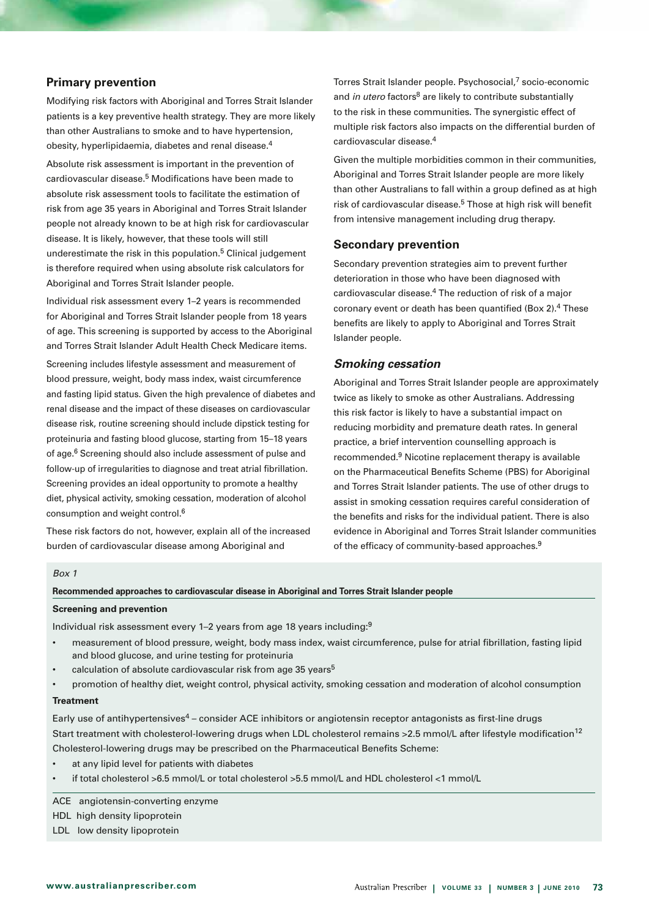# **Primary prevention**

Modifying risk factors with Aboriginal and Torres Strait Islander patients is a key preventive health strategy. They are more likely than other Australians to smoke and to have hypertension, obesity, hyperlipidaemia, diabetes and renal disease.4

Absolute risk assessment is important in the prevention of cardiovascular disease.5 Modifications have been made to absolute risk assessment tools to facilitate the estimation of risk from age 35 years in Aboriginal and Torres Strait Islander people not already known to be at high risk for cardiovascular disease. It is likely, however, that these tools will still underestimate the risk in this population.<sup>5</sup> Clinical judgement is therefore required when using absolute risk calculators for Aboriginal and Torres Strait Islander people.

Individual risk assessment every 1–2 years is recommended for Aboriginal and Torres Strait Islander people from 18 years of age. This screening is supported by access to the Aboriginal and Torres Strait Islander Adult Health Check Medicare items.

Screening includes lifestyle assessment and measurement of blood pressure, weight, body mass index, waist circumference and fasting lipid status. Given the high prevalence of diabetes and renal disease and the impact of these diseases on cardiovascular disease risk, routine screening should include dipstick testing for proteinuria and fasting blood glucose, starting from 15–18 years of age.6 Screening should also include assessment of pulse and follow-up of irregularities to diagnose and treat atrial fibrillation. Screening provides an ideal opportunity to promote a healthy diet, physical activity, smoking cessation, moderation of alcohol consumption and weight control.6

These risk factors do not, however, explain all of the increased burden of cardiovascular disease among Aboriginal and

Torres Strait Islander people. Psychosocial,<sup>7</sup> socio-economic and *in utero* factors<sup>8</sup> are likely to contribute substantially to the risk in these communities. The synergistic effect of multiple risk factors also impacts on the differential burden of cardiovascular disease.4

Given the multiple morbidities common in their communities, Aboriginal and Torres Strait Islander people are more likely than other Australians to fall within a group defined as at high risk of cardiovascular disease.5 Those at high risk will benefit from intensive management including drug therapy.

# **Secondary prevention**

Secondary prevention strategies aim to prevent further deterioration in those who have been diagnosed with cardiovascular disease.4 The reduction of risk of a major coronary event or death has been quantified (Box 2).4 These benefits are likely to apply to Aboriginal and Torres Strait Islander people.

## *Smoking cessation*

Aboriginal and Torres Strait Islander people are approximately twice as likely to smoke as other Australians. Addressing this risk factor is likely to have a substantial impact on reducing morbidity and premature death rates. In general practice, a brief intervention counselling approach is recommended.9 Nicotine replacement therapy is available on the Pharmaceutical Benefits Scheme (PBS) for Aboriginal and Torres Strait Islander patients. The use of other drugs to assist in smoking cessation requires careful consideration of the benefits and risks for the individual patient. There is also evidence in Aboriginal and Torres Strait Islander communities of the efficacy of community-based approaches.<sup>9</sup>

#### *Box 1*

**Recommended approaches to cardiovascular disease in Aboriginal and Torres Strait Islander people**

#### **Screening and prevention**

Individual risk assessment every 1–2 years from age 18 years including:9

- • measurement of blood pressure, weight, body mass index, waist circumference, pulse for atrial fibrillation, fasting lipid and blood glucose, and urine testing for proteinuria
- calculation of absolute cardiovascular risk from age 35 years<sup>5</sup>
- promotion of healthy diet, weight control, physical activity, smoking cessation and moderation of alcohol consumption

#### **Treatment**

Early use of antihypertensives<sup>4</sup> – consider ACE inhibitors or angiotensin receptor antagonists as first-line drugs Start treatment with cholesterol-lowering drugs when LDL cholesterol remains >2.5 mmol/L after lifestyle modification<sup>12</sup> Cholesterol-lowering drugs may be prescribed on the Pharmaceutical Benefits Scheme:

- at any lipid level for patients with diabetes
- if total cholesterol  $>6.5$  mmol/L or total cholesterol  $>5.5$  mmol/L and HDL cholesterol  $<1$  mmol/L

#### ACE angiotensin-converting enzyme

HDL high density lipoprotein

LDL low density lipoprotein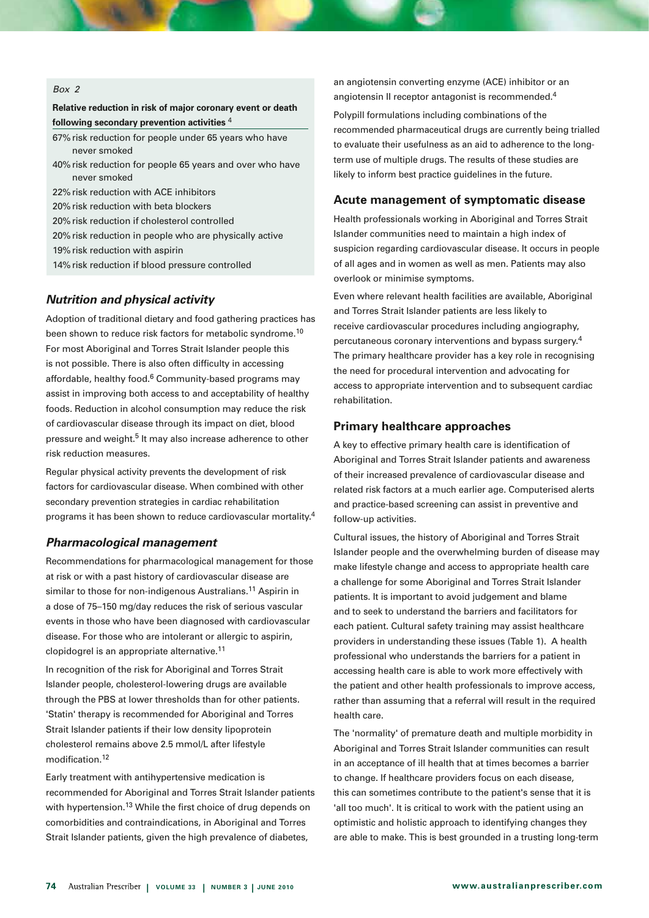#### *Box 2*

# **Relative reduction in risk of major coronary event or death following secondary prevention activities** <sup>4</sup>

- 67% risk reduction for people under 65 years who have never smoked
- 40% risk reduction for people 65 years and over who have never smoked
- 22% risk reduction with ACE inhibitors
- 20% risk reduction with beta blockers
- 20% risk reduction if cholesterol controlled
- 20% risk reduction in people who are physically active
- 19% risk reduction with aspirin
- 14% risk reduction if blood pressure controlled

# *Nutrition and physical activity*

Adoption of traditional dietary and food gathering practices has been shown to reduce risk factors for metabolic syndrome.10 For most Aboriginal and Torres Strait Islander people this is not possible. There is also often difficulty in accessing affordable, healthy food.<sup>6</sup> Community-based programs may assist in improving both access to and acceptability of healthy foods. Reduction in alcohol consumption may reduce the risk of cardiovascular disease through its impact on diet, blood pressure and weight.<sup>5</sup> It may also increase adherence to other risk reduction measures.

Regular physical activity prevents the development of risk factors for cardiovascular disease. When combined with other secondary prevention strategies in cardiac rehabilitation programs it has been shown to reduce cardiovascular mortality.4

# *Pharmacological management*

Recommendations for pharmacological management for those at risk or with a past history of cardiovascular disease are similar to those for non-indigenous Australians.<sup>11</sup> Aspirin in a dose of 75–150 mg/day reduces the risk of serious vascular events in those who have been diagnosed with cardiovascular disease. For those who are intolerant or allergic to aspirin, clopidogrel is an appropriate alternative.11

In recognition of the risk for Aboriginal and Torres Strait Islander people, cholesterol-lowering drugs are available through the PBS at lower thresholds than for other patients. 'Statin' therapy is recommended for Aboriginal and Torres Strait Islander patients if their low density lipoprotein cholesterol remains above 2.5 mmol/L after lifestyle modification.12

Early treatment with antihypertensive medication is recommended for Aboriginal and Torres Strait Islander patients with hypertension.<sup>13</sup> While the first choice of drug depends on comorbidities and contraindications, in Aboriginal and Torres Strait Islander patients, given the high prevalence of diabetes,

an angiotensin converting enzyme (ACE) inhibitor or an angiotensin II receptor antagonist is recommended.<sup>4</sup>

Polypill formulations including combinations of the recommended pharmaceutical drugs are currently being trialled to evaluate their usefulness as an aid to adherence to the longterm use of multiple drugs. The results of these studies are likely to inform best practice guidelines in the future.

#### **Acute management of symptomatic disease**

Health professionals working in Aboriginal and Torres Strait Islander communities need to maintain a high index of suspicion regarding cardiovascular disease. It occurs in people of all ages and in women as well as men. Patients may also overlook or minimise symptoms.

Even where relevant health facilities are available, Aboriginal and Torres Strait Islander patients are less likely to receive cardiovascular procedures including angiography, percutaneous coronary interventions and bypass surgery.4 The primary healthcare provider has a key role in recognising the need for procedural intervention and advocating for access to appropriate intervention and to subsequent cardiac rehabilitation.

# **Primary healthcare approaches**

A key to effective primary health care is identification of Aboriginal and Torres Strait Islander patients and awareness of their increased prevalence of cardiovascular disease and related risk factors at a much earlier age. Computerised alerts and practice-based screening can assist in preventive and follow-up activities.

Cultural issues, the history of Aboriginal and Torres Strait Islander people and the overwhelming burden of disease may make lifestyle change and access to appropriate health care a challenge for some Aboriginal and Torres Strait Islander patients. It is important to avoid judgement and blame and to seek to understand the barriers and facilitators for each patient. Cultural safety training may assist healthcare providers in understanding these issues (Table 1). A health professional who understands the barriers for a patient in accessing health care is able to work more effectively with the patient and other health professionals to improve access, rather than assuming that a referral will result in the required health care.

The 'normality' of premature death and multiple morbidity in Aboriginal and Torres Strait Islander communities can result in an acceptance of ill health that at times becomes a barrier to change. If healthcare providers focus on each disease, this can sometimes contribute to the patient's sense that it is 'all too much'. It is critical to work with the patient using an optimistic and holistic approach to identifying changes they are able to make. This is best grounded in a trusting long-term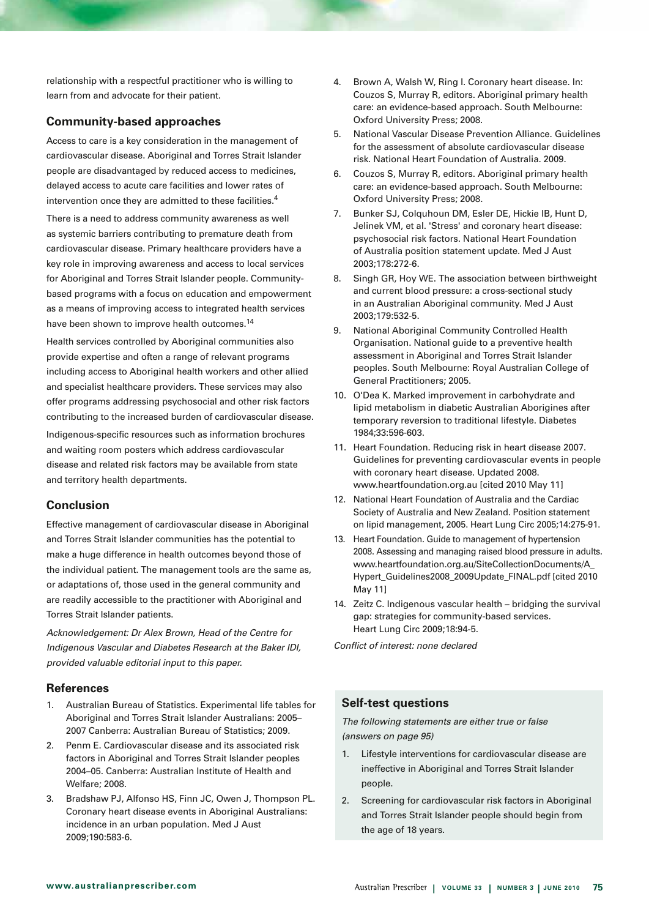relationship with a respectful practitioner who is willing to learn from and advocate for their patient.

# **Community-based approaches**

Access to care is a key consideration in the management of cardiovascular disease. Aboriginal and Torres Strait Islander people are disadvantaged by reduced access to medicines, delayed access to acute care facilities and lower rates of intervention once they are admitted to these facilities.4

There is a need to address community awareness as well as systemic barriers contributing to premature death from cardiovascular disease. Primary healthcare providers have a key role in improving awareness and access to local services for Aboriginal and Torres Strait Islander people. Communitybased programs with a focus on education and empowerment as a means of improving access to integrated health services have been shown to improve health outcomes.<sup>14</sup>

Health services controlled by Aboriginal communities also provide expertise and often a range of relevant programs including access to Aboriginal health workers and other allied and specialist healthcare providers. These services may also offer programs addressing psychosocial and other risk factors contributing to the increased burden of cardiovascular disease. Indigenous-specific resources such as information brochures and waiting room posters which address cardiovascular disease and related risk factors may be available from state and territory health departments.

# **Conclusion**

Effective management of cardiovascular disease in Aboriginal and Torres Strait Islander communities has the potential to make a huge difference in health outcomes beyond those of the individual patient. The management tools are the same as, or adaptations of, those used in the general community and are readily accessible to the practitioner with Aboriginal and Torres Strait Islander patients.

*Acknowledgement: Dr Alex Brown, Head of the Centre for Indigenous Vascular and Diabetes Research at the Baker IDI, provided valuable editorial input to this paper.*

# **References**

- 1. Australian Bureau of Statistics. Experimental life tables for Aboriginal and Torres Strait Islander Australians: 2005– 2007 Canberra: Australian Bureau of Statistics; 2009.
- 2. Penm E. Cardiovascular disease and its associated risk factors in Aboriginal and Torres Strait Islander peoples 2004–05. Canberra: Australian Institute of Health and Welfare; 2008.
- 3. Bradshaw PJ, Alfonso HS, Finn JC, Owen J, Thompson PL. Coronary heart disease events in Aboriginal Australians: incidence in an urban population. Med J Aust 2009;190:583-6.
- 4. Brown A, Walsh W, Ring I. Coronary heart disease. In: Couzos S, Murray R, editors. Aboriginal primary health care: an evidence-based approach. South Melbourne: Oxford University Press; 2008.
- 5. National Vascular Disease Prevention Alliance. Guidelines for the assessment of absolute cardiovascular disease risk. National Heart Foundation of Australia. 2009.
- 6. Couzos S, Murray R, editors. Aboriginal primary health care: an evidence-based approach. South Melbourne: Oxford University Press; 2008.
- 7. Bunker SJ, Colquhoun DM, Esler DE, Hickie IB, Hunt D, Jelinek VM, et al. 'Stress' and coronary heart disease: psychosocial risk factors. National Heart Foundation of Australia position statement update. Med J Aust 2003;178:272-6.
- 8. Singh GR, Hoy WE. The association between birthweight and current blood pressure: a cross-sectional study in an Australian Aboriginal community. Med J Aust 2003;179:532-5.
- 9. National Aboriginal Community Controlled Health Organisation. National guide to a preventive health assessment in Aboriginal and Torres Strait Islander peoples. South Melbourne: Royal Australian College of General Practitioners; 2005.
- 10. O'Dea K. Marked improvement in carbohydrate and lipid metabolism in diabetic Australian Aborigines after temporary reversion to traditional lifestyle. Diabetes 1984;33:596-603.
- 11. Heart Foundation. Reducing risk in heart disease 2007. Guidelines for preventing cardiovascular events in people with coronary heart disease. Updated 2008. www.heartfoundation.org.au [cited 2010 May 11]
- 12. National Heart Foundation of Australia and the Cardiac Society of Australia and New Zealand. Position statement on lipid management, 2005. Heart Lung Circ 2005;14:275-91.
- 13. Heart Foundation. Guide to management of hypertension 2008. Assessing and managing raised blood pressure in adults. www.heartfoundation.org.au/SiteCollectionDocuments/A\_ Hypert\_Guidelines2008\_2009Update\_FINAL.pdf [cited 2010 May 11]
- 14. Zeitz C. Indigenous vascular health bridging the survival gap: strategies for community-based services. Heart Lung Circ 2009;18:94-5.

*Conflict of interest: none declared*

# **Self-test questions**

*The following statements are either true or false (answers on page 95)*

- 1. Lifestyle interventions for cardiovascular disease are ineffective in Aboriginal and Torres Strait Islander people.
- 2. Screening for cardiovascular risk factors in Aboriginal and Torres Strait Islander people should begin from the age of 18 years.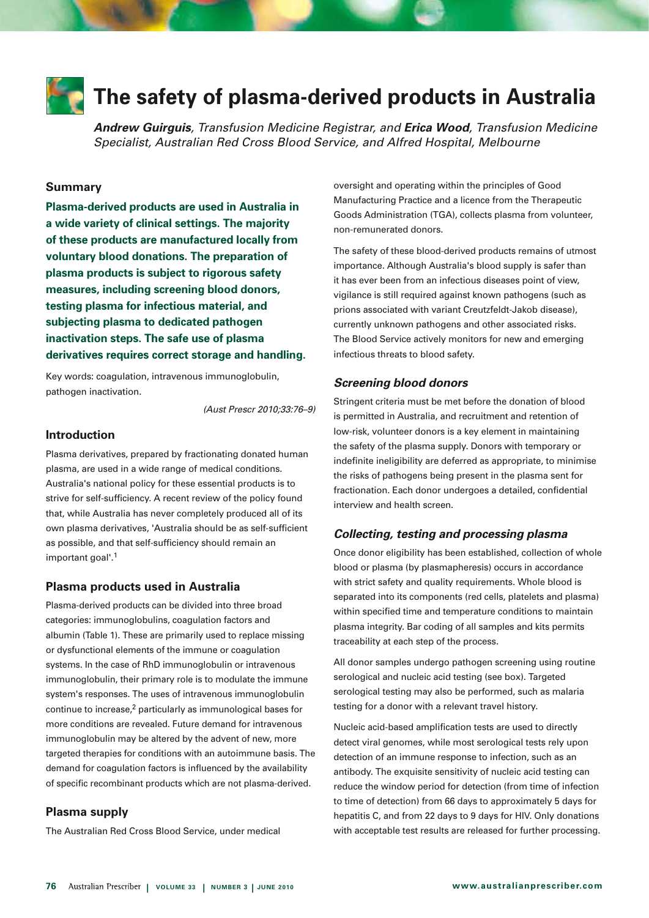

# **The safety of plasma-derived products in Australia**

*Andrew Guirguis, Transfusion Medicine Registrar, and Erica Wood, Transfusion Medicine Specialist, Australian Red Cross Blood Service, and Alfred Hospital, Melbourne*

# **Summary**

**Plasma-derived products are used in Australia in a wide variety of clinical settings. The majority of these products are manufactured locally from voluntary blood donations. The preparation of plasma products is subject to rigorous safety measures, including screening blood donors, testing plasma for infectious material, and subjecting plasma to dedicated pathogen inactivation steps. The safe use of plasma derivatives requires correct storage and handling.**

Key words: coagulation, intravenous immunoglobulin, pathogen inactivation.

*(Aust Prescr 2010;33:76–9)*

# **Introduction**

Plasma derivatives, prepared by fractionating donated human plasma, are used in a wide range of medical conditions. Australia's national policy for these essential products is to strive for self-sufficiency. A recent review of the policy found that, while Australia has never completely produced all of its own plasma derivatives, 'Australia should be as self-sufficient as possible, and that self-sufficiency should remain an important goal'.<sup>1</sup>

#### **Plasma products used in Australia**

Plasma-derived products can be divided into three broad categories: immunoglobulins, coagulation factors and albumin (Table 1). These are primarily used to replace missing or dysfunctional elements of the immune or coagulation systems. In the case of RhD immunoglobulin or intravenous immunoglobulin, their primary role is to modulate the immune system's responses. The uses of intravenous immunoglobulin continue to increase,<sup>2</sup> particularly as immunological bases for more conditions are revealed. Future demand for intravenous immunoglobulin may be altered by the advent of new, more targeted therapies for conditions with an autoimmune basis. The demand for coagulation factors is influenced by the availability of specific recombinant products which are not plasma-derived.

### **Plasma supply**

The Australian Red Cross Blood Service, under medical

oversight and operating within the principles of Good Manufacturing Practice and a licence from the Therapeutic Goods Administration (TGA), collects plasma from volunteer, non-remunerated donors.

The safety of these blood-derived products remains of utmost importance. Although Australia's blood supply is safer than it has ever been from an infectious diseases point of view, vigilance is still required against known pathogens (such as prions associated with variant Creutzfeldt-Jakob disease), currently unknown pathogens and other associated risks. The Blood Service actively monitors for new and emerging infectious threats to blood safety.

#### *Screening blood donors*

Stringent criteria must be met before the donation of blood is permitted in Australia, and recruitment and retention of low-risk, volunteer donors is a key element in maintaining the safety of the plasma supply. Donors with temporary or indefinite ineligibility are deferred as appropriate, to minimise the risks of pathogens being present in the plasma sent for fractionation. Each donor undergoes a detailed, confidential interview and health screen.

# *Collecting, testing and processing plasma*

Once donor eligibility has been established, collection of whole blood or plasma (by plasmapheresis) occurs in accordance with strict safety and quality requirements. Whole blood is separated into its components (red cells, platelets and plasma) within specified time and temperature conditions to maintain plasma integrity. Bar coding of all samples and kits permits traceability at each step of the process.

All donor samples undergo pathogen screening using routine serological and nucleic acid testing (see box). Targeted serological testing may also be performed, such as malaria testing for a donor with a relevant travel history.

Nucleic acid-based amplification tests are used to directly detect viral genomes, while most serological tests rely upon detection of an immune response to infection, such as an antibody. The exquisite sensitivity of nucleic acid testing can reduce the window period for detection (from time of infection to time of detection) from 66 days to approximately 5 days for hepatitis C, and from 22 days to 9 days for HIV. Only donations with acceptable test results are released for further processing.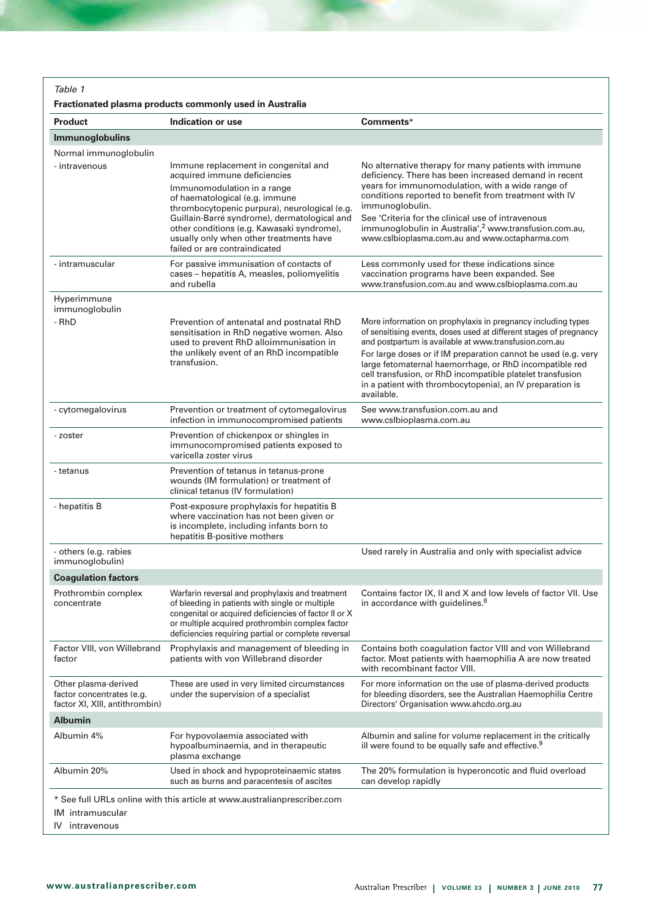*Table 1* 

# **Fractionated plasma products commonly used in Australia**

| <b>Product</b>                                                                      | Indication or use                                                                                                                                                                                                                                                     | Comments*                                                                                                                                                                                                                                                          |  |  |
|-------------------------------------------------------------------------------------|-----------------------------------------------------------------------------------------------------------------------------------------------------------------------------------------------------------------------------------------------------------------------|--------------------------------------------------------------------------------------------------------------------------------------------------------------------------------------------------------------------------------------------------------------------|--|--|
| <b>Immunoglobulins</b>                                                              |                                                                                                                                                                                                                                                                       |                                                                                                                                                                                                                                                                    |  |  |
| Normal immunoglobulin                                                               |                                                                                                                                                                                                                                                                       |                                                                                                                                                                                                                                                                    |  |  |
| - intravenous                                                                       | Immune replacement in congenital and<br>acquired immune deficiencies<br>Immunomodulation in a range                                                                                                                                                                   | No alternative therapy for many patients with immune<br>deficiency. There has been increased demand in recent<br>years for immunomodulation, with a wide range of                                                                                                  |  |  |
|                                                                                     | of haematological (e.g. immune<br>thrombocytopenic purpura), neurological (e.g.                                                                                                                                                                                       | conditions reported to benefit from treatment with IV<br>immunoglobulin.                                                                                                                                                                                           |  |  |
|                                                                                     | Guillain-Barré syndrome), dermatological and<br>other conditions (e.g. Kawasaki syndrome),<br>usually only when other treatments have<br>failed or are contraindicated                                                                                                | See 'Criteria for the clinical use of intravenous<br>immunoglobulin in Australia', <sup>2</sup> www.transfusion.com.au,<br>www.cslbioplasma.com.au and www.octapharma.com                                                                                          |  |  |
| - intramuscular                                                                     | For passive immunisation of contacts of<br>cases - hepatitis A, measles, poliomyelitis<br>and rubella                                                                                                                                                                 | Less commonly used for these indications since<br>vaccination programs have been expanded. See<br>www.transfusion.com.au and www.cslbioplasma.com.au                                                                                                               |  |  |
| Hyperimmune<br>immunoglobulin                                                       |                                                                                                                                                                                                                                                                       |                                                                                                                                                                                                                                                                    |  |  |
| - RhD                                                                               | Prevention of antenatal and postnatal RhD<br>sensitisation in RhD negative women. Also<br>used to prevent RhD alloimmunisation in                                                                                                                                     | More information on prophylaxis in pregnancy including types<br>of sensitising events, doses used at different stages of pregnancy<br>and postpartum is available at www.transfusion.com.au                                                                        |  |  |
|                                                                                     | the unlikely event of an RhD incompatible<br>transfusion.                                                                                                                                                                                                             | For large doses or if IM preparation cannot be used (e.g. very<br>large fetomaternal haemorrhage, or RhD incompatible red<br>cell transfusion, or RhD incompatible platelet transfusion<br>in a patient with thrombocytopenia), an IV preparation is<br>available. |  |  |
| - cytomegalovirus                                                                   | Prevention or treatment of cytomegalovirus<br>infection in immunocompromised patients                                                                                                                                                                                 | See www.transfusion.com.au and<br>www.cslbioplasma.com.au                                                                                                                                                                                                          |  |  |
| - zoster                                                                            | Prevention of chickenpox or shingles in<br>immunocompromised patients exposed to<br>varicella zoster virus                                                                                                                                                            |                                                                                                                                                                                                                                                                    |  |  |
| - tetanus                                                                           | Prevention of tetanus in tetanus-prone<br>wounds (IM formulation) or treatment of<br>clinical tetanus (IV formulation)                                                                                                                                                |                                                                                                                                                                                                                                                                    |  |  |
| - hepatitis B                                                                       | Post-exposure prophylaxis for hepatitis B<br>where vaccination has not been given or<br>is incomplete, including infants born to<br>hepatitis B-positive mothers                                                                                                      |                                                                                                                                                                                                                                                                    |  |  |
| - others (e.g. rabies<br>immunoglobulin)                                            |                                                                                                                                                                                                                                                                       | Used rarely in Australia and only with specialist advice                                                                                                                                                                                                           |  |  |
| <b>Coagulation factors</b>                                                          |                                                                                                                                                                                                                                                                       |                                                                                                                                                                                                                                                                    |  |  |
| Prothrombin complex<br>concentrate                                                  | Warfarin reversal and prophylaxis and treatment<br>of bleeding in patients with single or multiple<br>congenital or acquired deficiencies of factor II or X<br>or multiple acquired prothrombin complex factor<br>deficiencies requiring partial or complete reversal | Contains factor IX, II and X and low levels of factor VII. Use<br>in accordance with guidelines. <sup>8</sup>                                                                                                                                                      |  |  |
| Factor VIII, von Willebrand<br>factor                                               | Prophylaxis and management of bleeding in<br>patients with von Willebrand disorder                                                                                                                                                                                    | Contains both coagulation factor VIII and von Willebrand<br>factor. Most patients with haemophilia A are now treated<br>with recombinant factor VIII.                                                                                                              |  |  |
| Other plasma-derived<br>factor concentrates (e.g.<br>factor XI, XIII, antithrombin) | These are used in very limited circumstances<br>under the supervision of a specialist                                                                                                                                                                                 | For more information on the use of plasma-derived products<br>for bleeding disorders, see the Australian Haemophilia Centre<br>Directors' Organisation www.ahcdo.org.au                                                                                            |  |  |
| <b>Albumin</b>                                                                      |                                                                                                                                                                                                                                                                       |                                                                                                                                                                                                                                                                    |  |  |
| Albumin 4%                                                                          | For hypovolaemia associated with<br>hypoalbuminaemia, and in therapeutic<br>plasma exchange                                                                                                                                                                           | Albumin and saline for volume replacement in the critically<br>ill were found to be equally safe and effective. <sup>9</sup>                                                                                                                                       |  |  |
| Albumin 20%                                                                         | Used in shock and hypoproteinaemic states<br>such as burns and paracentesis of ascites                                                                                                                                                                                | The 20% formulation is hyperoncotic and fluid overload<br>can develop rapidly                                                                                                                                                                                      |  |  |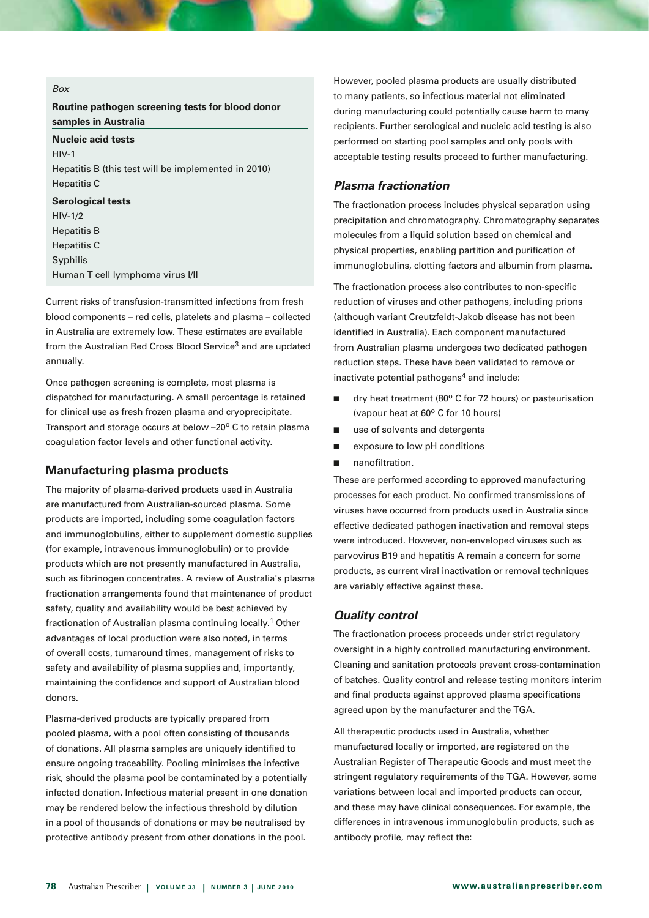#### *Box*

**Routine pathogen screening tests for blood donor samples in Australia**

**Nucleic acid tests**  $HIV-1$ Hepatitis B (this test will be implemented in 2010) Hepatitis C **Serological tests** HIV-1/2

Hepatitis B Hepatitis C Syphilis Human T cell lymphoma virus I/II

Current risks of transfusion-transmitted infections from fresh blood components – red cells, platelets and plasma – collected in Australia are extremely low. These estimates are available from the Australian Red Cross Blood Service<sup>3</sup> and are updated annually.

Once pathogen screening is complete, most plasma is dispatched for manufacturing. A small percentage is retained for clinical use as fresh frozen plasma and cryoprecipitate. Transport and storage occurs at below  $-20^{\circ}$  C to retain plasma coagulation factor levels and other functional activity.

## **Manufacturing plasma products**

The majority of plasma-derived products used in Australia are manufactured from Australian-sourced plasma. Some products are imported, including some coagulation factors and immunoglobulins, either to supplement domestic supplies (for example, intravenous immunoglobulin) or to provide products which are not presently manufactured in Australia, such as fibrinogen concentrates. A review of Australia's plasma fractionation arrangements found that maintenance of product safety, quality and availability would be best achieved by fractionation of Australian plasma continuing locally.<sup>1</sup> Other advantages of local production were also noted, in terms of overall costs, turnaround times, management of risks to safety and availability of plasma supplies and, importantly, maintaining the confidence and support of Australian blood donors.

Plasma-derived products are typically prepared from pooled plasma, with a pool often consisting of thousands of donations. All plasma samples are uniquely identified to ensure ongoing traceability. Pooling minimises the infective risk, should the plasma pool be contaminated by a potentially infected donation. Infectious material present in one donation may be rendered below the infectious threshold by dilution in a pool of thousands of donations or may be neutralised by protective antibody present from other donations in the pool.

However, pooled plasma products are usually distributed to many patients, so infectious material not eliminated during manufacturing could potentially cause harm to many recipients. Further serological and nucleic acid testing is also performed on starting pool samples and only pools with acceptable testing results proceed to further manufacturing.

# *Plasma fractionation*

The fractionation process includes physical separation using precipitation and chromatography. Chromatography separates molecules from a liquid solution based on chemical and physical properties, enabling partition and purification of immunoglobulins, clotting factors and albumin from plasma.

The fractionation process also contributes to non-specific reduction of viruses and other pathogens, including prions (although variant Creutzfeldt-Jakob disease has not been identified in Australia). Each component manufactured from Australian plasma undergoes two dedicated pathogen reduction steps. These have been validated to remove or inactivate potential pathogens $4$  and include:

- $\blacksquare$  dry heat treatment (80 $^{\circ}$  C for 72 hours) or pasteurisation (vapour heat at  $60^\circ$  C for 10 hours)
- use of solvents and detergents
- exposure to low pH conditions
- nanofiltration.

These are performed according to approved manufacturing processes for each product. No confirmed transmissions of viruses have occurred from products used in Australia since effective dedicated pathogen inactivation and removal steps were introduced. However, non-enveloped viruses such as parvovirus B19 and hepatitis A remain a concern for some products, as current viral inactivation or removal techniques are variably effective against these.

#### *Quality control*

The fractionation process proceeds under strict regulatory oversight in a highly controlled manufacturing environment. Cleaning and sanitation protocols prevent cross-contamination of batches. Quality control and release testing monitors interim and final products against approved plasma specifications agreed upon by the manufacturer and the TGA.

All therapeutic products used in Australia, whether manufactured locally or imported, are registered on the Australian Register of Therapeutic Goods and must meet the stringent regulatory requirements of the TGA. However, some variations between local and imported products can occur, and these may have clinical consequences. For example, the differences in intravenous immunoglobulin products, such as antibody profile, may reflect the: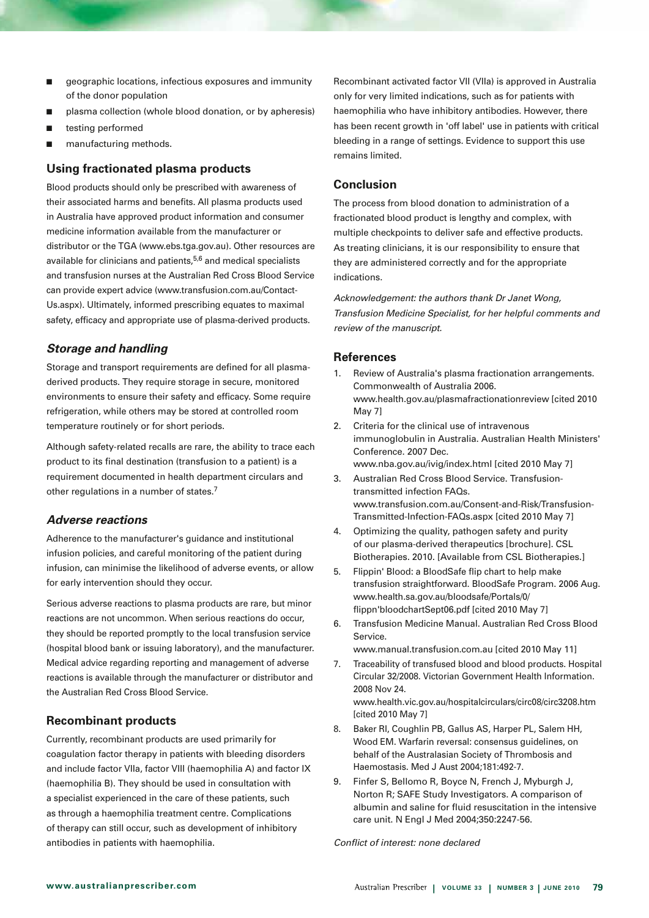- $\Box$  geographic locations, infectious exposures and immunity of the donor population
- plasma collection (whole blood donation, or by apheresis)
- **n** testing performed
- manufacturing methods.

# **Using fractionated plasma products**

Blood products should only be prescribed with awareness of their associated harms and benefits. All plasma products used in Australia have approved product information and consumer medicine information available from the manufacturer or distributor or the TGA (www.ebs.tga.gov.au). Other resources are available for clinicians and patients,<sup>5,6</sup> and medical specialists and transfusion nurses at the Australian Red Cross Blood Service can provide expert advice (www.transfusion.com.au/Contact-Us.aspx). Ultimately, informed prescribing equates to maximal safety, efficacy and appropriate use of plasma-derived products.

# *Storage and handling*

Storage and transport requirements are defined for all plasmaderived products. They require storage in secure, monitored environments to ensure their safety and efficacy. Some require refrigeration, while others may be stored at controlled room temperature routinely or for short periods.

Although safety-related recalls are rare, the ability to trace each product to its final destination (transfusion to a patient) is a requirement documented in health department circulars and other regulations in a number of states.<sup>7</sup>

# *Adverse reactions*

Adherence to the manufacturer's guidance and institutional infusion policies, and careful monitoring of the patient during infusion, can minimise the likelihood of adverse events, or allow for early intervention should they occur.

Serious adverse reactions to plasma products are rare, but minor reactions are not uncommon. When serious reactions do occur, they should be reported promptly to the local transfusion service (hospital blood bank or issuing laboratory), and the manufacturer. Medical advice regarding reporting and management of adverse reactions is available through the manufacturer or distributor and the Australian Red Cross Blood Service.

# **Recombinant products**

Currently, recombinant products are used primarily for coagulation factor therapy in patients with bleeding disorders and include factor VIIa, factor VIII (haemophilia A) and factor IX (haemophilia B). They should be used in consultation with a specialist experienced in the care of these patients, such as through a haemophilia treatment centre. Complications of therapy can still occur, such as development of inhibitory antibodies in patients with haemophilia.

Recombinant activated factor VII (VIIa) is approved in Australia only for very limited indications, such as for patients with haemophilia who have inhibitory antibodies. However, there has been recent growth in 'off label' use in patients with critical bleeding in a range of settings. Evidence to support this use remains limited.

# **Conclusion**

The process from blood donation to administration of a fractionated blood product is lengthy and complex, with multiple checkpoints to deliver safe and effective products. As treating clinicians, it is our responsibility to ensure that they are administered correctly and for the appropriate indications.

*Acknowledgement: the authors thank Dr Janet Wong, Transfusion Medicine Specialist, for her helpful comments and review of the manuscript.* 

# **References**

- 1. Review of Australia's plasma fractionation arrangements. Commonwealth of Australia 2006. www.health.gov.au/plasmafractionationreview [cited 2010 May 7]
- 2. Criteria for the clinical use of intravenous immunoglobulin in Australia. Australian Health Ministers' Conference. 2007 Dec. www.nba.gov.au/ivig/index.html [cited 2010 May 7]
- 3. Australian Red Cross Blood Service. Transfusiontransmitted infection FAQs. www.transfusion.com.au/Consent-and-Risk/Transfusion-Transmitted-Infection-FAQs.aspx [cited 2010 May 7]
- 4. Optimizing the quality, pathogen safety and purity of our plasma-derived therapeutics [brochure]. CSL Biotherapies. 2010. [Available from CSL Biotherapies.]
- 5. Flippin' Blood: a BloodSafe flip chart to help make transfusion straightforward. BloodSafe Program. 2006 Aug. www.health.sa.gov.au/bloodsafe/Portals/0/ flippn'bloodchartSept06.pdf [cited 2010 May 7]
- 6. Transfusion Medicine Manual. Australian Red Cross Blood Service.

www.manual.transfusion.com.au [cited 2010 May 11]

- 7. Traceability of transfused blood and blood products. Hospital Circular 32/2008. Victorian Government Health Information. 2008 Nov 24. www.health.vic.gov.au/hospitalcirculars/circ08/circ3208.htm [cited 2010 May 7]
- 8. Baker RI, Coughlin PB, Gallus AS, Harper PL, Salem HH, Wood EM. Warfarin reversal: consensus guidelines, on behalf of the Australasian Society of Thrombosis and Haemostasis. Med J Aust 2004;181:492-7.
- 9. Finfer S, Bellomo R, Boyce N, French J, Myburgh J, Norton R; SAFE Study Investigators. A comparison of albumin and saline for fluid resuscitation in the intensive care unit. N Engl J Med 2004;350:2247-56.

*Conflict of interest: none declared*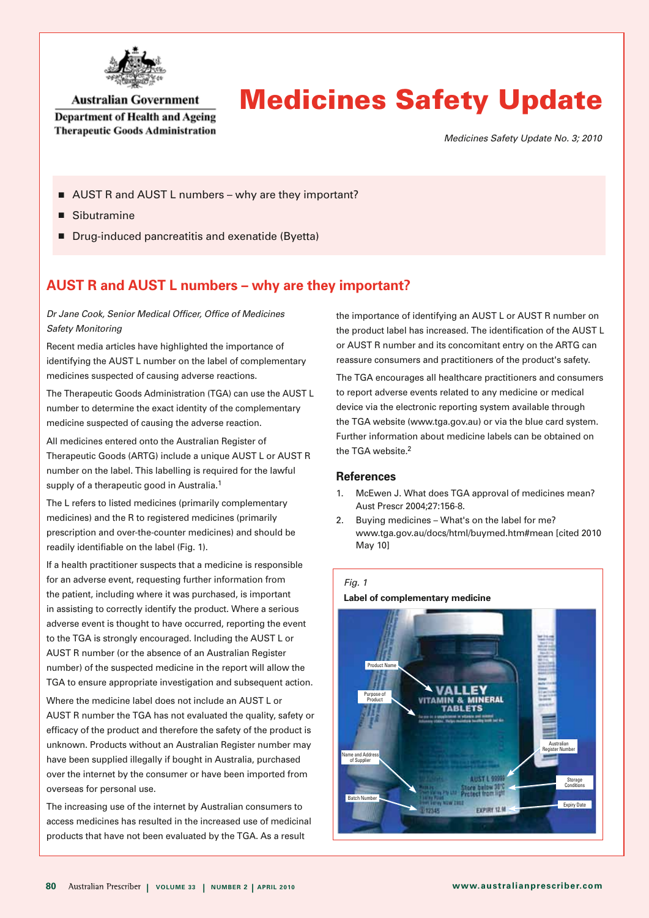

# **Australian Government**

**Department of Health and Ageing Therapeutic Goods Administration** 

# Medicines Safety Update

*Medicines Safety Update No. 3; 2010*

- AUST R and AUST L numbers why are they important?
- $\blacksquare$  Sibutramine
- Drug-induced pancreatitis and exenatide (Byetta)

# **AUST R and AUST L numbers – why are they important?**

# *Dr Jane Cook, Senior Medical Officer, Office of Medicines Safety Monitoring*

Recent media articles have highlighted the importance of identifying the AUST L number on the label of complementary medicines suspected of causing adverse reactions.

The Therapeutic Goods Administration (TGA) can use the AUST L number to determine the exact identity of the complementary medicine suspected of causing the adverse reaction.

All medicines entered onto the Australian Register of Therapeutic Goods (ARTG) include a unique AUST L or AUST R number on the label. This labelling is required for the lawful supply of a therapeutic good in Australia.<sup>1</sup>

The L refers to listed medicines (primarily complementary medicines) and the R to registered medicines (primarily prescription and over-the-counter medicines) and should be readily identifiable on the label (Fig. 1).

If a health practitioner suspects that a medicine is responsible for an adverse event, requesting further information from the patient, including where it was purchased, is important in assisting to correctly identify the product. Where a serious adverse event is thought to have occurred, reporting the event to the TGA is strongly encouraged. Including the AUST L or AUST R number (or the absence of an Australian Register number) of the suspected medicine in the report will allow the TGA to ensure appropriate investigation and subsequent action.

Where the medicine label does not include an AUST L or AUST R number the TGA has not evaluated the quality, safety or efficacy of the product and therefore the safety of the product is unknown. Products without an Australian Register number may have been supplied illegally if bought in Australia, purchased over the internet by the consumer or have been imported from overseas for personal use.

The increasing use of the internet by Australian consumers to access medicines has resulted in the increased use of medicinal products that have not been evaluated by the TGA. As a result

the importance of identifying an AUST L or AUST R number on the product label has increased. The identification of the AUST L or AUST R number and its concomitant entry on the ARTG can reassure consumers and practitioners of the product's safety.

The TGA encourages all healthcare practitioners and consumers to report adverse events related to any medicine or medical device via the electronic reporting system available through the TGA website (www.tga.gov.au) or via the blue card system. Further information about medicine labels can be obtained on the TGA website.<sup>2</sup>

- 1. McEwen J. What does TGA approval of medicines mean? Aust Prescr 2004;27:156-8.
- 2. Buving medicines What's on the label for me? www.tga.gov.au/docs/html/buymed.htm#mean [cited 2010 May 10]

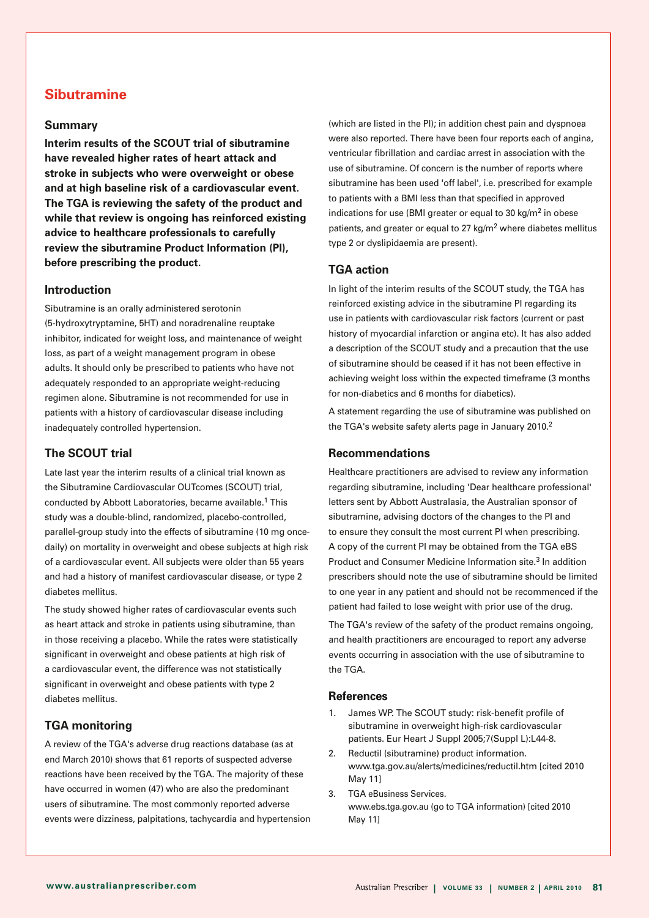# **Sibutramine**

# **Summary**

**Interim results of the SCOUT trial of sibutramine have revealed higher rates of heart attack and stroke in subjects who were overweight or obese and at high baseline risk of a cardiovascular event. The TGA is reviewing the safety of the product and while that review is ongoing has reinforced existing advice to healthcare professionals to carefully review the sibutramine Product Information (PI), before prescribing the product.**

# **Introduction**

Sibutramine is an orally administered serotonin (5-hydroxytryptamine, 5HT) and noradrenaline reuptake inhibitor, indicated for weight loss, and maintenance of weight loss, as part of a weight management program in obese adults. It should only be prescribed to patients who have not adequately responded to an appropriate weight-reducing regimen alone. Sibutramine is not recommended for use in patients with a history of cardiovascular disease including inadequately controlled hypertension.

# **The SCOUT trial**

Late last year the interim results of a clinical trial known as the Sibutramine Cardiovascular OUTcomes (SCOUT) trial, conducted by Abbott Laboratories, became available.1 This study was a double-blind, randomized, placebo-controlled, parallel-group study into the effects of sibutramine (10 mg oncedaily) on mortality in overweight and obese subjects at high risk of a cardiovascular event. All subjects were older than 55 years and had a history of manifest cardiovascular disease, or type 2 diabetes mellitus.

The study showed higher rates of cardiovascular events such as heart attack and stroke in patients using sibutramine, than in those receiving a placebo. While the rates were statistically significant in overweight and obese patients at high risk of a cardiovascular event, the difference was not statistically significant in overweight and obese patients with type 2 diabetes mellitus.

# **TGA monitoring**

A review of the TGA's adverse drug reactions database (as at end March 2010) shows that 61 reports of suspected adverse reactions have been received by the TGA. The majority of these have occurred in women (47) who are also the predominant users of sibutramine. The most commonly reported adverse events were dizziness, palpitations, tachycardia and hypertension

(which are listed in the PI); in addition chest pain and dyspnoea were also reported. There have been four reports each of angina, ventricular fibrillation and cardiac arrest in association with the use of sibutramine. Of concern is the number of reports where sibutramine has been used 'off label', i.e. prescribed for example to patients with a BMI less than that specified in approved indications for use (BMI greater or equal to 30 kg/ $m<sup>2</sup>$  in obese patients, and greater or equal to 27 kg/ $m<sup>2</sup>$  where diabetes mellitus type 2 or dyslipidaemia are present).

# **TGA action**

In light of the interim results of the SCOUT study, the TGA has reinforced existing advice in the sibutramine PI regarding its use in patients with cardiovascular risk factors (current or past history of myocardial infarction or angina etc). It has also added a description of the SCOUT study and a precaution that the use of sibutramine should be ceased if it has not been effective in achieving weight loss within the expected timeframe (3 months for non-diabetics and 6 months for diabetics).

A statement regarding the use of sibutramine was published on the TGA's website safety alerts page in January 2010.<sup>2</sup>

## **Recommendations**

Healthcare practitioners are advised to review any information regarding sibutramine, including 'Dear healthcare professional' letters sent by Abbott Australasia, the Australian sponsor of sibutramine, advising doctors of the changes to the PI and to ensure they consult the most current PI when prescribing. A copy of the current PI may be obtained from the TGA eBS Product and Consumer Medicine Information site.<sup>3</sup> In addition prescribers should note the use of sibutramine should be limited to one year in any patient and should not be recommenced if the patient had failed to lose weight with prior use of the drug.

The TGA's review of the safety of the product remains ongoing, and health practitioners are encouraged to report any adverse events occurring in association with the use of sibutramine to the TGA.

- 1. James WP. The SCOUT study: risk-benefit profile of sibutramine in overweight high-risk cardiovascular patients. Eur Heart J Suppl 2005;7(Suppl L):L44-8.
- 2. Reductil (sibutramine) product information. www.tga.gov.au/alerts/medicines/reductil.htm [cited 2010 May 11]
- 3. TGA eBusiness Services. www.ebs.tga.gov.au (go to TGA information) [cited 2010 May 11]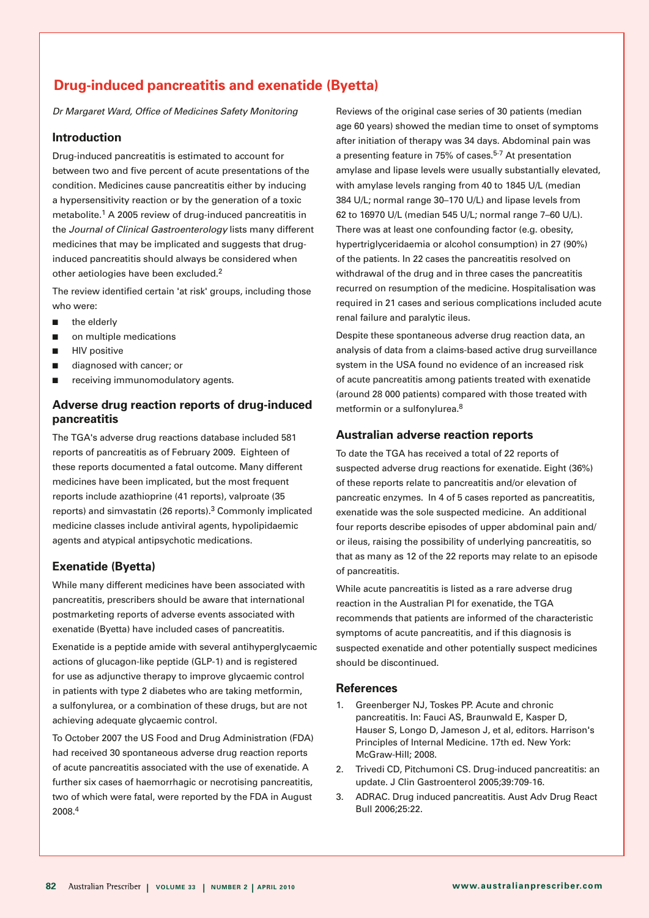# **Drug-induced pancreatitis and exenatide (Byetta)**

*Dr Margaret Ward, Office of Medicines Safety Monitoring*

# **Introduction**

Drug-induced pancreatitis is estimated to account for between two and five percent of acute presentations of the condition. Medicines cause pancreatitis either by inducing a hypersensitivity reaction or by the generation of a toxic metabolite.1 A 2005 review of drug-induced pancreatitis in the *Journal of Clinical Gastroenterology* lists many different medicines that may be implicated and suggests that druginduced pancreatitis should always be considered when other aetiologies have been excluded.2

The review identified certain 'at risk' groups, including those who were:

- $\blacksquare$  the elderly
- $\blacksquare$  on multiple medications
- $\blacksquare$  HIV positive
- $\blacksquare$  diagnosed with cancer; or
- $\blacksquare$  receiving immunomodulatory agents.

# **Adverse drug reaction reports of drug-induced pancreatitis**

The TGA's adverse drug reactions database included 581 reports of pancreatitis as of February 2009. Eighteen of these reports documented a fatal outcome. Many different medicines have been implicated, but the most frequent reports include azathioprine (41 reports), valproate (35 reports) and simvastatin (26 reports).3 Commonly implicated medicine classes include antiviral agents, hypolipidaemic agents and atypical antipsychotic medications.

# **Exenatide (Byetta)**

While many different medicines have been associated with pancreatitis, prescribers should be aware that international postmarketing reports of adverse events associated with exenatide (Byetta) have included cases of pancreatitis. Exenatide is a peptide amide with several antihyperglycaemic

actions of glucagon-like peptide (GLP-1) and is registered for use as adjunctive therapy to improve glycaemic control in patients with type 2 diabetes who are taking metformin, a sulfonylurea, or a combination of these drugs, but are not achieving adequate glycaemic control.

To October 2007 the US Food and Drug Administration (FDA) had received 30 spontaneous adverse drug reaction reports of acute pancreatitis associated with the use of exenatide. A further six cases of haemorrhagic or necrotising pancreatitis, two of which were fatal, were reported by the FDA in August 2008.4

Reviews of the original case series of 30 patients (median age 60 years) showed the median time to onset of symptoms after initiation of therapy was 34 days. Abdominal pain was a presenting feature in 75% of cases.<sup>5-7</sup> At presentation amylase and lipase levels were usually substantially elevated, with amylase levels ranging from 40 to 1845 U/L (median 384 U/L; normal range 30–170 U/L) and lipase levels from 62 to 16970 U/L (median 545 U/L; normal range 7–60 U/L). There was at least one confounding factor (e.g. obesity, hypertriglyceridaemia or alcohol consumption) in 27 (90%) of the patients. In 22 cases the pancreatitis resolved on withdrawal of the drug and in three cases the pancreatitis recurred on resumption of the medicine. Hospitalisation was required in 21 cases and serious complications included acute renal failure and paralytic ileus.

Despite these spontaneous adverse drug reaction data, an analysis of data from a claims-based active drug surveillance system in the USA found no evidence of an increased risk of acute pancreatitis among patients treated with exenatide (around 28 000 patients) compared with those treated with metformin or a sulfonylurea.8

# **Australian adverse reaction reports**

To date the TGA has received a total of 22 reports of suspected adverse drug reactions for exenatide. Eight (36%) of these reports relate to pancreatitis and/or elevation of pancreatic enzymes. In 4 of 5 cases reported as pancreatitis, exenatide was the sole suspected medicine. An additional four reports describe episodes of upper abdominal pain and/ or ileus, raising the possibility of underlying pancreatitis, so that as many as 12 of the 22 reports may relate to an episode of pancreatitis.

While acute pancreatitis is listed as a rare adverse drug reaction in the Australian PI for exenatide, the TGA recommends that patients are informed of the characteristic symptoms of acute pancreatitis, and if this diagnosis is suspected exenatide and other potentially suspect medicines should be discontinued.

- 1. Greenberger NJ, Toskes PP. Acute and chronic pancreatitis. In: Fauci AS, Braunwald E, Kasper D, Hauser S, Longo D, Jameson J, et al, editors. Harrison's Principles of Internal Medicine. 17th ed. New York: McGraw-Hill; 2008.
- 2. Trivedi CD, Pitchumoni CS. Drug-induced pancreatitis: an update. J Clin Gastroenterol 2005;39:709-16.
- 3. ADRAC. Drug induced pancreatitis. Aust Adv Drug React Bull 2006;25:22.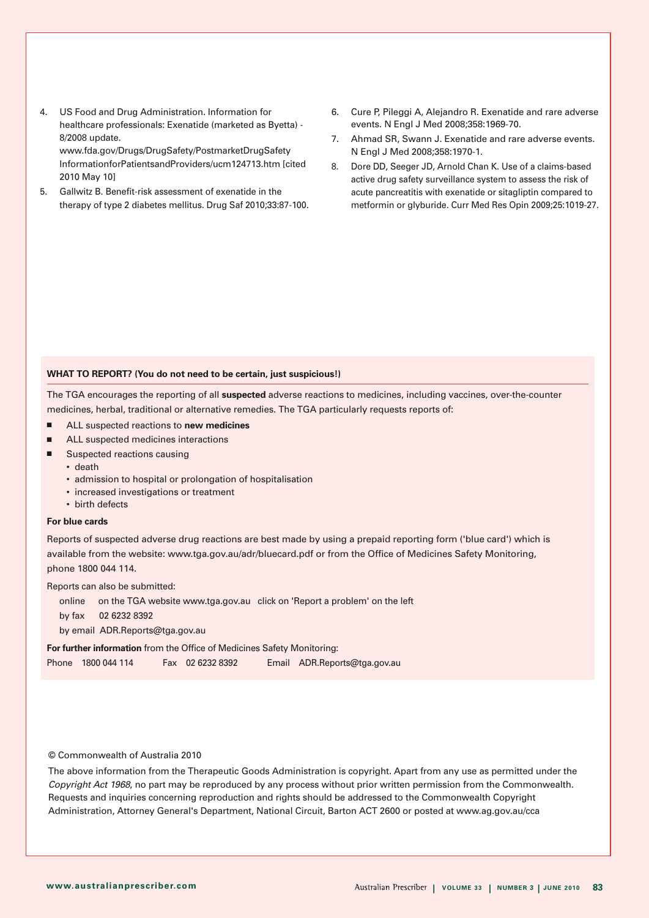- 4. US Food and Drug Administration. Information for healthcare professionals: Exenatide (marketed as Byetta) - 8/2008 update. www.fda.gov/Drugs/DrugSafety/PostmarketDrugSafety InformationforPatientsandProviders/ucm124713.htm [cited
- 5. Gallwitz B. Benefit-risk assessment of exenatide in the therapy of type 2 diabetes mellitus. Drug Saf 2010;33:87-100.
- 6. Cure P, Pileggi A, Alejandro R. Exenatide and rare adverse events. N Engl J Med 2008;358:1969-70.
- 7. Ahmad SR, Swann J. Exenatide and rare adverse events. N Engl J Med 2008;358:1970-1.
- 8. Dore DD, Seeger JD, Arnold Chan K. Use of a claims-based active drug safety surveillance system to assess the risk of acute pancreatitis with exenatide or sitagliptin compared to metformin or glyburide. Curr Med Res Opin 2009;25:1019-27.

#### **WHAT TO REPORT? (You do not need to be certain, just suspicious!)**

The TGA encourages the reporting of all **suspected** adverse reactions to medicines, including vaccines, over-the-counter medicines, herbal, traditional or alternative remedies. The TGA particularly requests reports of:

- ALL suspected reactions to **new medicines**
- $\n **ALL** suspected medicines interactions\n$
- $\blacksquare$  Suspected reactions causing
	- death

2010 May 10]

- admission to hospital or prolongation of hospitalisation
- increased investigations or treatment
- birth defects

#### **For blue cards**

Reports of suspected adverse drug reactions are best made by using a prepaid reporting form ('blue card') which is available from the website: www.tga.gov.au/adr/bluecard.pdf or from the Office of Medicines Safety Monitoring, phone 1800 044 114.

Reports can also be submitted:

online   on the TGA website www.tga.gov.au click on 'Report a problem' on the left by fax 02 6232 8392 by email ADR.Reports@tga.gov.au **For further information** from the Office of Medicines Safety Monitoring:

Phone 1800 044 114 Fax 02 6232 8392 Email ADR.Reports@tga.gov.au

#### © Commonwealth of Australia 2010

The above information from the Therapeutic Goods Administration is copyright. Apart from any use as permitted under the *Copyright Act 1968*, no part may be reproduced by any process without prior written permission from the Commonwealth. Requests and inquiries concerning reproduction and rights should be addressed to the Commonwealth Copyright Administration, Attorney General's Department, National Circuit, Barton ACT 2600 or posted at www.ag.gov.au/cca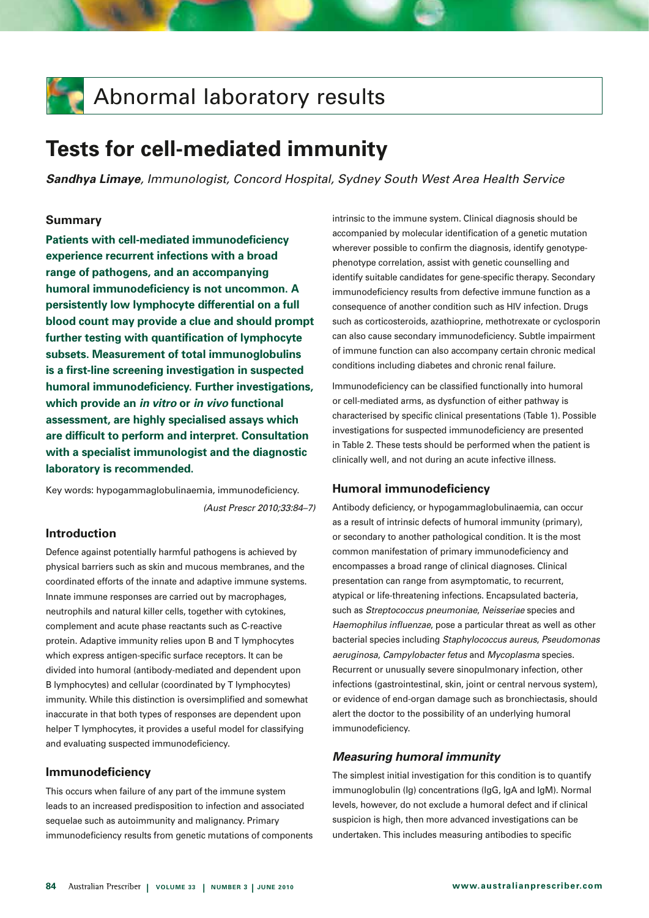# **Abnormal laboratory results**

# **Tests for cell-mediated immunity**

*Sandhya Limaye, Immunologist, Concord Hospital, Sydney South West Area Health Service*

# **Summary**

**Patients with cell-mediated immunodeficiency experience recurrent infections with a broad range of pathogens, and an accompanying humoral immunodeficiency is not uncommon. A persistently low lymphocyte differential on a full blood count may provide a clue and should prompt further testing with quantification of lymphocyte subsets. Measurement of total immunoglobulins is a first-line screening investigation in suspected humoral immunodeficiency. Further investigations, which provide an** *in vitro* **or** *in vivo* **functional assessment, are highly specialised assays which are difficult to perform and interpret. Consultation with a specialist immunologist and the diagnostic laboratory is recommended.** 

Key words: hypogammaglobulinaemia, immunodeficiency. *(Aust Prescr 2010;33:84–7)*

# **Introduction**

Defence against potentially harmful pathogens is achieved by physical barriers such as skin and mucous membranes, and the coordinated efforts of the innate and adaptive immune systems. Innate immune responses are carried out by macrophages, neutrophils and natural killer cells, together with cytokines, complement and acute phase reactants such as C-reactive protein. Adaptive immunity relies upon B and T lymphocytes which express antigen-specific surface receptors. It can be divided into humoral (antibody-mediated and dependent upon B lymphocytes) and cellular (coordinated by T lymphocytes) immunity. While this distinction is oversimplified and somewhat inaccurate in that both types of responses are dependent upon helper T lymphocytes, it provides a useful model for classifying and evaluating suspected immunodeficiency.

# **Immunodeficiency**

This occurs when failure of any part of the immune system leads to an increased predisposition to infection and associated sequelae such as autoimmunity and malignancy. Primary immunodeficiency results from genetic mutations of components intrinsic to the immune system. Clinical diagnosis should be accompanied by molecular identification of a genetic mutation wherever possible to confirm the diagnosis, identify genotypephenotype correlation, assist with genetic counselling and identify suitable candidates for gene-specific therapy. Secondary immunodeficiency results from defective immune function as a consequence of another condition such as HIV infection. Drugs such as corticosteroids, azathioprine, methotrexate or cyclosporin can also cause secondary immunodeficiency. Subtle impairment of immune function can also accompany certain chronic medical conditions including diabetes and chronic renal failure.

Immunodeficiency can be classified functionally into humoral or cell-mediated arms, as dysfunction of either pathway is characterised by specific clinical presentations (Table 1). Possible investigations for suspected immunodeficiency are presented in Table 2. These tests should be performed when the patient is clinically well, and not during an acute infective illness.

# **Humoral immunodeficiency**

Antibody deficiency, or hypogammaglobulinaemia, can occur as a result of intrinsic defects of humoral immunity (primary), or secondary to another pathological condition. It is the most common manifestation of primary immunodeficiency and encompasses a broad range of clinical diagnoses. Clinical presentation can range from asymptomatic, to recurrent, atypical or life-threatening infections. Encapsulated bacteria, such as *Streptococcus pneumoniae*, *Neisseriae* species and *Haemophilus influenzae*, pose a particular threat as well as other bacterial species including *Staphylococcus aureus*, *Pseudomonas aeruginosa*, *Campylobacter fetus* and *Mycoplasma* species. Recurrent or unusually severe sinopulmonary infection, other infections (gastrointestinal, skin, joint or central nervous system), or evidence of end-organ damage such as bronchiectasis, should alert the doctor to the possibility of an underlying humoral immunodeficiency.

# *Measuring humoral immunity*

The simplest initial investigation for this condition is to quantify immunoglobulin (Ig) concentrations (IgG, IgA and IgM). Normal levels, however, do not exclude a humoral defect and if clinical suspicion is high, then more advanced investigations can be undertaken. This includes measuring antibodies to specific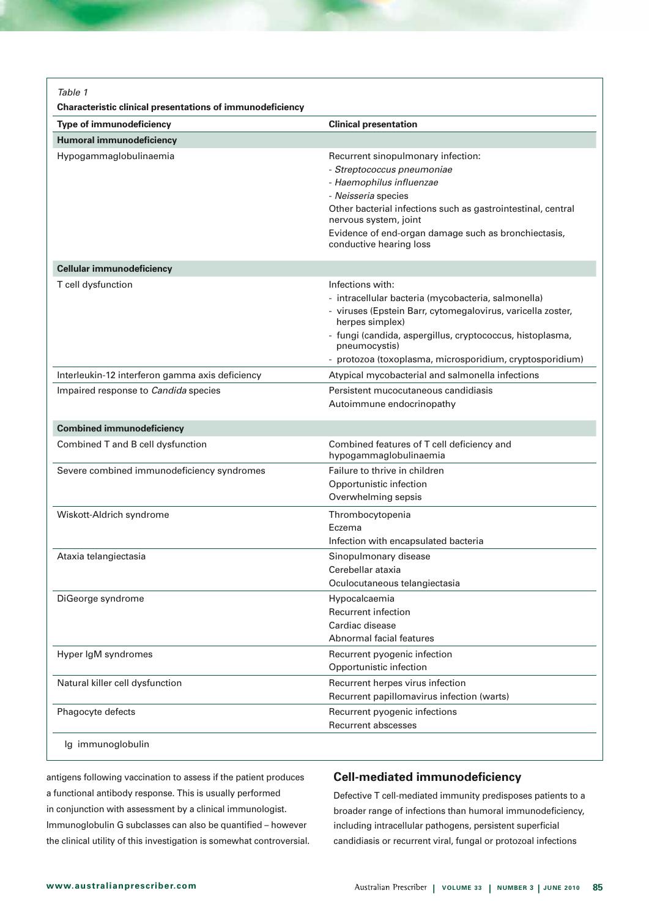| <b>Humoral immunodeficiency</b><br>Hypogammaglobulinaemia<br>Recurrent sinopulmonary infection:<br>- Streptococcus pneumoniae<br>- Haemophilus influenzae<br>- Neisseria species<br>Other bacterial infections such as gastrointestinal, central<br>nervous system, joint<br>Evidence of end-organ damage such as bronchiectasis,<br>conductive hearing loss<br><b>Cellular immunodeficiency</b><br>Infections with:<br>T cell dysfunction<br>- intracellular bacteria (mycobacteria, salmonella)<br>- viruses (Epstein Barr, cytomegalovirus, varicella zoster,<br>herpes simplex)<br>- fungi (candida, aspergillus, cryptococcus, histoplasma,<br>pneumocystis)<br>Interleukin-12 interferon gamma axis deficiency<br>Atypical mycobacterial and salmonella infections<br>Impaired response to Candida species<br>Persistent mucocutaneous candidiasis<br>Autoimmune endocrinopathy<br><b>Combined immunodeficiency</b><br>Combined T and B cell dysfunction<br>Combined features of T cell deficiency and<br>hypogammaglobulinaemia<br>Severe combined immunodeficiency syndromes<br>Failure to thrive in children<br>Opportunistic infection<br>Overwhelming sepsis<br>Wiskott-Aldrich syndrome<br>Thrombocytopenia<br>Eczema<br>Infection with encapsulated bacteria<br>Ataxia telangiectasia<br>Sinopulmonary disease<br>Cerebellar ataxia<br>Oculocutaneous telangiectasia<br>DiGeorge syndrome<br>Hypocalcaemia<br><b>Recurrent infection</b><br>Cardiac disease<br>Abnormal facial features<br>Hyper IgM syndromes<br>Recurrent pyogenic infection<br>Opportunistic infection<br>Natural killer cell dysfunction<br>Recurrent herpes virus infection<br>Recurrent papillomavirus infection (warts)<br>Phagocyte defects<br>Recurrent pyogenic infections | <b>Type of immunodeficiency</b> | <b>Clinical presentation</b>                             |
|-------------------------------------------------------------------------------------------------------------------------------------------------------------------------------------------------------------------------------------------------------------------------------------------------------------------------------------------------------------------------------------------------------------------------------------------------------------------------------------------------------------------------------------------------------------------------------------------------------------------------------------------------------------------------------------------------------------------------------------------------------------------------------------------------------------------------------------------------------------------------------------------------------------------------------------------------------------------------------------------------------------------------------------------------------------------------------------------------------------------------------------------------------------------------------------------------------------------------------------------------------------------------------------------------------------------------------------------------------------------------------------------------------------------------------------------------------------------------------------------------------------------------------------------------------------------------------------------------------------------------------------------------------------------------------------------------------------------------------------------------------------------|---------------------------------|----------------------------------------------------------|
|                                                                                                                                                                                                                                                                                                                                                                                                                                                                                                                                                                                                                                                                                                                                                                                                                                                                                                                                                                                                                                                                                                                                                                                                                                                                                                                                                                                                                                                                                                                                                                                                                                                                                                                                                                   |                                 |                                                          |
|                                                                                                                                                                                                                                                                                                                                                                                                                                                                                                                                                                                                                                                                                                                                                                                                                                                                                                                                                                                                                                                                                                                                                                                                                                                                                                                                                                                                                                                                                                                                                                                                                                                                                                                                                                   |                                 |                                                          |
|                                                                                                                                                                                                                                                                                                                                                                                                                                                                                                                                                                                                                                                                                                                                                                                                                                                                                                                                                                                                                                                                                                                                                                                                                                                                                                                                                                                                                                                                                                                                                                                                                                                                                                                                                                   |                                 |                                                          |
|                                                                                                                                                                                                                                                                                                                                                                                                                                                                                                                                                                                                                                                                                                                                                                                                                                                                                                                                                                                                                                                                                                                                                                                                                                                                                                                                                                                                                                                                                                                                                                                                                                                                                                                                                                   |                                 |                                                          |
|                                                                                                                                                                                                                                                                                                                                                                                                                                                                                                                                                                                                                                                                                                                                                                                                                                                                                                                                                                                                                                                                                                                                                                                                                                                                                                                                                                                                                                                                                                                                                                                                                                                                                                                                                                   |                                 |                                                          |
|                                                                                                                                                                                                                                                                                                                                                                                                                                                                                                                                                                                                                                                                                                                                                                                                                                                                                                                                                                                                                                                                                                                                                                                                                                                                                                                                                                                                                                                                                                                                                                                                                                                                                                                                                                   |                                 |                                                          |
|                                                                                                                                                                                                                                                                                                                                                                                                                                                                                                                                                                                                                                                                                                                                                                                                                                                                                                                                                                                                                                                                                                                                                                                                                                                                                                                                                                                                                                                                                                                                                                                                                                                                                                                                                                   |                                 |                                                          |
|                                                                                                                                                                                                                                                                                                                                                                                                                                                                                                                                                                                                                                                                                                                                                                                                                                                                                                                                                                                                                                                                                                                                                                                                                                                                                                                                                                                                                                                                                                                                                                                                                                                                                                                                                                   |                                 |                                                          |
|                                                                                                                                                                                                                                                                                                                                                                                                                                                                                                                                                                                                                                                                                                                                                                                                                                                                                                                                                                                                                                                                                                                                                                                                                                                                                                                                                                                                                                                                                                                                                                                                                                                                                                                                                                   |                                 |                                                          |
|                                                                                                                                                                                                                                                                                                                                                                                                                                                                                                                                                                                                                                                                                                                                                                                                                                                                                                                                                                                                                                                                                                                                                                                                                                                                                                                                                                                                                                                                                                                                                                                                                                                                                                                                                                   |                                 |                                                          |
|                                                                                                                                                                                                                                                                                                                                                                                                                                                                                                                                                                                                                                                                                                                                                                                                                                                                                                                                                                                                                                                                                                                                                                                                                                                                                                                                                                                                                                                                                                                                                                                                                                                                                                                                                                   |                                 |                                                          |
|                                                                                                                                                                                                                                                                                                                                                                                                                                                                                                                                                                                                                                                                                                                                                                                                                                                                                                                                                                                                                                                                                                                                                                                                                                                                                                                                                                                                                                                                                                                                                                                                                                                                                                                                                                   |                                 |                                                          |
|                                                                                                                                                                                                                                                                                                                                                                                                                                                                                                                                                                                                                                                                                                                                                                                                                                                                                                                                                                                                                                                                                                                                                                                                                                                                                                                                                                                                                                                                                                                                                                                                                                                                                                                                                                   |                                 | - protozoa (toxoplasma, microsporidium, cryptosporidium) |
|                                                                                                                                                                                                                                                                                                                                                                                                                                                                                                                                                                                                                                                                                                                                                                                                                                                                                                                                                                                                                                                                                                                                                                                                                                                                                                                                                                                                                                                                                                                                                                                                                                                                                                                                                                   |                                 |                                                          |
|                                                                                                                                                                                                                                                                                                                                                                                                                                                                                                                                                                                                                                                                                                                                                                                                                                                                                                                                                                                                                                                                                                                                                                                                                                                                                                                                                                                                                                                                                                                                                                                                                                                                                                                                                                   |                                 |                                                          |
|                                                                                                                                                                                                                                                                                                                                                                                                                                                                                                                                                                                                                                                                                                                                                                                                                                                                                                                                                                                                                                                                                                                                                                                                                                                                                                                                                                                                                                                                                                                                                                                                                                                                                                                                                                   |                                 |                                                          |
|                                                                                                                                                                                                                                                                                                                                                                                                                                                                                                                                                                                                                                                                                                                                                                                                                                                                                                                                                                                                                                                                                                                                                                                                                                                                                                                                                                                                                                                                                                                                                                                                                                                                                                                                                                   |                                 |                                                          |
|                                                                                                                                                                                                                                                                                                                                                                                                                                                                                                                                                                                                                                                                                                                                                                                                                                                                                                                                                                                                                                                                                                                                                                                                                                                                                                                                                                                                                                                                                                                                                                                                                                                                                                                                                                   |                                 |                                                          |
|                                                                                                                                                                                                                                                                                                                                                                                                                                                                                                                                                                                                                                                                                                                                                                                                                                                                                                                                                                                                                                                                                                                                                                                                                                                                                                                                                                                                                                                                                                                                                                                                                                                                                                                                                                   |                                 |                                                          |
|                                                                                                                                                                                                                                                                                                                                                                                                                                                                                                                                                                                                                                                                                                                                                                                                                                                                                                                                                                                                                                                                                                                                                                                                                                                                                                                                                                                                                                                                                                                                                                                                                                                                                                                                                                   |                                 |                                                          |
|                                                                                                                                                                                                                                                                                                                                                                                                                                                                                                                                                                                                                                                                                                                                                                                                                                                                                                                                                                                                                                                                                                                                                                                                                                                                                                                                                                                                                                                                                                                                                                                                                                                                                                                                                                   |                                 |                                                          |
|                                                                                                                                                                                                                                                                                                                                                                                                                                                                                                                                                                                                                                                                                                                                                                                                                                                                                                                                                                                                                                                                                                                                                                                                                                                                                                                                                                                                                                                                                                                                                                                                                                                                                                                                                                   |                                 |                                                          |
|                                                                                                                                                                                                                                                                                                                                                                                                                                                                                                                                                                                                                                                                                                                                                                                                                                                                                                                                                                                                                                                                                                                                                                                                                                                                                                                                                                                                                                                                                                                                                                                                                                                                                                                                                                   |                                 |                                                          |
|                                                                                                                                                                                                                                                                                                                                                                                                                                                                                                                                                                                                                                                                                                                                                                                                                                                                                                                                                                                                                                                                                                                                                                                                                                                                                                                                                                                                                                                                                                                                                                                                                                                                                                                                                                   |                                 |                                                          |
|                                                                                                                                                                                                                                                                                                                                                                                                                                                                                                                                                                                                                                                                                                                                                                                                                                                                                                                                                                                                                                                                                                                                                                                                                                                                                                                                                                                                                                                                                                                                                                                                                                                                                                                                                                   |                                 |                                                          |
|                                                                                                                                                                                                                                                                                                                                                                                                                                                                                                                                                                                                                                                                                                                                                                                                                                                                                                                                                                                                                                                                                                                                                                                                                                                                                                                                                                                                                                                                                                                                                                                                                                                                                                                                                                   |                                 |                                                          |
|                                                                                                                                                                                                                                                                                                                                                                                                                                                                                                                                                                                                                                                                                                                                                                                                                                                                                                                                                                                                                                                                                                                                                                                                                                                                                                                                                                                                                                                                                                                                                                                                                                                                                                                                                                   |                                 |                                                          |
|                                                                                                                                                                                                                                                                                                                                                                                                                                                                                                                                                                                                                                                                                                                                                                                                                                                                                                                                                                                                                                                                                                                                                                                                                                                                                                                                                                                                                                                                                                                                                                                                                                                                                                                                                                   |                                 |                                                          |
|                                                                                                                                                                                                                                                                                                                                                                                                                                                                                                                                                                                                                                                                                                                                                                                                                                                                                                                                                                                                                                                                                                                                                                                                                                                                                                                                                                                                                                                                                                                                                                                                                                                                                                                                                                   |                                 |                                                          |
|                                                                                                                                                                                                                                                                                                                                                                                                                                                                                                                                                                                                                                                                                                                                                                                                                                                                                                                                                                                                                                                                                                                                                                                                                                                                                                                                                                                                                                                                                                                                                                                                                                                                                                                                                                   |                                 |                                                          |
|                                                                                                                                                                                                                                                                                                                                                                                                                                                                                                                                                                                                                                                                                                                                                                                                                                                                                                                                                                                                                                                                                                                                                                                                                                                                                                                                                                                                                                                                                                                                                                                                                                                                                                                                                                   |                                 |                                                          |
|                                                                                                                                                                                                                                                                                                                                                                                                                                                                                                                                                                                                                                                                                                                                                                                                                                                                                                                                                                                                                                                                                                                                                                                                                                                                                                                                                                                                                                                                                                                                                                                                                                                                                                                                                                   |                                 |                                                          |
|                                                                                                                                                                                                                                                                                                                                                                                                                                                                                                                                                                                                                                                                                                                                                                                                                                                                                                                                                                                                                                                                                                                                                                                                                                                                                                                                                                                                                                                                                                                                                                                                                                                                                                                                                                   |                                 |                                                          |
|                                                                                                                                                                                                                                                                                                                                                                                                                                                                                                                                                                                                                                                                                                                                                                                                                                                                                                                                                                                                                                                                                                                                                                                                                                                                                                                                                                                                                                                                                                                                                                                                                                                                                                                                                                   |                                 |                                                          |
|                                                                                                                                                                                                                                                                                                                                                                                                                                                                                                                                                                                                                                                                                                                                                                                                                                                                                                                                                                                                                                                                                                                                                                                                                                                                                                                                                                                                                                                                                                                                                                                                                                                                                                                                                                   |                                 |                                                          |
|                                                                                                                                                                                                                                                                                                                                                                                                                                                                                                                                                                                                                                                                                                                                                                                                                                                                                                                                                                                                                                                                                                                                                                                                                                                                                                                                                                                                                                                                                                                                                                                                                                                                                                                                                                   |                                 |                                                          |

antigens following vaccination to assess if the patient produces a functional antibody response. This is usually performed in conjunction with assessment by a clinical immunologist. Immunoglobulin G subclasses can also be quantified – however the clinical utility of this investigation is somewhat controversial.

# **Cell-mediated immunodeficiency**

Defective T cell-mediated immunity predisposes patients to a broader range of infections than humoral immunodeficiency, including intracellular pathogens, persistent superficial candidiasis or recurrent viral, fungal or protozoal infections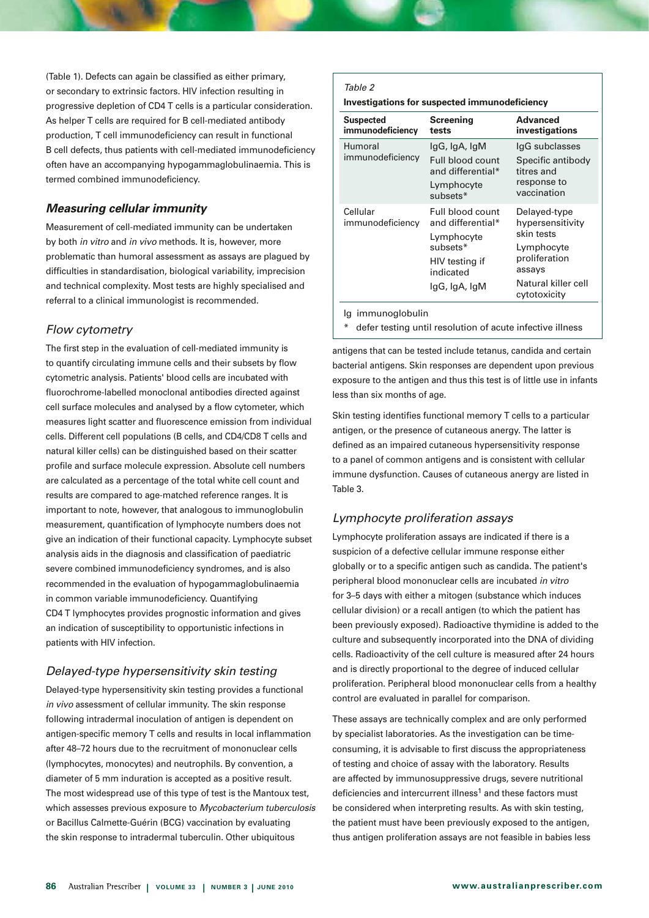(Table 1). Defects can again be classified as either primary, or secondary to extrinsic factors. HIV infection resulting in progressive depletion of CD4 T cells is a particular consideration. As helper T cells are required for B cell-mediated antibody production, T cell immunodeficiency can result in functional B cell defects, thus patients with cell-mediated immunodeficiency often have an accompanying hypogammaglobulinaemia. This is termed combined immunodeficiency.

# *Measuring cellular immunity*

Measurement of cell-mediated immunity can be undertaken by both *in vitro* and *in vivo* methods. It is, however, more problematic than humoral assessment as assays are plagued by difficulties in standardisation, biological variability, imprecision and technical complexity. Most tests are highly specialised and referral to a clinical immunologist is recommended.

# *Flow cytometry*

The first step in the evaluation of cell-mediated immunity is to quantify circulating immune cells and their subsets by flow cytometric analysis. Patients' blood cells are incubated with fluorochrome-labelled monoclonal antibodies directed against cell surface molecules and analysed by a flow cytometer, which measures light scatter and fluorescence emission from individual cells. Different cell populations (B cells, and CD4/CD8 T cells and natural killer cells) can be distinguished based on their scatter profile and surface molecule expression. Absolute cell numbers are calculated as a percentage of the total white cell count and results are compared to age-matched reference ranges. It is important to note, however, that analogous to immunoglobulin measurement, quantification of lymphocyte numbers does not give an indication of their functional capacity. Lymphocyte subset analysis aids in the diagnosis and classification of paediatric severe combined immunodeficiency syndromes, and is also recommended in the evaluation of hypogammaglobulinaemia in common variable immunodeficiency. Quantifying CD4 T lymphocytes provides prognostic information and gives an indication of susceptibility to opportunistic infections in patients with HIV infection.

# *Delayed-type hypersensitivity skin testing*

Delayed-type hypersensitivity skin testing provides a functional *in vivo* assessment of cellular immunity. The skin response following intradermal inoculation of antigen is dependent on antigen-specific memory T cells and results in local inflammation after 48–72 hours due to the recruitment of mononuclear cells (lymphocytes, monocytes) and neutrophils. By convention, a diameter of 5 mm induration is accepted as a positive result. The most widespread use of this type of test is the Mantoux test, which assesses previous exposure to *Mycobacterium tuberculosis* or Bacillus Calmette-Guérin (BCG) vaccination by evaluating the skin response to intradermal tuberculin. Other ubiquitous

#### *Table 2*

**Investigations for suspected immunodeficiency**

| <b>Suspected</b><br>immunodeficiency | <b>Screening</b><br>tests                                                                                       | Advanced<br>investigations                                                                                                     |
|--------------------------------------|-----------------------------------------------------------------------------------------------------------------|--------------------------------------------------------------------------------------------------------------------------------|
| Humoral<br>immunodeficiency          | lgG, IgA, IgM<br>Full blood count<br>and differential*<br>Lymphocyte<br>subsets*                                | IgG subclasses<br>Specific antibody<br>titres and<br>response to<br>vaccination                                                |
| Cellular<br>immunodeficiency         | Full blood count<br>and differential*<br>Lymphocyte<br>subsets*<br>HIV testing if<br>indicated<br>lgG, IgA, IgM | Delayed-type<br>hypersensitivity<br>skin tests<br>Lymphocyte<br>proliferation<br>assays<br>Natural killer cell<br>cytotoxicity |

Ig immunoglobulin

\* defer testing until resolution of acute infective illness

antigens that can be tested include tetanus, candida and certain bacterial antigens. Skin responses are dependent upon previous exposure to the antigen and thus this test is of little use in infants less than six months of age.

Skin testing identifies functional memory T cells to a particular antigen, or the presence of cutaneous anergy. The latter is defined as an impaired cutaneous hypersensitivity response to a panel of common antigens and is consistent with cellular immune dysfunction. Causes of cutaneous anergy are listed in Table 3.

# *Lymphocyte proliferation assays*

Lymphocyte proliferation assays are indicated if there is a suspicion of a defective cellular immune response either globally or to a specific antigen such as candida. The patient's peripheral blood mononuclear cells are incubated *in vitro* for 3–5 days with either a mitogen (substance which induces cellular division) or a recall antigen (to which the patient has been previously exposed). Radioactive thymidine is added to the culture and subsequently incorporated into the DNA of dividing cells. Radioactivity of the cell culture is measured after 24 hours and is directly proportional to the degree of induced cellular proliferation. Peripheral blood mononuclear cells from a healthy control are evaluated in parallel for comparison.

These assays are technically complex and are only performed by specialist laboratories. As the investigation can be timeconsuming, it is advisable to first discuss the appropriateness of testing and choice of assay with the laboratory. Results are affected by immunosuppressive drugs, severe nutritional deficiencies and intercurrent illness<sup>1</sup> and these factors must be considered when interpreting results. As with skin testing, the patient must have been previously exposed to the antigen, thus antigen proliferation assays are not feasible in babies less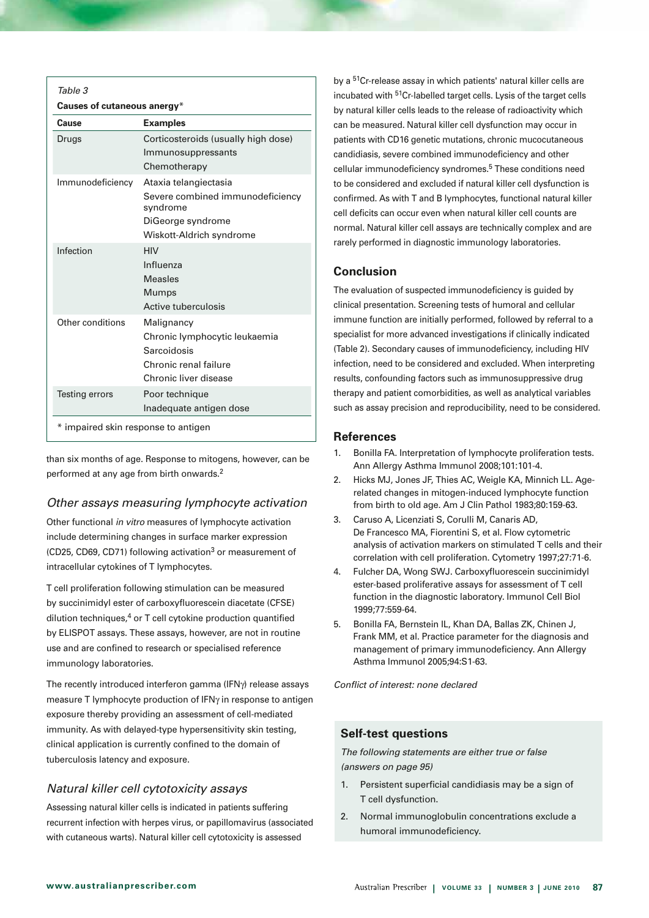| Table 3                             |                                                                                                                        |  |
|-------------------------------------|------------------------------------------------------------------------------------------------------------------------|--|
| Causes of cutaneous anergy*         |                                                                                                                        |  |
| Cause                               | <b>Examples</b>                                                                                                        |  |
| Drugs                               | Corticosteroids (usually high dose)<br>Immunosuppressants                                                              |  |
|                                     | Chemotherapy                                                                                                           |  |
| Immunodeficiency                    | Ataxia telangiectasia<br>Severe combined immunodeficiency<br>syndrome<br>DiGeorge syndrome<br>Wiskott-Aldrich syndrome |  |
| Infection                           | <b>HIV</b><br>Influenza<br><b>Measles</b><br>Mumps<br>Active tuberculosis                                              |  |
| Other conditions                    | Malignancy<br>Chronic lymphocytic leukaemia<br>Sarcoidosis<br>Chronic renal failure<br>Chronic liver disease           |  |
| Testing errors                      | Poor technique<br>Inadequate antigen dose                                                                              |  |
| * impaired skin response to antigen |                                                                                                                        |  |

than six months of age. Response to mitogens, however, can be performed at any age from birth onwards.2

# *Other assays measuring lymphocyte activation*

Other functional *in vitro* measures of lymphocyte activation include determining changes in surface marker expression (CD25, CD69, CD71) following activation<sup>3</sup> or measurement of intracellular cytokines of T lymphocytes.

T cell proliferation following stimulation can be measured by succinimidyl ester of carboxyfluorescein diacetate (CFSE) dilution techniques, $4$  or T cell cytokine production quantified by ELISPOT assays. These assays, however, are not in routine use and are confined to research or specialised reference immunology laboratories.

The recently introduced interferon gamma (IFNγ) release assays measure T lymphocyte production of IFNγ in response to antigen exposure thereby providing an assessment of cell-mediated immunity. As with delayed-type hypersensitivity skin testing, clinical application is currently confined to the domain of tuberculosis latency and exposure.

# *Natural killer cell cytotoxicity assays*

Assessing natural killer cells is indicated in patients suffering recurrent infection with herpes virus, or papillomavirus (associated with cutaneous warts). Natural killer cell cytotoxicity is assessed

by a 51Cr-release assay in which patients' natural killer cells are incubated with 51Cr-labelled target cells. Lysis of the target cells by natural killer cells leads to the release of radioactivity which can be measured. Natural killer cell dysfunction may occur in patients with CD16 genetic mutations, chronic mucocutaneous candidiasis, severe combined immunodeficiency and other cellular immunodeficiency syndromes.5 These conditions need to be considered and excluded if natural killer cell dysfunction is confirmed. As with T and B lymphocytes, functional natural killer cell deficits can occur even when natural killer cell counts are normal. Natural killer cell assays are technically complex and are rarely performed in diagnostic immunology laboratories.

# **Conclusion**

The evaluation of suspected immunodeficiency is guided by clinical presentation. Screening tests of humoral and cellular immune function are initially performed, followed by referral to a specialist for more advanced investigations if clinically indicated (Table 2). Secondary causes of immunodeficiency, including HIV infection, need to be considered and excluded. When interpreting results, confounding factors such as immunosuppressive drug therapy and patient comorbidities, as well as analytical variables such as assay precision and reproducibility, need to be considered.

# **References**

- 1. Bonilla FA. Interpretation of lymphocyte proliferation tests. Ann Allergy Asthma Immunol 2008;101:101-4.
- 2. Hicks MJ, Jones JF, Thies AC, Weigle KA, Minnich LL. Agerelated changes in mitogen-induced lymphocyte function from birth to old age. Am J Clin Pathol 1983;80:159-63.
- 3. Caruso A, Licenziati S, Corulli M, Canaris AD, De Francesco MA, Fiorentini S, et al. Flow cytometric analysis of activation markers on stimulated T cells and their correlation with cell proliferation. Cytometry 1997;27:71-6.
- 4. Fulcher DA, Wong SWJ. Carboxyfluorescein succinimidyl ester-based proliferative assays for assessment of T cell function in the diagnostic laboratory. Immunol Cell Biol 1999;77:559-64.
- 5. Bonilla FA, Bernstein IL, Khan DA, Ballas ZK, Chinen J, Frank MM, et al. Practice parameter for the diagnosis and management of primary immunodeficiency. Ann Allergy Asthma Immunol 2005;94:S1-63.

*Conflict of interest: none declared*

# **Self-test questions**

*The following statements are either true or false (answers on page 95)*

- 1. Persistent superficial candidiasis may be a sign of T cell dysfunction.
- 2. Normal immunoglobulin concentrations exclude a humoral immunodeficiency.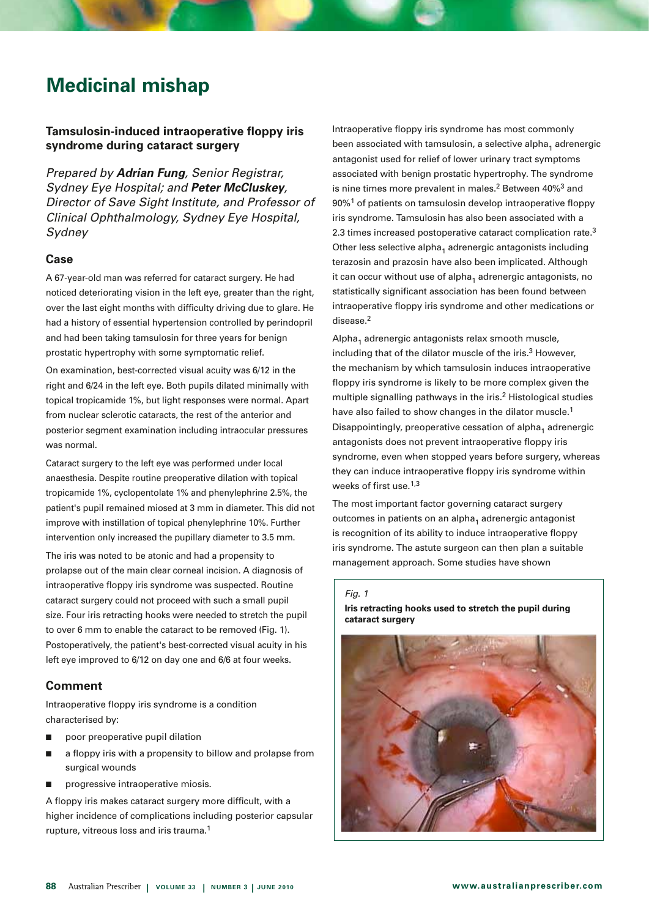# **Medicinal mishap**

# **Tamsulosin-induced intraoperative floppy iris syndrome during cataract surgery**

*Prepared by Adrian Fung, Senior Registrar, Sydney Eye Hospital; and Peter McCluskey, Director of Save Sight Institute, and Professor of Clinical Ophthalmology, Sydney Eye Hospital, Sydney* 

# **Case**

A 67-year-old man was referred for cataract surgery. He had noticed deteriorating vision in the left eye, greater than the right, over the last eight months with difficulty driving due to glare. He had a history of essential hypertension controlled by perindopril and had been taking tamsulosin for three years for benign prostatic hypertrophy with some symptomatic relief.

On examination, best-corrected visual acuity was 6/12 in the right and 6/24 in the left eye. Both pupils dilated minimally with topical tropicamide 1%, but light responses were normal. Apart from nuclear sclerotic cataracts, the rest of the anterior and posterior segment examination including intraocular pressures was normal.

Cataract surgery to the left eye was performed under local anaesthesia. Despite routine preoperative dilation with topical tropicamide 1%, cyclopentolate 1% and phenylephrine 2.5%, the patient's pupil remained miosed at 3 mm in diameter. This did not improve with instillation of topical phenylephrine 10%. Further intervention only increased the pupillary diameter to 3.5 mm.

The iris was noted to be atonic and had a propensity to prolapse out of the main clear corneal incision. A diagnosis of intraoperative floppy iris syndrome was suspected. Routine cataract surgery could not proceed with such a small pupil size. Four iris retracting hooks were needed to stretch the pupil to over 6 mm to enable the cataract to be removed (Fig. 1). Postoperatively, the patient's best-corrected visual acuity in his left eye improved to 6/12 on day one and 6/6 at four weeks.

# **Comment**

Intraoperative floppy iris syndrome is a condition characterised by:

- $\Box$  poor preoperative pupil dilation
- $\blacksquare$  a floppy iris with a propensity to billow and prolapse from surgical wounds
- $\blacksquare$  progressive intraoperative miosis.

A floppy iris makes cataract surgery more difficult, with a higher incidence of complications including posterior capsular rupture, vitreous loss and iris trauma.1

Intraoperative floppy iris syndrome has most commonly been associated with tamsulosin, a selective alpha, adrenergic antagonist used for relief of lower urinary tract symptoms associated with benign prostatic hypertrophy. The syndrome is nine times more prevalent in males.<sup>2</sup> Between  $40\%$ <sup>3</sup> and 90%1 of patients on tamsulosin develop intraoperative floppy iris syndrome. Tamsulosin has also been associated with a 2.3 times increased postoperative cataract complication rate.<sup>3</sup> Other less selective alpha<sub>1</sub> adrenergic antagonists including terazosin and prazosin have also been implicated. Although it can occur without use of alpha<sub>1</sub> adrenergic antagonists, no statistically significant association has been found between intraoperative floppy iris syndrome and other medications or disease.2

 $Alpha<sub>1</sub>$  adrenergic antagonists relax smooth muscle, including that of the dilator muscle of the iris. $3$  However, the mechanism by which tamsulosin induces intraoperative floppy iris syndrome is likely to be more complex given the multiple signalling pathways in the iris.<sup>2</sup> Histological studies have also failed to show changes in the dilator muscle.<sup>1</sup> Disappointingly, preoperative cessation of alpha<sub>1</sub> adrenergic antagonists does not prevent intraoperative floppy iris syndrome, even when stopped years before surgery, whereas they can induce intraoperative floppy iris syndrome within weeks of first use.1,3

The most important factor governing cataract surgery outcomes in patients on an alpha $_1$  adrenergic antagonist is recognition of its ability to induce intraoperative floppy iris syndrome. The astute surgeon can then plan a suitable management approach. Some studies have shown Fung & McCluskey 5

#### *Fig. 1*

**Iris retracting hooks used to stretch the pupil during Iris retracting hooks used to stretch the pupil during surgery cataract surgery**

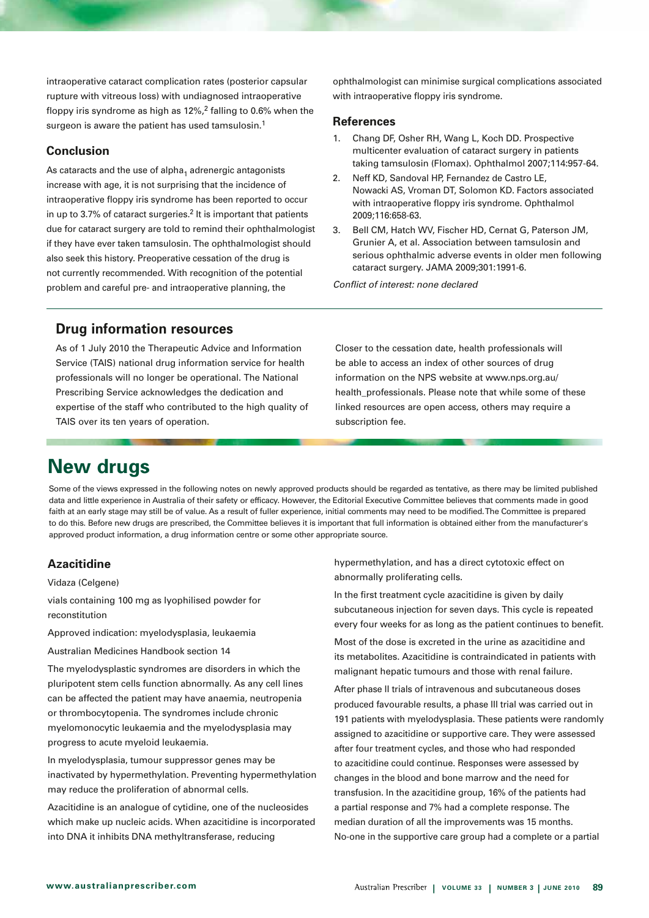intraoperative cataract complication rates (posterior capsular rupture with vitreous loss) with undiagnosed intraoperative floppy iris syndrome as high as 12%,2 falling to 0.6% when the surgeon is aware the patient has used tamsulosin.<sup>1</sup>

# **Conclusion**

As cataracts and the use of alpha<sub>1</sub> adrenergic antagonists increase with age, it is not surprising that the incidence of intraoperative floppy iris syndrome has been reported to occur in up to 3.7% of cataract surgeries.<sup>2</sup> It is important that patients due for cataract surgery are told to remind their ophthalmologist if they have ever taken tamsulosin. The ophthalmologist should also seek this history. Preoperative cessation of the drug is not currently recommended. With recognition of the potential problem and careful pre- and intraoperative planning, the

ophthalmologist can minimise surgical complications associated with intraoperative floppy iris syndrome.

#### **References**

- 1. Chang DF, Osher RH, Wang L, Koch DD. Prospective multicenter evaluation of cataract surgery in patients taking tamsulosin (Flomax). Ophthalmol 2007;114:957-64.
- 2. Neff KD, Sandoval HP, Fernandez de Castro LE, Nowacki AS, Vroman DT, Solomon KD. Factors associated with intraoperative floppy iris syndrome. Ophthalmol 2009;116:658-63.
- 3. Bell CM, Hatch WV, Fischer HD, Cernat G, Paterson JM, Grunier A, et al. Association between tamsulosin and serious ophthalmic adverse events in older men following cataract surgery. JAMA 2009;301:1991-6.

*Conflict of interest: none declared*

# **Drug information resources**

As of 1 July 2010 the Therapeutic Advice and Information Service (TAIS) national drug information service for health professionals will no longer be operational. The National Prescribing Service acknowledges the dedication and expertise of the staff who contributed to the high quality of TAIS over its ten years of operation.

Closer to the cessation date, health professionals will be able to access an index of other sources of drug information on the NPS website at www.nps.org.au/ health professionals. Please note that while some of these linked resources are open access, others may require a subscription fee.

# **New drugs**

Some of the views expressed in the following notes on newly approved products should be regarded as tentative, as there may be limited published data and little experience in Australia of their safety or efficacy. However, the Editorial Executive Committee believes that comments made in good faith at an early stage may still be of value. As a result of fuller experience, initial comments may need to be modified. The Committee is prepared to do this. Before new drugs are prescribed, the Committee believes it is important that full information is obtained either from the manufacturer's approved product information, a drug information centre or some other appropriate source.

# **Azacitidine**

Vidaza (Celgene)

vials containing 100 mg as lyophilised powder for reconstitution

Approved indication: myelodysplasia, leukaemia

Australian Medicines Handbook section 14

The myelodysplastic syndromes are disorders in which the pluripotent stem cells function abnormally. As any cell lines can be affected the patient may have anaemia, neutropenia or thrombocytopenia. The syndromes include chronic myelomonocytic leukaemia and the myelodysplasia may progress to acute myeloid leukaemia.

In myelodysplasia, tumour suppressor genes may be inactivated by hypermethylation. Preventing hypermethylation may reduce the proliferation of abnormal cells.

Azacitidine is an analogue of cytidine, one of the nucleosides which make up nucleic acids. When azacitidine is incorporated into DNA it inhibits DNA methyltransferase, reducing

hypermethylation, and has a direct cytotoxic effect on abnormally proliferating cells.

In the first treatment cycle azacitidine is given by daily subcutaneous injection for seven days. This cycle is repeated every four weeks for as long as the patient continues to benefit.

Most of the dose is excreted in the urine as azacitidine and its metabolites. Azacitidine is contraindicated in patients with malignant hepatic tumours and those with renal failure.

After phase II trials of intravenous and subcutaneous doses produced favourable results, a phase III trial was carried out in 191 patients with myelodysplasia. These patients were randomly assigned to azacitidine or supportive care. They were assessed after four treatment cycles, and those who had responded to azacitidine could continue. Responses were assessed by changes in the blood and bone marrow and the need for transfusion. In the azacitidine group, 16% of the patients had a partial response and 7% had a complete response. The median duration of all the improvements was 15 months. No-one in the supportive care group had a complete or a partial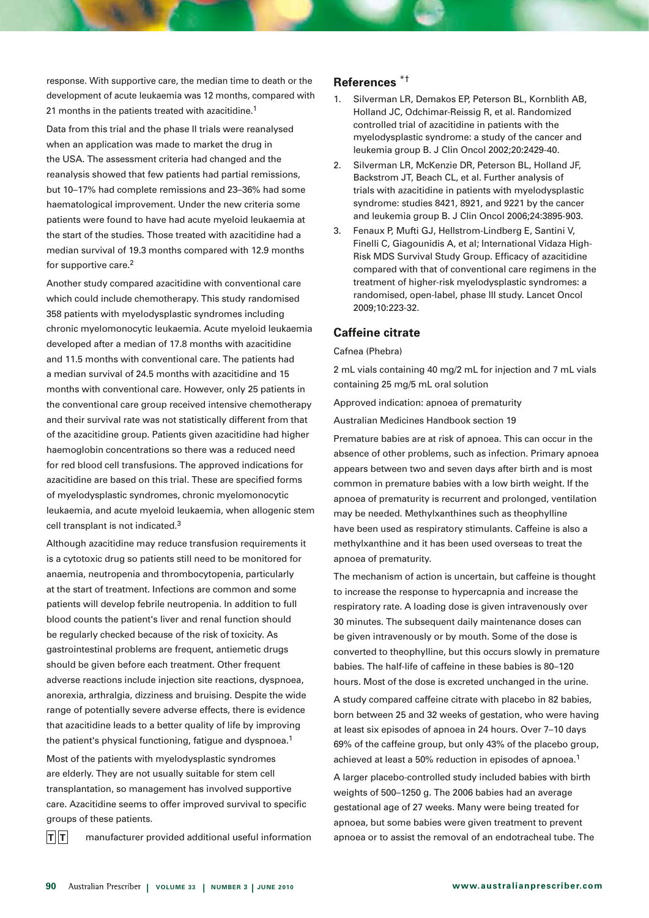response. With supportive care, the median time to death or the development of acute leukaemia was 12 months, compared with 21 months in the patients treated with azacitidine.<sup>1</sup>

Data from this trial and the phase II trials were reanalysed when an application was made to market the drug in the USA. The assessment criteria had changed and the reanalysis showed that few patients had partial remissions, but 10–17% had complete remissions and 23–36% had some haematological improvement. Under the new criteria some patients were found to have had acute myeloid leukaemia at the start of the studies. Those treated with azacitidine had a median survival of 19.3 months compared with 12.9 months for supportive care.2

Another study compared azacitidine with conventional care which could include chemotherapy. This study randomised 358 patients with myelodysplastic syndromes including chronic myelomonocytic leukaemia. Acute myeloid leukaemia developed after a median of 17.8 months with azacitidine and 11.5 months with conventional care. The patients had a median survival of 24.5 months with azacitidine and 15 months with conventional care. However, only 25 patients in the conventional care group received intensive chemotherapy and their survival rate was not statistically different from that of the azacitidine group. Patients given azacitidine had higher haemoglobin concentrations so there was a reduced need for red blood cell transfusions. The approved indications for azacitidine are based on this trial. These are specified forms of myelodysplastic syndromes, chronic myelomonocytic leukaemia, and acute myeloid leukaemia, when allogenic stem cell transplant is not indicated.<sup>3</sup>

Although azacitidine may reduce transfusion requirements it is a cytotoxic drug so patients still need to be monitored for anaemia, neutropenia and thrombocytopenia, particularly at the start of treatment. Infections are common and some patients will develop febrile neutropenia. In addition to full blood counts the patient's liver and renal function should be regularly checked because of the risk of toxicity. As gastrointestinal problems are frequent, antiemetic drugs should be given before each treatment. Other frequent adverse reactions include injection site reactions, dyspnoea, anorexia, arthralgia, dizziness and bruising. Despite the wide range of potentially severe adverse effects, there is evidence that azacitidine leads to a better quality of life by improving the patient's physical functioning, fatigue and dyspnoea.<sup>1</sup>

Most of the patients with myelodysplastic syndromes are elderly. They are not usually suitable for stem cell transplantation, so management has involved supportive care. Azacitidine seems to offer improved survival to specific groups of these patients.

 $\mathbf{T}$  **T** manufacturer provided additional useful information

# **References** \*†

- 1. Silverman LR, Demakos EP, Peterson BL, Kornblith AB, Holland JC, Odchimar-Reissig R, et al. Randomized controlled trial of azacitidine in patients with the myelodysplastic syndrome: a study of the cancer and leukemia group B. J Clin Oncol 2002;20:2429-40.
- 2. Silverman LR, McKenzie DR, Peterson BL, Holland JF, Backstrom JT, Beach CL, et al. Further analysis of trials with azacitidine in patients with myelodysplastic syndrome: studies 8421, 8921, and 9221 by the cancer and leukemia group B. J Clin Oncol 2006;24:3895-903.
- 3. Fenaux P, Mufti GJ, Hellstrom-Lindberg E, Santini V, Finelli C, Giagounidis A, et al; International Vidaza High-Risk MDS Survival Study Group. Efficacy of azacitidine compared with that of conventional care regimens in the treatment of higher-risk myelodysplastic syndromes: a randomised, open-label, phase III study. Lancet Oncol 2009;10:223-32.

# **Caffeine citrate**

#### Cafnea (Phebra)

2 mL vials containing 40 mg/2 mL for injection and 7 mL vials containing 25 mg/5 mL oral solution

Approved indication: apnoea of prematurity

Australian Medicines Handbook section 19

Premature babies are at risk of apnoea. This can occur in the absence of other problems, such as infection. Primary apnoea appears between two and seven days after birth and is most common in premature babies with a low birth weight. If the apnoea of prematurity is recurrent and prolonged, ventilation may be needed. Methylxanthines such as theophylline have been used as respiratory stimulants. Caffeine is also a methylxanthine and it has been used overseas to treat the apnoea of prematurity.

The mechanism of action is uncertain, but caffeine is thought to increase the response to hypercapnia and increase the respiratory rate. A loading dose is given intravenously over 30 minutes. The subsequent daily maintenance doses can be given intravenously or by mouth. Some of the dose is converted to theophylline, but this occurs slowly in premature babies. The half-life of caffeine in these babies is 80–120 hours. Most of the dose is excreted unchanged in the urine.

A study compared caffeine citrate with placebo in 82 babies, born between 25 and 32 weeks of gestation, who were having at least six episodes of apnoea in 24 hours. Over 7–10 days 69% of the caffeine group, but only 43% of the placebo group, achieved at least a 50% reduction in episodes of apnoea.1

A larger placebo-controlled study included babies with birth weights of 500–1250 g. The 2006 babies had an average gestational age of 27 weeks. Many were being treated for apnoea, but some babies were given treatment to prevent apnoea or to assist the removal of an endotracheal tube. The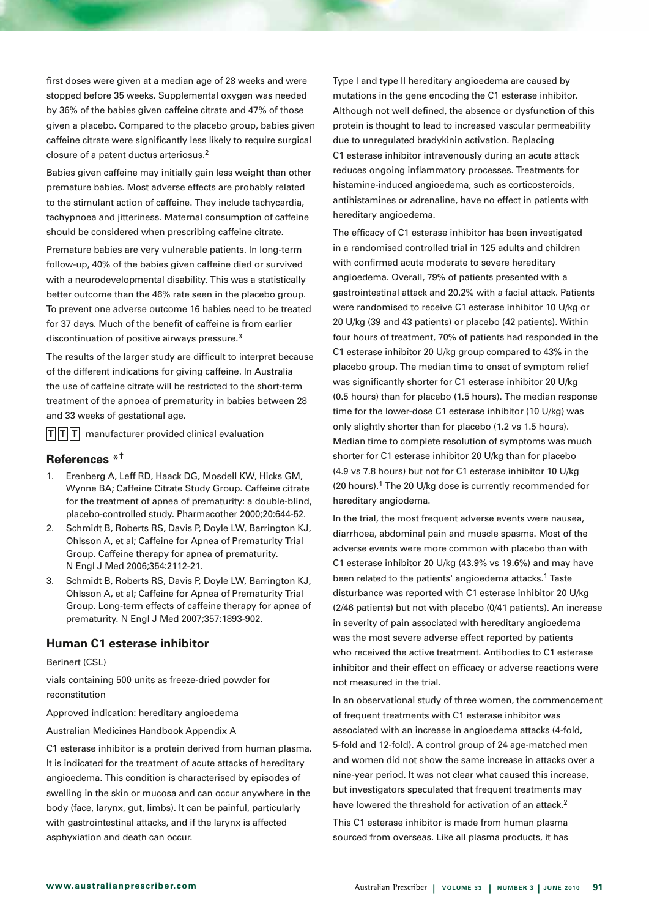first doses were given at a median age of 28 weeks and were stopped before 35 weeks. Supplemental oxygen was needed by 36% of the babies given caffeine citrate and 47% of those given a placebo. Compared to the placebo group, babies given caffeine citrate were significantly less likely to require surgical closure of a patent ductus arteriosus.2

Babies given caffeine may initially gain less weight than other premature babies. Most adverse effects are probably related to the stimulant action of caffeine. They include tachycardia, tachypnoea and jitteriness. Maternal consumption of caffeine should be considered when prescribing caffeine citrate.

Premature babies are very vulnerable patients. In long-term follow-up, 40% of the babies given caffeine died or survived with a neurodevelopmental disability. This was a statistically better outcome than the 46% rate seen in the placebo group. To prevent one adverse outcome 16 babies need to be treated for 37 days. Much of the benefit of caffeine is from earlier discontinuation of positive airways pressure.3

The results of the larger study are difficult to interpret because of the different indications for giving caffeine. In Australia the use of caffeine citrate will be restricted to the short-term treatment of the apnoea of prematurity in babies between 28 and 33 weeks of gestational age.

 $\mathbf{T}$  **T T** manufacturer provided clinical evaluation

# **References** \*†

- 1. Erenberg A, Leff RD, Haack DG, Mosdell KW, Hicks GM, Wynne BA; Caffeine Citrate Study Group. Caffeine citrate for the treatment of apnea of prematurity: a double-blind, placebo-controlled study. Pharmacother 2000;20:644-52.
- 2. Schmidt B, Roberts RS, Davis P, Doyle LW, Barrington KJ, Ohlsson A, et al; Caffeine for Apnea of Prematurity Trial Group. Caffeine therapy for apnea of prematurity. N Engl J Med 2006;354:2112-21.
- 3. Schmidt B, Roberts RS, Davis P, Doyle LW, Barrington KJ, Ohlsson A, et al; Caffeine for Apnea of Prematurity Trial Group. Long-term effects of caffeine therapy for apnea of prematurity. N Engl J Med 2007;357:1893-902.

# **Human C1 esterase inhibitor**

#### Berinert (CSL)

vials containing 500 units as freeze-dried powder for reconstitution

Approved indication: hereditary angioedema

Australian Medicines Handbook Appendix A

C1 esterase inhibitor is a protein derived from human plasma. It is indicated for the treatment of acute attacks of hereditary angioedema. This condition is characterised by episodes of swelling in the skin or mucosa and can occur anywhere in the body (face, larynx, gut, limbs). It can be painful, particularly with gastrointestinal attacks, and if the larynx is affected asphyxiation and death can occur.

Type I and type II hereditary angioedema are caused by mutations in the gene encoding the C1 esterase inhibitor. Although not well defined, the absence or dysfunction of this protein is thought to lead to increased vascular permeability due to unregulated bradykinin activation. Replacing C1 esterase inhibitor intravenously during an acute attack reduces ongoing inflammatory processes. Treatments for histamine-induced angioedema, such as corticosteroids, antihistamines or adrenaline, have no effect in patients with hereditary angioedema.

The efficacy of C1 esterase inhibitor has been investigated in a randomised controlled trial in 125 adults and children with confirmed acute moderate to severe hereditary angioedema. Overall, 79% of patients presented with a gastrointestinal attack and 20.2% with a facial attack. Patients were randomised to receive C1 esterase inhibitor 10 U/kg or 20 U/kg (39 and 43 patients) or placebo (42 patients). Within four hours of treatment, 70% of patients had responded in the C1 esterase inhibitor 20 U/kg group compared to 43% in the placebo group. The median time to onset of symptom relief was significantly shorter for C1 esterase inhibitor 20 U/kg (0.5 hours) than for placebo (1.5 hours). The median response time for the lower-dose C1 esterase inhibitor (10 U/kg) was only slightly shorter than for placebo (1.2 vs 1.5 hours). Median time to complete resolution of symptoms was much shorter for C1 esterase inhibitor 20 U/kg than for placebo (4.9 vs 7.8 hours) but not for C1 esterase inhibitor 10 U/kg (20 hours).<sup>1</sup> The 20 U/kg dose is currently recommended for hereditary angiodema.

In the trial, the most frequent adverse events were nausea, diarrhoea, abdominal pain and muscle spasms. Most of the adverse events were more common with placebo than with C1 esterase inhibitor 20 U/kg (43.9% vs 19.6%) and may have been related to the patients' angioedema attacks.<sup>1</sup> Taste disturbance was reported with C1 esterase inhibitor 20 U/kg (2/46 patients) but not with placebo (0/41 patients). An increase in severity of pain associated with hereditary angioedema was the most severe adverse effect reported by patients who received the active treatment. Antibodies to C1 esterase inhibitor and their effect on efficacy or adverse reactions were not measured in the trial.

In an observational study of three women, the commencement of frequent treatments with C1 esterase inhibitor was associated with an increase in angioedema attacks (4-fold, 5-fold and 12-fold). A control group of 24 age-matched men and women did not show the same increase in attacks over a nine-year period. It was not clear what caused this increase, but investigators speculated that frequent treatments may have lowered the threshold for activation of an attack.<sup>2</sup> This C1 esterase inhibitor is made from human plasma sourced from overseas. Like all plasma products, it has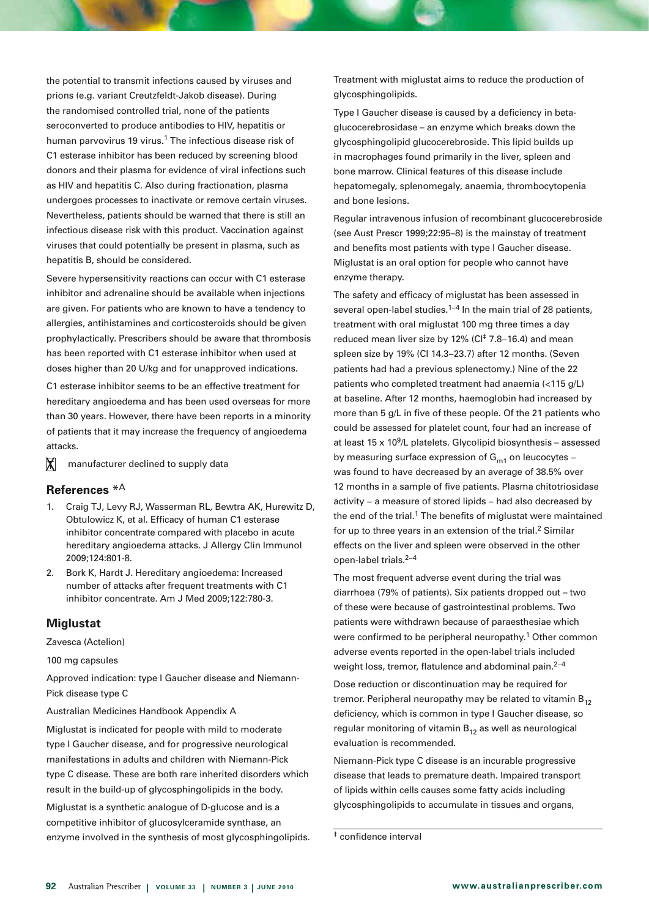the potential to transmit infections caused by viruses and prions (e.g. variant Creutzfeldt-Jakob disease). During the randomised controlled trial, none of the patients seroconverted to produce antibodies to HIV, hepatitis or human parvovirus 19 virus.<sup>1</sup> The infectious disease risk of C1 esterase inhibitor has been reduced by screening blood donors and their plasma for evidence of viral infections such as HIV and hepatitis C. Also during fractionation, plasma undergoes processes to inactivate or remove certain viruses. Nevertheless, patients should be warned that there is still an infectious disease risk with this product. Vaccination against viruses that could potentially be present in plasma, such as hepatitis B, should be considered.

Severe hypersensitivity reactions can occur with C1 esterase inhibitor and adrenaline should be available when injections are given. For patients who are known to have a tendency to allergies, antihistamines and corticosteroids should be given prophylactically. Prescribers should be aware that thrombosis has been reported with C1 esterase inhibitor when used at doses higher than 20 U/kg and for unapproved indications.

C1 esterase inhibitor seems to be an effective treatment for hereditary angioedema and has been used overseas for more than 30 years. However, there have been reports in a minority of patients that it may increase the frequency of angioedema attacks.

 manufacturer declined to supply data  $\mathbf x$ 

## **References** \*A

- 1. Craig TJ, Levy RJ, Wasserman RL, Bewtra AK, Hurewitz D, Obtulowicz K, et al. Efficacy of human C1 esterase inhibitor concentrate compared with placebo in acute hereditary angioedema attacks. J Allergy Clin Immunol 2009;124:801-8.
- 2. Bork K, Hardt J. Hereditary angioedema: Increased number of attacks after frequent treatments with C1 inhibitor concentrate. Am J Med 2009;122:780-3.

#### **Miglustat**

Zavesca (Actelion)

100 mg capsules

Approved indication: type I Gaucher disease and Niemann-Pick disease type C

#### Australian Medicines Handbook Appendix A

Miglustat is indicated for people with mild to moderate type I Gaucher disease, and for progressive neurological manifestations in adults and children with Niemann-Pick type C disease. These are both rare inherited disorders which result in the build-up of glycosphingolipids in the body.

Miglustat is a synthetic analogue of D-glucose and is a competitive inhibitor of glucosylceramide synthase, an enzyme involved in the synthesis of most glycosphingolipids. Treatment with miglustat aims to reduce the production of glycosphingolipids.

Type I Gaucher disease is caused by a deficiency in betaglucocerebrosidase – an enzyme which breaks down the glycosphingolipid glucocerebroside. This lipid builds up in macrophages found primarily in the liver, spleen and bone marrow. Clinical features of this disease include hepatomegaly, splenomegaly, anaemia, thrombocytopenia and bone lesions.

Regular intravenous infusion of recombinant glucocerebroside (see Aust Prescr 1999;22:95–8) is the mainstay of treatment and benefits most patients with type I Gaucher disease. Miglustat is an oral option for people who cannot have enzyme therapy.

The safety and efficacy of miglustat has been assessed in several open-label studies.<sup>1−4</sup> In the main trial of 28 patients, treatment with oral miglustat 100 mg three times a day reduced mean liver size by 12% (CI‡ 7.8−16.4) and mean spleen size by 19% (CI 14.3−23.7) after 12 months. (Seven patients had had a previous splenectomy.) Nine of the 22 patients who completed treatment had anaemia (<115 g/L) at baseline. After 12 months, haemoglobin had increased by more than 5 g/L in five of these people. Of the 21 patients who could be assessed for platelet count, four had an increase of at least  $15 \times 10^9$ /L platelets. Glycolipid biosynthesis – assessed by measuring surface expression of  $G<sub>m1</sub>$  on leucocytes – was found to have decreased by an average of 38.5% over 12 months in a sample of five patients. Plasma chitotriosidase activity − a measure of stored lipids − had also decreased by the end of the trial.<sup>1</sup> The benefits of miglustat were maintained for up to three years in an extension of the trial.<sup>2</sup> Similar effects on the liver and spleen were observed in the other open-label trials.2−4

The most frequent adverse event during the trial was diarrhoea (79% of patients). Six patients dropped out – two of these were because of gastrointestinal problems. Two patients were withdrawn because of paraesthesiae which were confirmed to be peripheral neuropathy.<sup>1</sup> Other common adverse events reported in the open-label trials included weight loss, tremor, flatulence and abdominal pain.<sup>2−4</sup>

Dose reduction or discontinuation may be required for tremor. Peripheral neuropathy may be related to vitamin  $B_{12}$ deficiency, which is common in type I Gaucher disease, so regular monitoring of vitamin  $B_{12}$  as well as neurological evaluation is recommended.

Niemann-Pick type C disease is an incurable progressive disease that leads to premature death. Impaired transport of lipids within cells causes some fatty acids including glycosphingolipids to accumulate in tissues and organs,

<sup>‡</sup> confidence interval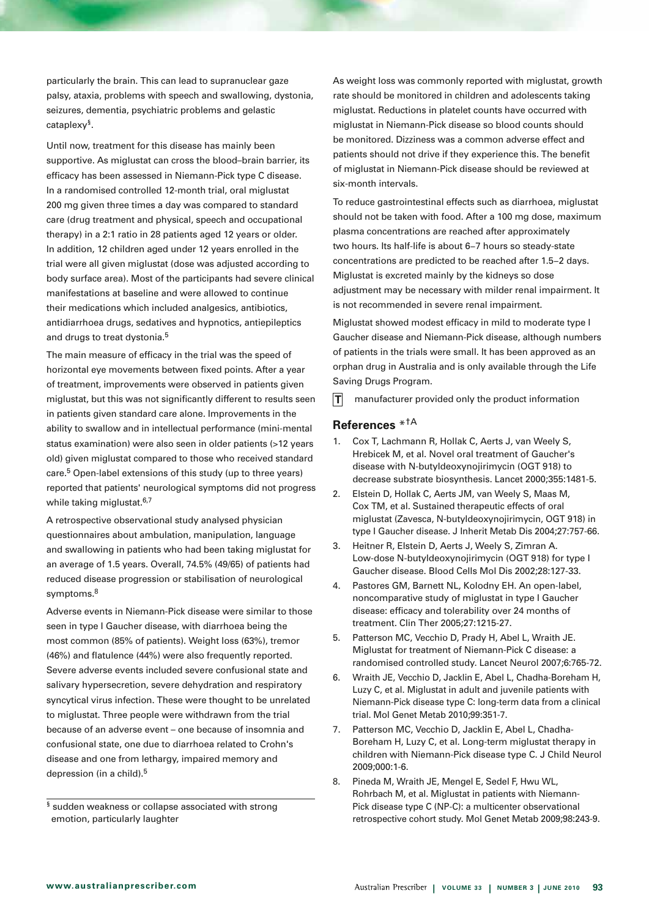particularly the brain. This can lead to supranuclear gaze palsy, ataxia, problems with speech and swallowing, dystonia, seizures, dementia, psychiatric problems and gelastic cataplexy§.

Until now, treatment for this disease has mainly been supportive. As miglustat can cross the blood–brain barrier, its efficacy has been assessed in Niemann-Pick type C disease. In a randomised controlled 12-month trial, oral miglustat 200 mg given three times a day was compared to standard care (drug treatment and physical, speech and occupational therapy) in a 2:1 ratio in 28 patients aged 12 years or older. In addition, 12 children aged under 12 years enrolled in the trial were all given miglustat (dose was adjusted according to body surface area). Most of the participants had severe clinical manifestations at baseline and were allowed to continue their medications which included analgesics, antibiotics, antidiarrhoea drugs, sedatives and hypnotics, antiepileptics and drugs to treat dystonia.<sup>5</sup>

The main measure of efficacy in the trial was the speed of horizontal eye movements between fixed points. After a year of treatment, improvements were observed in patients given miglustat, but this was not significantly different to results seen in patients given standard care alone. Improvements in the ability to swallow and in intellectual performance (mini-mental status examination) were also seen in older patients (>12 years old) given miglustat compared to those who received standard care.5 Open-label extensions of this study (up to three years) reported that patients' neurological symptoms did not progress while taking miglustat.<sup>6,7</sup>

A retrospective observational study analysed physician questionnaires about ambulation, manipulation, language and swallowing in patients who had been taking miglustat for an average of 1.5 years. Overall, 74.5% (49/65) of patients had reduced disease progression or stabilisation of neurological symptoms.<sup>8</sup>

Adverse events in Niemann-Pick disease were similar to those seen in type I Gaucher disease, with diarrhoea being the most common (85% of patients). Weight loss (63%), tremor (46%) and flatulence (44%) were also frequently reported. Severe adverse events included severe confusional state and salivary hypersecretion, severe dehydration and respiratory syncytical virus infection. These were thought to be unrelated to miglustat. Three people were withdrawn from the trial because of an adverse event – one because of insomnia and confusional state, one due to diarrhoea related to Crohn's disease and one from lethargy, impaired memory and depression (in a child).<sup>5</sup>

§ sudden weakness or collapse associated with strong emotion, particularly laughter

As weight loss was commonly reported with miglustat, growth rate should be monitored in children and adolescents taking miglustat. Reductions in platelet counts have occurred with miglustat in Niemann-Pick disease so blood counts should be monitored. Dizziness was a common adverse effect and patients should not drive if they experience this. The benefit of miglustat in Niemann-Pick disease should be reviewed at six-month intervals.

To reduce gastrointestinal effects such as diarrhoea, miglustat should not be taken with food. After a 100 mg dose, maximum plasma concentrations are reached after approximately two hours. Its half-life is about 6−7 hours so steady-state concentrations are predicted to be reached after 1.5−2 days. Miglustat is excreted mainly by the kidneys so dose adjustment may be necessary with milder renal impairment. It is not recommended in severe renal impairment.

Miglustat showed modest efficacy in mild to moderate type I Gaucher disease and Niemann-Pick disease, although numbers of patients in the trials were small. It has been approved as an orphan drug in Australia and is only available through the Life Saving Drugs Program.

 manufacturer provided only the product information  $\mathbf{T}$ 

# **References** \*†A

- 1. Cox T, Lachmann R, Hollak C, Aerts J, van Weely S, Hrebicek M, et al. Novel oral treatment of Gaucher's disease with N-butyldeoxynojirimycin (OGT 918) to decrease substrate biosynthesis. Lancet 2000;355:1481-5.
- 2. Elstein D, Hollak C, Aerts JM, van Weely S, Maas M, Cox TM, et al. Sustained therapeutic effects of oral miglustat (Zavesca, N-butyldeoxynojirimycin, OGT 918) in type I Gaucher disease. J Inherit Metab Dis 2004;27:757-66.
- 3. Heitner R, Elstein D, Aerts J, Weely S, Zimran A. Low-dose N-butyldeoxynojirimycin (OGT 918) for type I Gaucher disease. Blood Cells Mol Dis 2002;28:127-33.
- 4. Pastores GM, Barnett NL, Kolodny EH. An open-label, noncomparative study of miglustat in type I Gaucher disease: efficacy and tolerability over 24 months of treatment. Clin Ther 2005;27:1215-27.
- 5. Patterson MC, Vecchio D, Prady H, Abel L, Wraith JE. Miglustat for treatment of Niemann-Pick C disease: a randomised controlled study. Lancet Neurol 2007;6:765-72.
- 6. Wraith JE, Vecchio D, Jacklin E, Abel L, Chadha-Boreham H, Luzy C, et al. Miglustat in adult and juvenile patients with Niemann-Pick disease type C: long-term data from a clinical trial. Mol Genet Metab 2010;99:351-7.
- 7. Patterson MC, Vecchio D, Jacklin E, Abel L, Chadha-Boreham H, Luzy C, et al. Long-term miglustat therapy in children with Niemann-Pick disease type C. J Child Neurol 2009;000:1-6.
- 8. Pineda M, Wraith JE, Mengel E, Sedel F, Hwu WL, Rohrbach M, et al. Miglustat in patients with Niemann-Pick disease type C (NP-C): a multicenter observational retrospective cohort study. Mol Genet Metab 2009;98:243-9.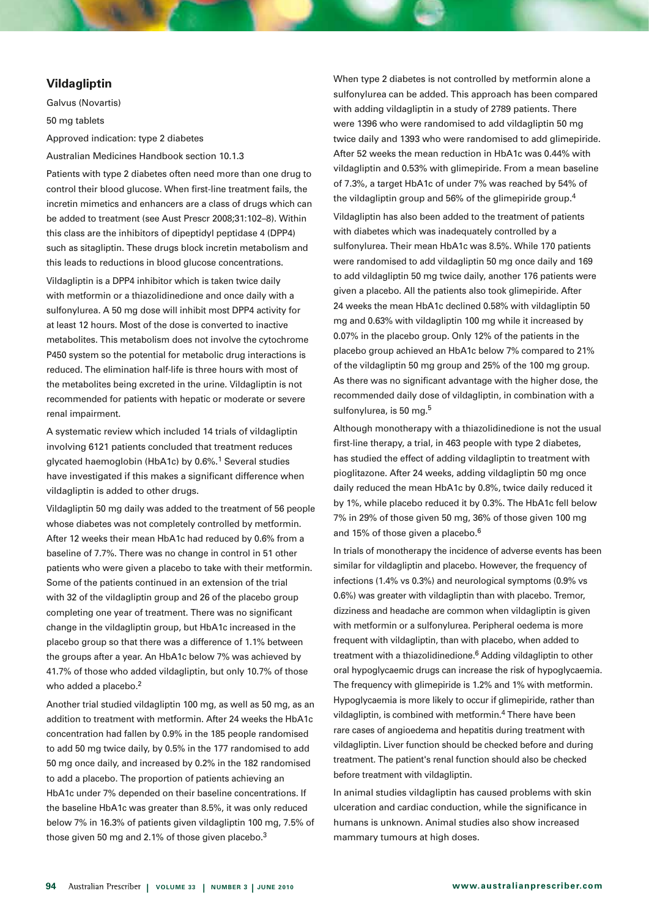# **Vildagliptin**

Galvus (Novartis) 50 mg tablets

Approved indication: type 2 diabetes

Australian Medicines Handbook section 10.1.3

Patients with type 2 diabetes often need more than one drug to control their blood glucose. When first-line treatment fails, the incretin mimetics and enhancers are a class of drugs which can be added to treatment (see Aust Prescr 2008;31:102–8). Within this class are the inhibitors of dipeptidyl peptidase 4 (DPP4) such as sitagliptin. These drugs block incretin metabolism and this leads to reductions in blood glucose concentrations.

Vildagliptin is a DPP4 inhibitor which is taken twice daily with metformin or a thiazolidinedione and once daily with a sulfonylurea. A 50 mg dose will inhibit most DPP4 activity for at least 12 hours. Most of the dose is converted to inactive metabolites. This metabolism does not involve the cytochrome P450 system so the potential for metabolic drug interactions is reduced. The elimination half-life is three hours with most of the metabolites being excreted in the urine. Vildagliptin is not recommended for patients with hepatic or moderate or severe renal impairment.

A systematic review which included 14 trials of vildagliptin involving 6121 patients concluded that treatment reduces glycated haemoglobin (HbA1c) by 0.6%.1 Several studies have investigated if this makes a significant difference when vildagliptin is added to other drugs.

Vildagliptin 50 mg daily was added to the treatment of 56 people whose diabetes was not completely controlled by metformin. After 12 weeks their mean HbA1c had reduced by 0.6% from a baseline of 7.7%. There was no change in control in 51 other patients who were given a placebo to take with their metformin. Some of the patients continued in an extension of the trial with 32 of the vildagliptin group and 26 of the placebo group completing one year of treatment. There was no significant change in the vildagliptin group, but HbA1c increased in the placebo group so that there was a difference of 1.1% between the groups after a year. An HbA1c below 7% was achieved by 41.7% of those who added vildagliptin, but only 10.7% of those who added a placebo.<sup>2</sup>

Another trial studied vildagliptin 100 mg, as well as 50 mg, as an addition to treatment with metformin. After 24 weeks the HbA1c concentration had fallen by 0.9% in the 185 people randomised to add 50 mg twice daily, by 0.5% in the 177 randomised to add 50 mg once daily, and increased by 0.2% in the 182 randomised to add a placebo. The proportion of patients achieving an HbA1c under 7% depended on their baseline concentrations. If the baseline HbA1c was greater than 8.5%, it was only reduced below 7% in 16.3% of patients given vildagliptin 100 mg, 7.5% of those given 50 mg and 2.1% of those given placebo.<sup>3</sup>

When type 2 diabetes is not controlled by metformin alone a sulfonylurea can be added. This approach has been compared with adding vildagliptin in a study of 2789 patients. There were 1396 who were randomised to add vildagliptin 50 mg twice daily and 1393 who were randomised to add glimepiride. After 52 weeks the mean reduction in HbA1c was 0.44% with vildagliptin and 0.53% with glimepiride. From a mean baseline of 7.3%, a target HbA1c of under 7% was reached by 54% of the vildagliptin group and 56% of the glimepiride group.<sup>4</sup> Vildagliptin has also been added to the treatment of patients

with diabetes which was inadequately controlled by a sulfonylurea. Their mean HbA1c was 8.5%. While 170 patients were randomised to add vildagliptin 50 mg once daily and 169 to add vildagliptin 50 mg twice daily, another 176 patients were given a placebo. All the patients also took glimepiride. After 24 weeks the mean HbA1c declined 0.58% with vildagliptin 50 mg and 0.63% with vildagliptin 100 mg while it increased by 0.07% in the placebo group. Only 12% of the patients in the placebo group achieved an HbA1c below 7% compared to 21% of the vildagliptin 50 mg group and 25% of the 100 mg group. As there was no significant advantage with the higher dose, the recommended daily dose of vildagliptin, in combination with a sulfonylurea, is 50 mg.<sup>5</sup>

Although monotherapy with a thiazolidinedione is not the usual first-line therapy, a trial, in 463 people with type 2 diabetes, has studied the effect of adding vildagliptin to treatment with pioglitazone. After 24 weeks, adding vildagliptin 50 mg once daily reduced the mean HbA1c by 0.8%, twice daily reduced it by 1%, while placebo reduced it by 0.3%. The HbA1c fell below 7% in 29% of those given 50 mg, 36% of those given 100 mg and 15% of those given a placebo.6

In trials of monotherapy the incidence of adverse events has been similar for vildagliptin and placebo. However, the frequency of infections (1.4% vs 0.3%) and neurological symptoms (0.9% vs 0.6%) was greater with vildagliptin than with placebo. Tremor, dizziness and headache are common when vildagliptin is given with metformin or a sulfonylurea. Peripheral oedema is more frequent with vildagliptin, than with placebo, when added to treatment with a thiazolidinedione.<sup>6</sup> Adding vildagliptin to other oral hypoglycaemic drugs can increase the risk of hypoglycaemia. The frequency with glimepiride is 1.2% and 1% with metformin. Hypoglycaemia is more likely to occur if glimepiride, rather than vildagliptin, is combined with metformin.4 There have been rare cases of angioedema and hepatitis during treatment with vildagliptin. Liver function should be checked before and during treatment. The patient's renal function should also be checked before treatment with vildagliptin.

In animal studies vildagliptin has caused problems with skin ulceration and cardiac conduction, while the significance in humans is unknown. Animal studies also show increased mammary tumours at high doses.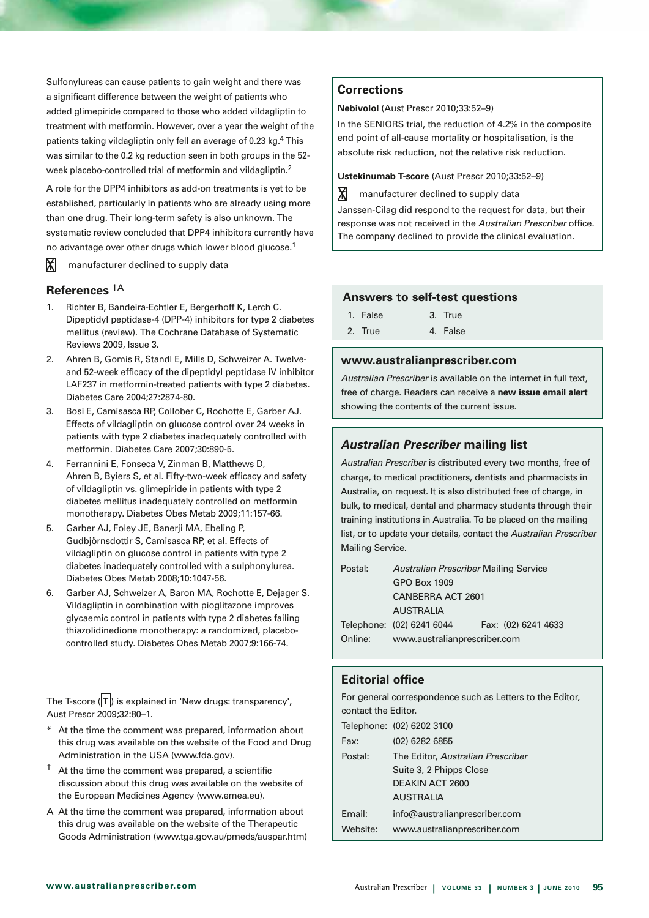Sulfonylureas can cause patients to gain weight and there was a significant difference between the weight of patients who added glimepiride compared to those who added vildagliptin to treatment with metformin. However, over a year the weight of the patients taking vildagliptin only fell an average of 0.23 kg.<sup>4</sup> This was similar to the 0.2 kg reduction seen in both groups in the 52 week placebo-controlled trial of metformin and vildagliptin.2

A role for the DPP4 inhibitors as add-on treatments is yet to be established, particularly in patients who are already using more than one drug. Their long-term safety is also unknown. The systematic review concluded that DPP4 inhibitors currently have no advantage over other drugs which lower blood glucose.1

 manufacturer declined to supply data  $\mathsf{X}$ 

# **References** †A

- 1. Richter B, Bandeira-Echtler E, Bergerhoff K, Lerch C. Dipeptidyl peptidase-4 (DPP-4) inhibitors for type 2 diabetes mellitus (review). The Cochrane Database of Systematic Reviews 2009, Issue 3.
- 2. Ahren B, Gomis R, Standl E, Mills D, Schweizer A. Twelveand 52-week efficacy of the dipeptidyl peptidase IV inhibitor LAF237 in metformin-treated patients with type 2 diabetes. Diabetes Care 2004;27:2874-80.
- 3. Bosi E, Camisasca RP, Collober C, Rochotte E, Garber AJ. Effects of vildagliptin on glucose control over 24 weeks in patients with type 2 diabetes inadequately controlled with metformin. Diabetes Care 2007;30:890-5.
- 4. Ferrannini E, Fonseca V, Zinman B, Matthews D, Ahren B, Byiers S, et al. Fifty-two-week efficacy and safety of vildagliptin vs. glimepiride in patients with type 2 diabetes mellitus inadequately controlled on metformin monotherapy. Diabetes Obes Metab 2009;11:157-66.
- 5. Garber AJ, Foley JE, Banerji MA, Ebeling P, Gudbjörnsdottir S, Camisasca RP, et al. Effects of vildagliptin on glucose control in patients with type 2 diabetes inadequately controlled with a sulphonylurea. Diabetes Obes Metab 2008;10:1047-56.
- 6. Garber AJ, Schweizer A, Baron MA, Rochotte E, Dejager S. Vildagliptin in combination with pioglitazone improves glycaemic control in patients with type 2 diabetes failing thiazolidinedione monotherapy: a randomized, placebocontrolled study. Diabetes Obes Metab 2007;9:166-74.

The T-score ( $|{\bf T}|$ ) is explained in 'New drugs: transparency', Aust Prescr 2009;32:80–1.

- \* At the time the comment was prepared, information about this drug was available on the website of the Food and Drug Administration in the USA (www.fda.gov).
- $\dagger$  At the time the comment was prepared, a scientific discussion about this drug was available on the website of the European Medicines Agency (www.emea.eu).
- A At the time the comment was prepared, information about this drug was available on the website of the Therapeutic Goods Administration (www.tga.gov.au/pmeds/auspar.htm)

# **Corrections**

#### **Nebivolol** (Aust Prescr 2010;33:52–9)

In the SENIORS trial, the reduction of 4.2% in the composite end point of all-cause mortality or hospitalisation, is the absolute risk reduction, not the relative risk reduction.

**Ustekinumab T-score** (Aust Prescr 2010;33:52–9)

 manufacturer declined to supply data  $\pmb{\times}$ 

Janssen-Cilag did respond to the request for data, but their response was not received in the *Australian Prescriber* office. The company declined to provide the clinical evaluation.

# **Answers to self-test questions**

| 1. False |  | 3. True  |
|----------|--|----------|
| 2. True  |  | 4. False |

#### **www.australianprescriber.com**

*Australian Prescriber* is available on the internet in full text, free of charge. Readers can receive a **new issue email alert** showing the contents of the current issue.

# *Australian Prescriber* **mailing list**

*Australian Prescriber* is distributed every two months, free of charge, to medical practitioners, dentists and pharmacists in Australia, on request. It is also distributed free of charge, in bulk, to medical, dental and pharmacy students through their training institutions in Australia. To be placed on the mailing list, or to update your details, contact the *Australian Prescriber* Mailing Service.

| Postal: | Australian Prescriber Mailing Service |                     |
|---------|---------------------------------------|---------------------|
|         | GPO Box 1909                          |                     |
|         | CANBERRA ACT 2601                     |                     |
|         | <b>AUSTRALIA</b>                      |                     |
|         | Telephone: (02) 6241 6044             | Fax: (02) 6241 4633 |
| Online: | www.australianprescriber.com          |                     |

# **Editorial office**

For general correspondence such as Letters to the Editor, contact the Editor.

|          | Telephone: (02) 6202 3100         |
|----------|-----------------------------------|
| Fax:     | (02) 6282 6855                    |
| Postal:  | The Editor, Australian Prescriber |
|          | Suite 3, 2 Phipps Close           |
|          | DEAKIN ACT 2600                   |
|          | <b>AUSTRALIA</b>                  |
| Email:   | info@australianprescriber.com     |
| Website: | www.australianprescriber.com      |